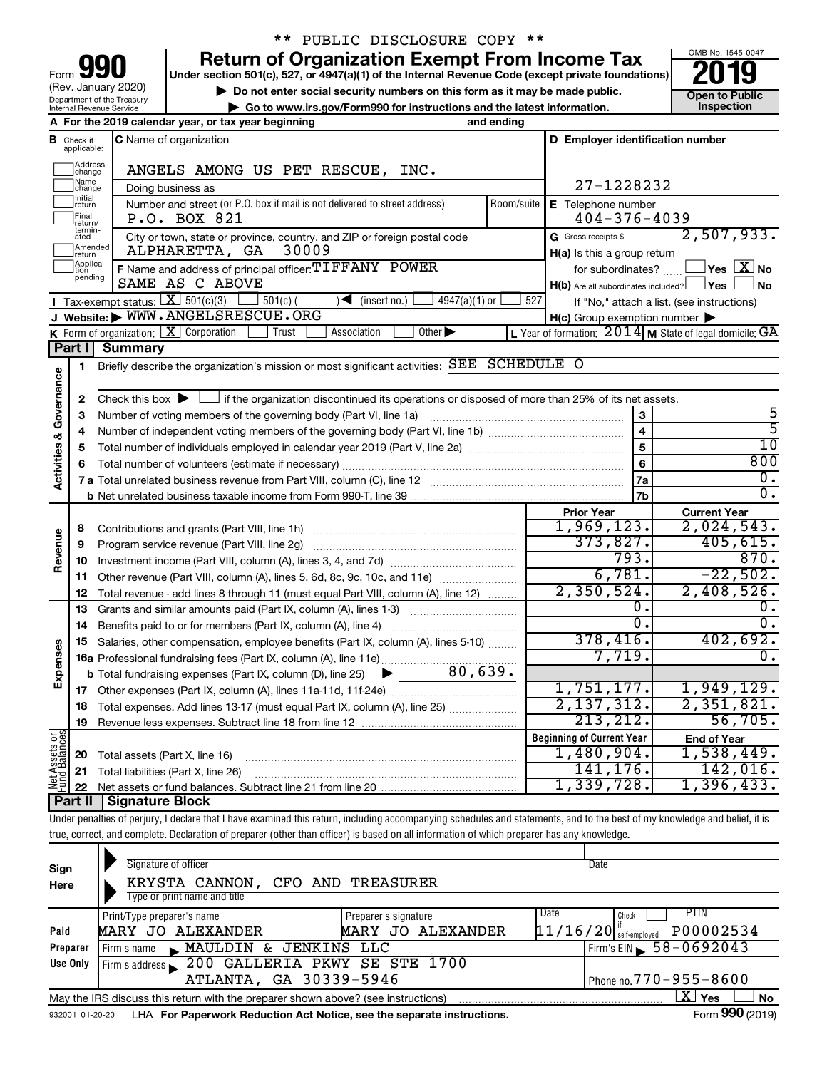| 90<br>Form                                                    |
|---------------------------------------------------------------|
| (Rev. January 2020)                                           |
| Department of the Treasury<br><b>Internal Revenue Service</b> |

# \*\* PUBLIC DISCLOSURE COPY \*\*

**your Section 501(c), 527, or 4947(a)(1) of the Internal Revenue Code (except private foundations) 2019** 

▶ Do not enter social security numbers on this form as it may be made public. <br>
inspection and the latest information. **Dependent in the latest information** and the latest information. **| Go to www.irs.gov/Form990 for instructions and the latest information. Inspection**



|                           |                              | A For the 2019 calendar year, or tax year beginning                                                                                             | and ending |                                                         |                                                           |
|---------------------------|------------------------------|-------------------------------------------------------------------------------------------------------------------------------------------------|------------|---------------------------------------------------------|-----------------------------------------------------------|
| в                         | Check if<br>applicable:      | <b>C</b> Name of organization                                                                                                                   |            | D Employer identification number                        |                                                           |
|                           | Address<br>change            | ANGELS AMONG US PET RESCUE, INC.                                                                                                                |            |                                                         |                                                           |
|                           | Name<br> change              | Doing business as                                                                                                                               |            | 27-1228232                                              |                                                           |
|                           | Initial<br> return           | Number and street (or P.O. box if mail is not delivered to street address)                                                                      | Room/suite | E Telephone number                                      |                                                           |
|                           | Final<br>return/<br>termin-  | P.O. BOX 821                                                                                                                                    |            | $404 - 376 - 4039$                                      |                                                           |
|                           | ated                         | City or town, state or province, country, and ZIP or foreign postal code                                                                        |            | G Gross receipts \$                                     | 2,507,933.                                                |
|                           | return                       | Amended<br>ALPHARETTA, GA<br>30009                                                                                                              |            | H(a) Is this a group return                             |                                                           |
|                           | Applica-<br>Ition<br>pending | F Name and address of principal officer: TIFFANY POWER                                                                                          |            | for subordinates?                                       | $\overline{\ }$ Yes $\overline{\rm{X}}$ No                |
|                           |                              | SAME AS C ABOVE                                                                                                                                 |            | $H(b)$ Are all subordinates included? $\Box$ Yes $\Box$ | ⊥No                                                       |
|                           |                              | Tax-exempt status: $X \over 301(c)(3)$<br>$\sqrt{\frac{1}{1}}$ (insert no.)<br>$501(c)$ (<br>$4947(a)(1)$ or<br>J Website: WWW.ANGELSRESCUE.ORG | 527        |                                                         | If "No," attach a list. (see instructions)                |
|                           |                              | K Form of organization: $X$ Corporation<br>Other $\blacktriangleright$<br>Association<br>Trust                                                  |            | $H(c)$ Group exemption number $\blacktriangleright$     | L Year of formation: $2014$ M State of legal domicile: GA |
|                           | Part I                       | <b>Summary</b>                                                                                                                                  |            |                                                         |                                                           |
|                           | 1                            | Briefly describe the organization's mission or most significant activities: SEE SCHEDULE O                                                      |            |                                                         |                                                           |
| Governance                |                              |                                                                                                                                                 |            |                                                         |                                                           |
|                           | 2                            | Check this box $\blacktriangleright$ $\Box$ if the organization discontinued its operations or disposed of more than 25% of its net assets.     |            |                                                         |                                                           |
|                           | 3                            | Number of voting members of the governing body (Part VI, line 1a)                                                                               |            | 3                                                       | 5                                                         |
|                           | 4                            |                                                                                                                                                 |            | $\overline{4}$                                          | $\overline{5}$                                            |
|                           | 5                            |                                                                                                                                                 |            | 5                                                       | $\overline{10}$                                           |
|                           | 6                            |                                                                                                                                                 |            | 6                                                       | 800                                                       |
| <b>Activities &amp;</b>   |                              |                                                                                                                                                 |            | 7a                                                      | о.                                                        |
|                           |                              |                                                                                                                                                 |            | 7 <sub>b</sub>                                          | 0.                                                        |
|                           |                              |                                                                                                                                                 |            | <b>Prior Year</b>                                       | <b>Current Year</b>                                       |
|                           | 8                            |                                                                                                                                                 |            | 1,969,123.                                              | 2,024,543.                                                |
|                           | 9                            | Program service revenue (Part VIII, line 2g)                                                                                                    |            | 373,827.                                                | 405, 615.                                                 |
| Revenue                   | 10                           |                                                                                                                                                 |            | 793.                                                    | 870.                                                      |
|                           |                              | 11 Other revenue (Part VIII, column (A), lines 5, 6d, 8c, 9c, 10c, and 11e)                                                                     |            | 6,781.                                                  | $-22,502.$                                                |
|                           | 12                           | Total revenue - add lines 8 through 11 (must equal Part VIII, column (A), line 12)                                                              |            | 2,350,524.                                              | 2,408,526.                                                |
|                           |                              | <b>13</b> Grants and similar amounts paid (Part IX, column (A), lines 1-3) <i>multimarrouum</i>                                                 |            | О.                                                      | 0.                                                        |
|                           | 14                           |                                                                                                                                                 |            | $\overline{0}$ .                                        | $\overline{0}$ .                                          |
|                           | 15                           | Salaries, other compensation, employee benefits (Part IX, column (A), lines 5-10)                                                               |            | 378,416.                                                | 402,692.                                                  |
|                           |                              |                                                                                                                                                 |            | 7,719.                                                  | 0.                                                        |
| Expenses                  |                              | 80,639.<br><b>b</b> Total fundraising expenses (Part IX, column (D), line 25)                                                                   |            |                                                         |                                                           |
|                           |                              |                                                                                                                                                 |            | 1,751,177.                                              | 1,949,129.                                                |
|                           |                              | 18 Total expenses. Add lines 13-17 (must equal Part IX, column (A), line 25)                                                                    |            | 2, 137, 312.                                            | 2,351,821.                                                |
|                           | 19                           |                                                                                                                                                 |            | 213, 212.                                               | 56,705.                                                   |
| Assets or                 |                              |                                                                                                                                                 |            | <b>Beginning of Current Year</b>                        | <b>End of Year</b>                                        |
|                           | 20                           | Total assets (Part X, line 16)                                                                                                                  |            | 1,480,904.                                              | 1,538,449.                                                |
| $\mathbb{R}^{\mathbb{Z}}$ |                              | 21 Total liabilities (Part X, line 26)                                                                                                          |            | 141,176.                                                | 142,016.                                                  |
|                           | 22                           | <b>Cinnative Diasi</b>                                                                                                                          |            | 1,339,728.                                              | 1,396,433.                                                |

**Part II Signature Block**

Under penalties of perjury, I declare that I have examined this return, including accompanying schedules and statements, and to the best of my knowledge and belief, it is true, correct, and complete. Declaration of preparer (other than officer) is based on all information of which preparer has any knowledge.

| Sign<br>Here    | Signature of officer<br>KRYSTA CANNON,<br>CFO AND TREASURER<br>Type or print name and title                 | Date                                                                                                                                                                                                                                                                                                                                                                                         |  |  |  |  |
|-----------------|-------------------------------------------------------------------------------------------------------------|----------------------------------------------------------------------------------------------------------------------------------------------------------------------------------------------------------------------------------------------------------------------------------------------------------------------------------------------------------------------------------------------|--|--|--|--|
|                 | Print/Type preparer's name<br>Preparer's signature                                                          | PTIN<br>Date<br>Check                                                                                                                                                                                                                                                                                                                                                                        |  |  |  |  |
| Paid            | MARY JO ALEXANDER<br>MARY JO ALEXANDER                                                                      | P00002534<br>$11/16/20$ self-employed                                                                                                                                                                                                                                                                                                                                                        |  |  |  |  |
| Preparer        | JENKINS LLC<br>MAULDIN &<br>Firm's name                                                                     | $58 - 0692043$<br>Firm's EIN                                                                                                                                                                                                                                                                                                                                                                 |  |  |  |  |
| Use Only        | Firm's address 200 GALLERIA PKWY SE STE 1700                                                                |                                                                                                                                                                                                                                                                                                                                                                                              |  |  |  |  |
|                 | ATLANTA, GA 30339-5946                                                                                      | $\sqrt{P_{\text{P}}P_{\text{P}}P_{\text{P}}P_{\text{P}}P_{\text{P}}P_{\text{P}}P_{\text{P}}P_{\text{P}}P_{\text{P}}P_{\text{P}}P_{\text{P}}P_{\text{P}}P_{\text{P}}P_{\text{P}}P_{\text{P}}P_{\text{P}}P_{\text{P}}P_{\text{P}}P_{\text{P}}P_{\text{P}}P_{\text{P}}P_{\text{P}}P_{\text{P}}P_{\text{P}}P_{\text{P}}P_{\text{P}}P_{\text{P}}P_{\text{P}}P_{\text{P}}P_{\text{P}}P_{\text{P}}$ |  |  |  |  |
|                 | X.<br>Yes<br><b>No</b><br>May the IRS discuss this return with the preparer shown above? (see instructions) |                                                                                                                                                                                                                                                                                                                                                                                              |  |  |  |  |
| 932001 01-20-20 | LHA For Paperwork Reduction Act Notice, see the separate instructions.                                      | Form 990 (2019)                                                                                                                                                                                                                                                                                                                                                                              |  |  |  |  |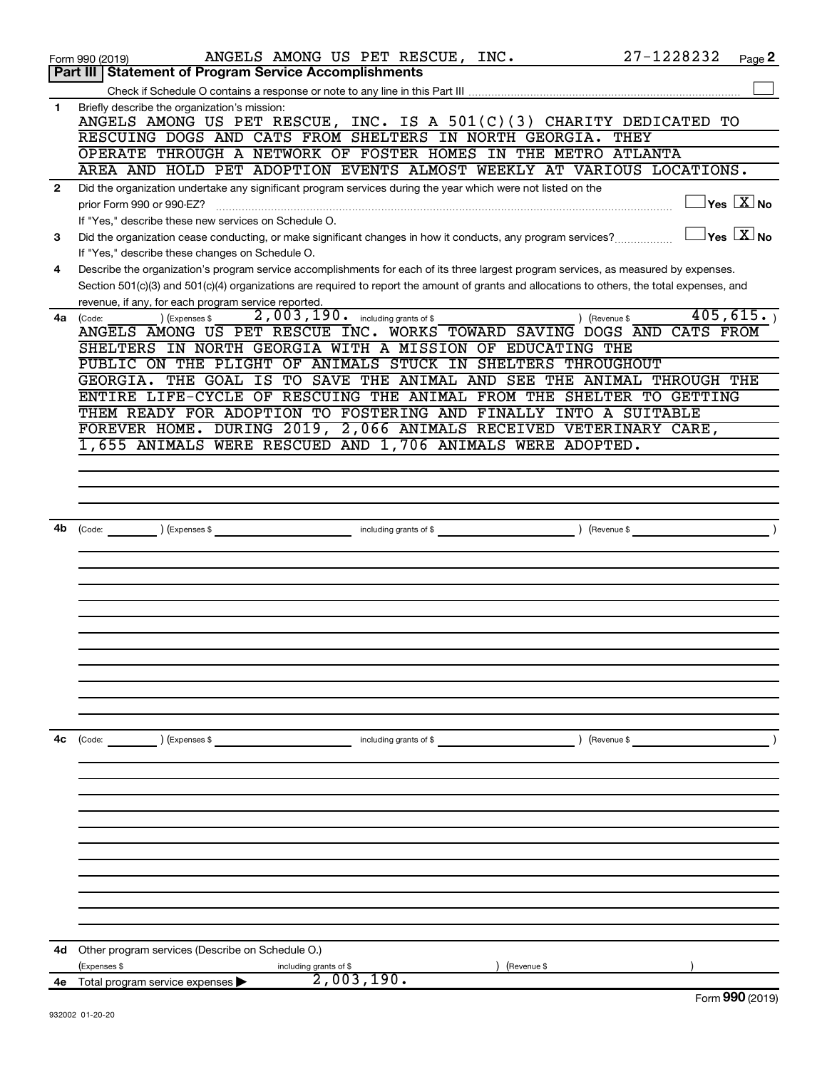|              | 27-1228232<br>ANGELS AMONG US PET RESCUE, INC.<br>Page 2<br>Form 990 (2019)                                                                                      |
|--------------|------------------------------------------------------------------------------------------------------------------------------------------------------------------|
|              | Part III   Statement of Program Service Accomplishments                                                                                                          |
|              |                                                                                                                                                                  |
| $\mathbf{1}$ | Briefly describe the organization's mission:<br>ANGELS AMONG US PET RESCUE, INC. IS A $501(C)(3)$ CHARITY DEDICATED TO                                           |
|              | RESCUING DOGS AND CATS FROM SHELTERS IN NORTH GEORGIA.<br>THEY                                                                                                   |
|              | OPERATE THROUGH A NETWORK OF FOSTER HOMES IN THE METRO ATLANTA                                                                                                   |
|              | AREA AND HOLD PET ADOPTION EVENTS ALMOST WEEKLY AT VARIOUS LOCATIONS.                                                                                            |
| $\mathbf{2}$ | Did the organization undertake any significant program services during the year which were not listed on the                                                     |
|              | $\sqrt{}$ Yes $\sqrt{}$ $\overline{\rm X}$ No<br>prior Form 990 or 990-EZ?                                                                                       |
|              | If "Yes," describe these new services on Schedule O.                                                                                                             |
| 3            | $\mathsf{Yes}\ \overline{\mathbf{X}}\mathsf{No}$<br>Did the organization cease conducting, or make significant changes in how it conducts, any program services? |
|              | If "Yes," describe these changes on Schedule O.                                                                                                                  |
| 4            | Describe the organization's program service accomplishments for each of its three largest program services, as measured by expenses.                             |
|              | Section 501(c)(3) and 501(c)(4) organizations are required to report the amount of grants and allocations to others, the total expenses, and                     |
|              | revenue, if any, for each program service reported.                                                                                                              |
| 4a           | 2,003,190. including grants of \$<br>405,615.<br>) (Expenses \$<br>) (Revenue \$<br>(Code:                                                                       |
|              | ANGELS AMONG US PET RESCUE INC. WORKS TOWARD SAVING DOGS AND CATS FROM                                                                                           |
|              | SHELTERS IN NORTH GEORGIA WITH A MISSION OF EDUCATING THE                                                                                                        |
|              | PUBLIC ON THE PLIGHT OF ANIMALS STUCK IN SHELTERS THROUGHOUT<br>THE GOAL IS<br>TO SAVE THE ANIMAL AND SEE THE ANIMAL<br>THROUGH THE<br>GEORGIA.                  |
|              | ENTIRE LIFE-CYCLE OF RESCUING THE ANIMAL FROM THE SHELTER TO GETTING                                                                                             |
|              | THEM READY FOR ADOPTION TO FOSTERING AND FINALLY INTO A SUITABLE                                                                                                 |
|              | FOREVER HOME. DURING 2019, 2,066 ANIMALS RECEIVED VETERINARY CARE,                                                                                               |
|              | 1,655 ANIMALS WERE RESCUED AND 1,706 ANIMALS WERE ADOPTED.                                                                                                       |
|              |                                                                                                                                                                  |
|              |                                                                                                                                                                  |
|              |                                                                                                                                                                  |
|              |                                                                                                                                                                  |
| 4b           | including grants of \$<br>(Revenue \$<br>(Code: ) (Expenses \$                                                                                                   |
|              |                                                                                                                                                                  |
|              |                                                                                                                                                                  |
|              |                                                                                                                                                                  |
|              |                                                                                                                                                                  |
|              |                                                                                                                                                                  |
|              |                                                                                                                                                                  |
|              |                                                                                                                                                                  |
|              |                                                                                                                                                                  |
|              |                                                                                                                                                                  |
|              |                                                                                                                                                                  |
|              |                                                                                                                                                                  |
| 4c           | ) (Revenue \$<br>(Code:<br>) (Expenses \$<br>including grants of \$                                                                                              |
|              |                                                                                                                                                                  |
|              |                                                                                                                                                                  |
|              |                                                                                                                                                                  |
|              |                                                                                                                                                                  |
|              |                                                                                                                                                                  |
|              |                                                                                                                                                                  |
|              |                                                                                                                                                                  |
|              |                                                                                                                                                                  |
|              |                                                                                                                                                                  |
|              |                                                                                                                                                                  |
|              |                                                                                                                                                                  |
|              |                                                                                                                                                                  |
|              |                                                                                                                                                                  |
| 4d           | Other program services (Describe on Schedule O.)                                                                                                                 |
|              | Expenses \$<br>Revenue \$<br>including grants of \$<br>2,003,190.<br>4e Total program service expenses                                                           |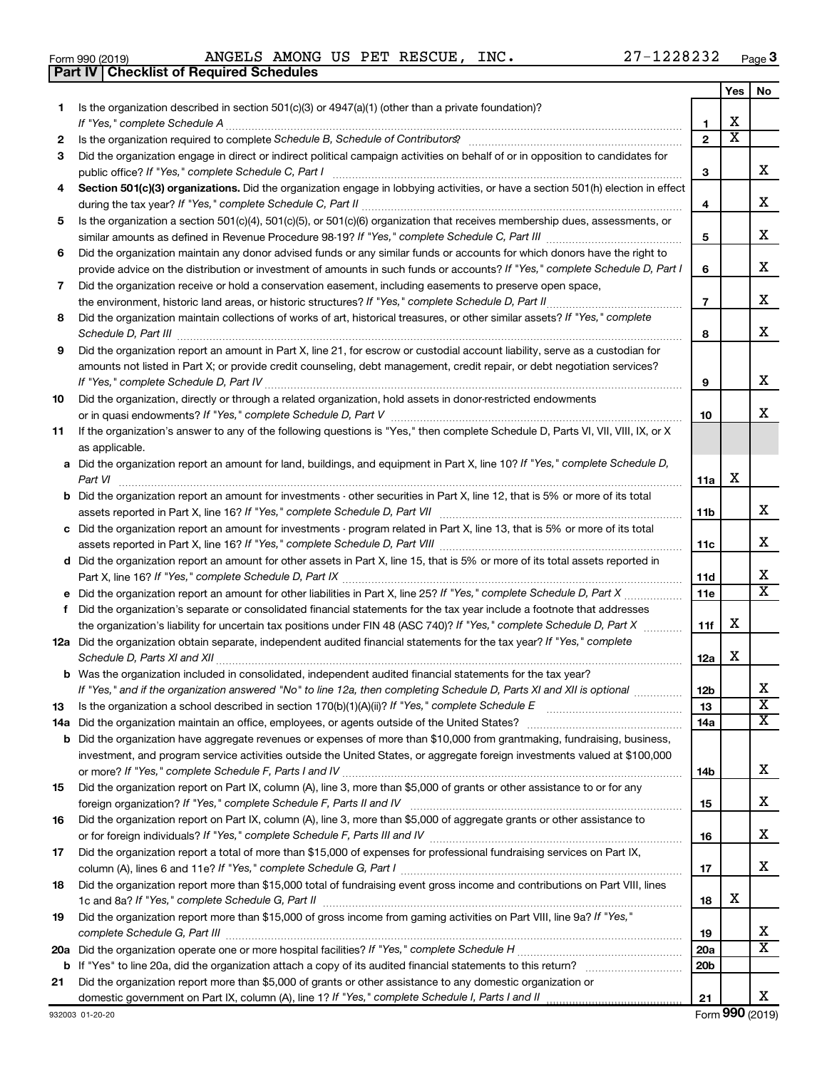**19**

**21**

|     | ANGELS AMONG US PET RESCUE, INC.<br>27-1228232<br>Form 990 (2019)<br><b>Checklist of Required Schedules</b><br>Part IV                                                                                                                                    |                       |                         | Page |
|-----|-----------------------------------------------------------------------------------------------------------------------------------------------------------------------------------------------------------------------------------------------------------|-----------------------|-------------------------|------|
|     |                                                                                                                                                                                                                                                           |                       | Yes                     | No   |
| 1.  | Is the organization described in section $501(c)(3)$ or $4947(a)(1)$ (other than a private foundation)?                                                                                                                                                   |                       |                         |      |
|     |                                                                                                                                                                                                                                                           | 1                     | х                       |      |
| 2   |                                                                                                                                                                                                                                                           | $\overline{2}$        | $\overline{\textbf{x}}$ |      |
| 3   | Did the organization engage in direct or indirect political campaign activities on behalf of or in opposition to candidates for                                                                                                                           |                       |                         | х    |
| 4   | Section 501(c)(3) organizations. Did the organization engage in lobbying activities, or have a section 501(h) election in effect                                                                                                                          | з                     |                         |      |
|     |                                                                                                                                                                                                                                                           | 4                     |                         | х    |
| 5.  | Is the organization a section 501(c)(4), 501(c)(5), or 501(c)(6) organization that receives membership dues, assessments, or                                                                                                                              |                       |                         |      |
|     |                                                                                                                                                                                                                                                           | 5                     |                         | х    |
| 6   | Did the organization maintain any donor advised funds or any similar funds or accounts for which donors have the right to<br>provide advice on the distribution or investment of amounts in such funds or accounts? If "Yes," complete Schedule D, Part I | 6                     |                         | х    |
| 7   | Did the organization receive or hold a conservation easement, including easements to preserve open space,                                                                                                                                                 |                       |                         |      |
|     |                                                                                                                                                                                                                                                           | $\overline{7}$        |                         | X    |
| 8   | Did the organization maintain collections of works of art, historical treasures, or other similar assets? If "Yes," complete<br>Schedule D, Part III <b>www.community.community.community.community.community.com</b>                                     | 8                     |                         | X    |
| 9   | Did the organization report an amount in Part X, line 21, for escrow or custodial account liability, serve as a custodian for                                                                                                                             |                       |                         |      |
|     | amounts not listed in Part X; or provide credit counseling, debt management, credit repair, or debt negotiation services?                                                                                                                                 |                       |                         |      |
|     |                                                                                                                                                                                                                                                           | 9                     |                         | x    |
| 10  | Did the organization, directly or through a related organization, hold assets in donor-restricted endowments                                                                                                                                              |                       |                         |      |
|     |                                                                                                                                                                                                                                                           | 10                    |                         | х    |
| 11  | If the organization's answer to any of the following questions is "Yes," then complete Schedule D, Parts VI, VII, VIII, IX, or X<br>as applicable.                                                                                                        |                       |                         |      |
|     | a Did the organization report an amount for land, buildings, and equipment in Part X, line 10? If "Yes," complete Schedule D,<br>Part VI                                                                                                                  | 11a                   | х                       |      |
|     | <b>b</b> Did the organization report an amount for investments - other securities in Part X, line 12, that is 5% or more of its total                                                                                                                     |                       |                         |      |
|     | assets reported in Part X, line 16? If "Yes," complete Schedule D, Part VII                                                                                                                                                                               | 11 <sub>b</sub>       |                         | х    |
|     | c Did the organization report an amount for investments - program related in Part X, line 13, that is 5% or more of its total                                                                                                                             |                       |                         |      |
|     |                                                                                                                                                                                                                                                           | 11c                   |                         | х    |
|     | d Did the organization report an amount for other assets in Part X, line 15, that is 5% or more of its total assets reported in                                                                                                                           |                       |                         |      |
|     |                                                                                                                                                                                                                                                           | <b>11d</b>            |                         | Χ    |
|     |                                                                                                                                                                                                                                                           | 11e                   |                         | X    |
| f   | Did the organization's separate or consolidated financial statements for the tax year include a footnote that addresses                                                                                                                                   | 11f                   | х                       |      |
|     | the organization's liability for uncertain tax positions under FIN 48 (ASC 740)? If "Yes," complete Schedule D, Part X<br>12a Did the organization obtain separate, independent audited financial statements for the tax year? If "Yes," complete         |                       |                         |      |
|     |                                                                                                                                                                                                                                                           | 12a                   | х                       |      |
|     | b Was the organization included in consolidated, independent audited financial statements for the tax year?                                                                                                                                               |                       |                         | х    |
| 13  | If "Yes," and if the organization answered "No" to line 12a, then completing Schedule D, Parts XI and XII is optional <i>maniming</i>                                                                                                                     | 12 <sub>b</sub><br>13 |                         | X    |
| 14a |                                                                                                                                                                                                                                                           | 14a                   |                         | X    |
|     | <b>b</b> Did the organization have aggregate revenues or expenses of more than \$10,000 from grantmaking, fundraising, business,                                                                                                                          |                       |                         |      |
|     | investment, and program service activities outside the United States, or aggregate foreign investments valued at \$100,000                                                                                                                                |                       |                         | х    |
| 15  | Did the organization report on Part IX, column (A), line 3, more than \$5,000 of grants or other assistance to or for any                                                                                                                                 | 14b                   |                         |      |
|     |                                                                                                                                                                                                                                                           | 15                    |                         | х    |
| 16  | Did the organization report on Part IX, column (A), line 3, more than \$5,000 of aggregate grants or other assistance to                                                                                                                                  |                       |                         |      |
|     | or for foreign individuals? If "Yes," complete Schedule F, Parts III and IV [11] mannon controller mannon controller to the Schedule F, Parts III and IV [11] mannon controller mannon controller to the Schedule P, Parts III                            | 16                    |                         | х    |
| 17  | Did the organization report a total of more than \$15,000 of expenses for professional fundraising services on Part IX,                                                                                                                                   | 17                    |                         | х    |
| 18  | Did the organization report more than \$15,000 total of fundraising event gross income and contributions on Part VIII, lines                                                                                                                              |                       |                         |      |
|     | 1c and 8a? If "Yes," complete Schedule G, Part II                                                                                                                                                                                                         | 18                    | х                       |      |

**20 a** *If "Yes," complete Schedule H* Did the organization operate one or more hospital facilities? ~~~~~~~~~~~~~~~~~

Did the organization report more than \$15,000 of gross income from gaming activities on Part VIII, line 9a? If "Yes,"

Did the organization report more than \$5,000 of grants or other assistance to any domestic organization or

**b** If "Yes" to line 20a, did the organization attach a copy of its audited financial statements to this return? ~~~~~~~~~~

*complete Schedule G, Part III* ~~~~~~~~~~~~~~~~~~~~~~~~~~~~~~~~~~~~~~~~~~~~~~~

*If "Yes," complete Schedule I, Parts I and II* domestic government on Part IX, column (A), line 1? ~~~~~~~~~~~~~~

**19 20a 20b**

**21**

**Yes No**

X

X

X

X

X

X

X

X

X

X X

X X X

X

X

X

X

X X

X

Form (2019) **990**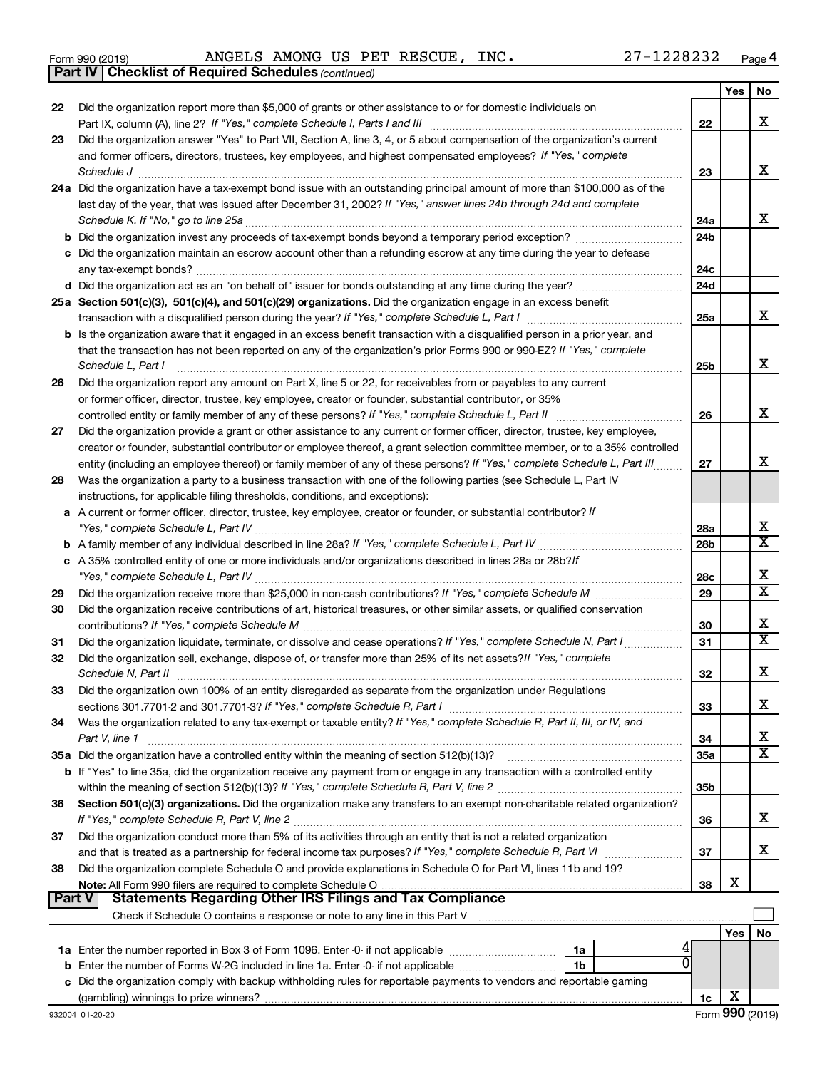|  | Form 990 (2019) |
|--|-----------------|
|  |                 |

*(continued)* **Part IV Checklist of Required Schedules**

|               |                                                                                                                                                                                                                                                            |                 | Yes | No                    |
|---------------|------------------------------------------------------------------------------------------------------------------------------------------------------------------------------------------------------------------------------------------------------------|-----------------|-----|-----------------------|
| 22            | Did the organization report more than \$5,000 of grants or other assistance to or for domestic individuals on                                                                                                                                              |                 |     |                       |
|               |                                                                                                                                                                                                                                                            | 22              |     | х                     |
| 23            | Did the organization answer "Yes" to Part VII, Section A, line 3, 4, or 5 about compensation of the organization's current                                                                                                                                 |                 |     |                       |
|               | and former officers, directors, trustees, key employees, and highest compensated employees? If "Yes," complete                                                                                                                                             |                 |     |                       |
|               | Schedule J                                                                                                                                                                                                                                                 | 23              |     | x                     |
|               | 24a Did the organization have a tax-exempt bond issue with an outstanding principal amount of more than \$100,000 as of the                                                                                                                                |                 |     |                       |
|               | last day of the year, that was issued after December 31, 2002? If "Yes," answer lines 24b through 24d and complete                                                                                                                                         |                 |     |                       |
|               |                                                                                                                                                                                                                                                            | 24a             |     | х                     |
|               |                                                                                                                                                                                                                                                            | 24 <sub>b</sub> |     |                       |
|               | c Did the organization maintain an escrow account other than a refunding escrow at any time during the year to defease                                                                                                                                     |                 |     |                       |
|               |                                                                                                                                                                                                                                                            | 24c             |     |                       |
|               | d Did the organization act as an "on behalf of" issuer for bonds outstanding at any time during the year?                                                                                                                                                  | 24d             |     |                       |
|               | 25a Section 501(c)(3), 501(c)(4), and 501(c)(29) organizations. Did the organization engage in an excess benefit                                                                                                                                           |                 |     | x                     |
|               |                                                                                                                                                                                                                                                            | 25a             |     |                       |
|               | b Is the organization aware that it engaged in an excess benefit transaction with a disqualified person in a prior year, and                                                                                                                               |                 |     |                       |
|               | that the transaction has not been reported on any of the organization's prior Forms 990 or 990-EZ? If "Yes," complete                                                                                                                                      |                 |     | х                     |
|               | Schedule L, Part I                                                                                                                                                                                                                                         | 25b             |     |                       |
| 26            | Did the organization report any amount on Part X, line 5 or 22, for receivables from or payables to any current                                                                                                                                            |                 |     |                       |
|               | or former officer, director, trustee, key employee, creator or founder, substantial contributor, or 35%<br>controlled entity or family member of any of these persons? If "Yes," complete Schedule L, Part II                                              | 26              |     | x                     |
|               |                                                                                                                                                                                                                                                            |                 |     |                       |
| 27            | Did the organization provide a grant or other assistance to any current or former officer, director, trustee, key employee,<br>creator or founder, substantial contributor or employee thereof, a grant selection committee member, or to a 35% controlled |                 |     |                       |
|               | entity (including an employee thereof) or family member of any of these persons? If "Yes," complete Schedule L, Part III                                                                                                                                   | 27              |     | х                     |
| 28            | Was the organization a party to a business transaction with one of the following parties (see Schedule L, Part IV                                                                                                                                          |                 |     |                       |
|               | instructions, for applicable filing thresholds, conditions, and exceptions):                                                                                                                                                                               |                 |     |                       |
| а             | A current or former officer, director, trustee, key employee, creator or founder, or substantial contributor? If                                                                                                                                           |                 |     |                       |
|               |                                                                                                                                                                                                                                                            | 28a             |     | х                     |
|               |                                                                                                                                                                                                                                                            | 28 <sub>b</sub> |     | X                     |
|               | c A 35% controlled entity of one or more individuals and/or organizations described in lines 28a or 28b?If                                                                                                                                                 |                 |     |                       |
|               |                                                                                                                                                                                                                                                            | 28c             |     | х                     |
| 29            |                                                                                                                                                                                                                                                            | 29              |     | $\overline{\text{X}}$ |
| 30            | Did the organization receive contributions of art, historical treasures, or other similar assets, or qualified conservation                                                                                                                                |                 |     |                       |
|               |                                                                                                                                                                                                                                                            | 30              |     | х                     |
| 31            | Did the organization liquidate, terminate, or dissolve and cease operations? If "Yes," complete Schedule N, Part I                                                                                                                                         | 31              |     | X                     |
| 32            | Did the organization sell, exchange, dispose of, or transfer more than 25% of its net assets? If "Yes," complete                                                                                                                                           |                 |     |                       |
|               | Schedule N, Part II                                                                                                                                                                                                                                        | 32              |     | х                     |
| 33            | Did the organization own 100% of an entity disregarded as separate from the organization under Regulations                                                                                                                                                 |                 |     |                       |
|               |                                                                                                                                                                                                                                                            | 33              |     | х                     |
| 34            | Was the organization related to any tax-exempt or taxable entity? If "Yes," complete Schedule R, Part II, III, or IV, and                                                                                                                                  |                 |     |                       |
|               | Part V, line 1                                                                                                                                                                                                                                             | 34              |     | х                     |
|               |                                                                                                                                                                                                                                                            | 35a             |     | x                     |
|               | b If "Yes" to line 35a, did the organization receive any payment from or engage in any transaction with a controlled entity                                                                                                                                |                 |     |                       |
|               |                                                                                                                                                                                                                                                            | 35b             |     |                       |
| 36            | Section 501(c)(3) organizations. Did the organization make any transfers to an exempt non-charitable related organization?                                                                                                                                 |                 |     |                       |
|               |                                                                                                                                                                                                                                                            | 36              |     | x                     |
| 37            | Did the organization conduct more than 5% of its activities through an entity that is not a related organization                                                                                                                                           |                 |     |                       |
|               |                                                                                                                                                                                                                                                            | 37              |     | x                     |
| 38            | Did the organization complete Schedule O and provide explanations in Schedule O for Part VI, lines 11b and 19?                                                                                                                                             |                 |     |                       |
|               |                                                                                                                                                                                                                                                            | 38              | х   |                       |
| <b>Part V</b> | <b>Statements Regarding Other IRS Filings and Tax Compliance</b>                                                                                                                                                                                           |                 |     |                       |
|               |                                                                                                                                                                                                                                                            |                 |     |                       |
|               |                                                                                                                                                                                                                                                            |                 | Yes | No                    |
|               | 1a Enter the number reported in Box 3 of Form 1096. Enter -0- if not applicable <i>manumerane comparement</i><br>1a                                                                                                                                        |                 |     |                       |
|               | <b>b</b> Enter the number of Forms W-2G included in line 1a. Enter -0- if not applicable <i>manumumumum</i><br>1b                                                                                                                                          |                 |     |                       |
|               | c Did the organization comply with backup withholding rules for reportable payments to vendors and reportable gaming                                                                                                                                       |                 | x   |                       |
|               |                                                                                                                                                                                                                                                            | 1c              |     |                       |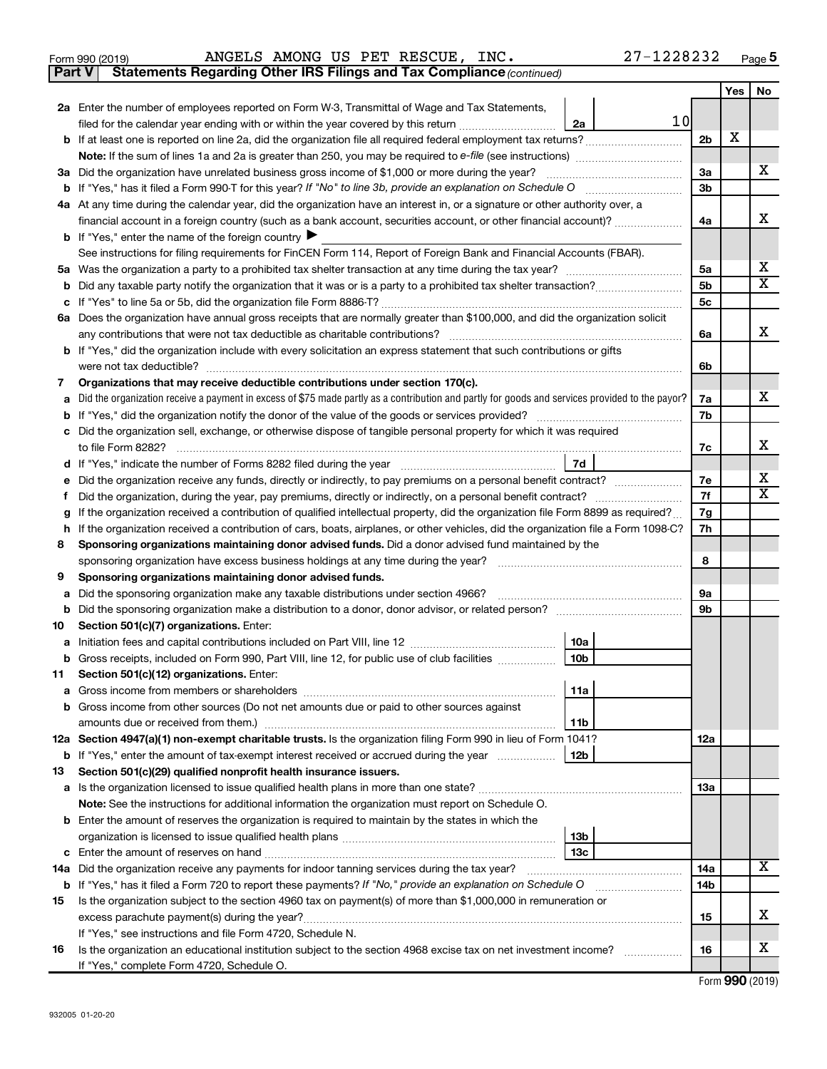|  | Form 990 (2019) |
|--|-----------------|
|  |                 |

**Part V** Statements Regarding Other IRS Filings and Tax Compliance (continued)

|    |                                                                                                                                                                               |            | Yes | No |
|----|-------------------------------------------------------------------------------------------------------------------------------------------------------------------------------|------------|-----|----|
|    | 2a Enter the number of employees reported on Form W-3, Transmittal of Wage and Tax Statements,                                                                                |            |     |    |
|    | 10<br>filed for the calendar year ending with or within the year covered by this return<br>2a                                                                                 |            |     |    |
|    |                                                                                                                                                                               | 2b         | х   |    |
|    |                                                                                                                                                                               |            |     |    |
|    | 3a Did the organization have unrelated business gross income of \$1,000 or more during the year?                                                                              | За         |     | х  |
|    |                                                                                                                                                                               | 3b         |     |    |
|    | 4a At any time during the calendar year, did the organization have an interest in, or a signature or other authority over, a                                                  |            |     |    |
|    | financial account in a foreign country (such as a bank account, securities account, or other financial account)?                                                              | 4a         |     | х  |
|    | <b>b</b> If "Yes," enter the name of the foreign country $\blacktriangleright$                                                                                                |            |     |    |
|    | See instructions for filing requirements for FinCEN Form 114, Report of Foreign Bank and Financial Accounts (FBAR).                                                           |            |     |    |
|    |                                                                                                                                                                               | 5a         |     | х  |
|    |                                                                                                                                                                               | 5b         |     | X  |
|    |                                                                                                                                                                               | 5c         |     |    |
|    | 6a Does the organization have annual gross receipts that are normally greater than \$100,000, and did the organization solicit                                                |            |     |    |
|    |                                                                                                                                                                               | 6a         |     | х  |
|    | <b>b</b> If "Yes," did the organization include with every solicitation an express statement that such contributions or gifts                                                 |            |     |    |
|    |                                                                                                                                                                               | 6b         |     |    |
| 7  | Organizations that may receive deductible contributions under section 170(c).                                                                                                 |            |     |    |
|    | a Did the organization receive a payment in excess of \$75 made partly as a contribution and partly for goods and services provided to the payor?                             | 7a         |     | х  |
|    |                                                                                                                                                                               | 7b         |     |    |
|    | c Did the organization sell, exchange, or otherwise dispose of tangible personal property for which it was required                                                           |            |     |    |
|    |                                                                                                                                                                               | 7c         |     | х  |
|    | 7d                                                                                                                                                                            |            |     |    |
|    | e Did the organization receive any funds, directly or indirectly, to pay premiums on a personal benefit contract?                                                             | 7e         |     | х  |
| f  | Did the organization, during the year, pay premiums, directly or indirectly, on a personal benefit contract?                                                                  | 7f         |     | x  |
| g  | If the organization received a contribution of qualified intellectual property, did the organization file Form 8899 as required?                                              | 7g         |     |    |
| h  | If the organization received a contribution of cars, boats, airplanes, or other vehicles, did the organization file a Form 1098-C?                                            | 7h         |     |    |
| 8  | Sponsoring organizations maintaining donor advised funds. Did a donor advised fund maintained by the                                                                          |            |     |    |
|    |                                                                                                                                                                               | 8          |     |    |
| 9  | Sponsoring organizations maintaining donor advised funds.                                                                                                                     |            |     |    |
| a  | Did the sponsoring organization make any taxable distributions under section 4966?                                                                                            | 9а         |     |    |
|    |                                                                                                                                                                               | 9b         |     |    |
| 10 | Section 501(c)(7) organizations. Enter:                                                                                                                                       |            |     |    |
|    | 10a                                                                                                                                                                           |            |     |    |
|    | 10 <sub>b</sub><br><b>b</b> Gross receipts, included on Form 990, Part VIII, line 12, for public use of club facilities                                                       |            |     |    |
| 11 | Section 501(c)(12) organizations. Enter:                                                                                                                                      |            |     |    |
|    | 11a                                                                                                                                                                           |            |     |    |
|    | <b>b</b> Gross income from other sources (Do not net amounts due or paid to other sources against                                                                             |            |     |    |
|    | 11b                                                                                                                                                                           |            |     |    |
|    | 12a Section 4947(a)(1) non-exempt charitable trusts. Is the organization filing Form 990 in lieu of Form 1041?                                                                | 12a        |     |    |
|    | 12b<br><b>b</b> If "Yes," enter the amount of tax-exempt interest received or accrued during the year                                                                         |            |     |    |
| 13 | Section 501(c)(29) qualified nonprofit health insurance issuers.                                                                                                              |            |     |    |
|    |                                                                                                                                                                               | <b>13a</b> |     |    |
|    | Note: See the instructions for additional information the organization must report on Schedule O.                                                                             |            |     |    |
|    | <b>b</b> Enter the amount of reserves the organization is required to maintain by the states in which the                                                                     |            |     |    |
|    | 13b                                                                                                                                                                           |            |     |    |
|    | 13c                                                                                                                                                                           | 14a        |     | x  |
|    | 14a Did the organization receive any payments for indoor tanning services during the tax year?                                                                                |            |     |    |
|    | <b>b</b> If "Yes," has it filed a Form 720 to report these payments? If "No," provide an explanation on Schedule O                                                            | 14b        |     |    |
| 15 | Is the organization subject to the section 4960 tax on payment(s) of more than \$1,000,000 in remuneration or                                                                 |            |     | х  |
|    | excess parachute payment(s) during the year?                                                                                                                                  | 15         |     |    |
|    | If "Yes," see instructions and file Form 4720, Schedule N.<br>Is the organization an educational institution subject to the section 4968 excise tax on net investment income? | 16         |     | х  |
| 16 | If "Yes," complete Form 4720, Schedule O.                                                                                                                                     |            |     |    |
|    |                                                                                                                                                                               |            |     |    |

Form (2019) **990**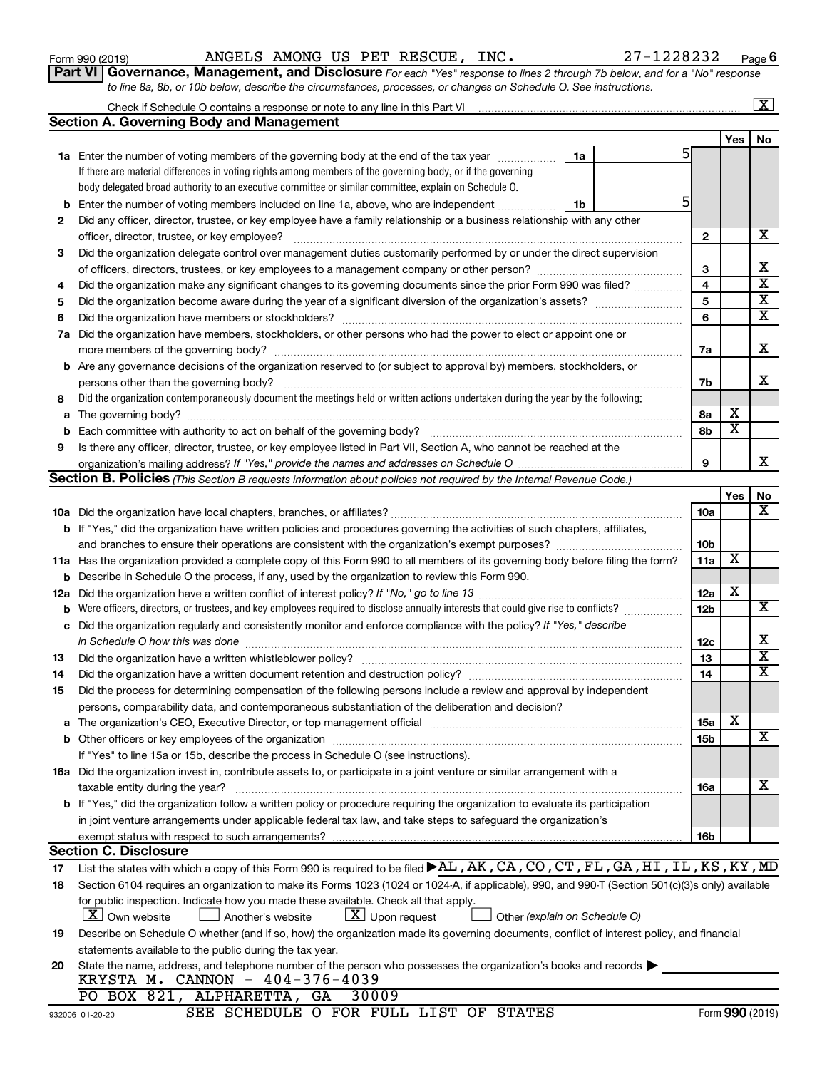| Form 990 (2019) |
|-----------------|
|-----------------|

Form 990 (2019) Page ANGELS AMONG US PET RESCUE, INC. 27-1228232

**Part VI** Governance, Management, and Disclosure For each "Yes" response to lines 2 through 7b below, and for a "No" response *to line 8a, 8b, or 10b below, describe the circumstances, processes, or changes on Schedule O. See instructions.*

|     | Check if Schedule O contains a response or note to any line in this Part VI [11] [11] [11] Check if Schedule O contains a response or note to any line in this Part VI                                                   |    |   |                         |                         | $\overline{\mathbf{x}}$ |
|-----|--------------------------------------------------------------------------------------------------------------------------------------------------------------------------------------------------------------------------|----|---|-------------------------|-------------------------|-------------------------|
|     | <b>Section A. Governing Body and Management</b>                                                                                                                                                                          |    |   |                         |                         |                         |
|     |                                                                                                                                                                                                                          |    |   |                         | Yes                     | No                      |
|     | 1a Enter the number of voting members of the governing body at the end of the tax year                                                                                                                                   | 1a |   |                         |                         |                         |
|     | If there are material differences in voting rights among members of the governing body, or if the governing                                                                                                              |    |   |                         |                         |                         |
|     | body delegated broad authority to an executive committee or similar committee, explain on Schedule O.                                                                                                                    |    |   |                         |                         |                         |
| b   | Enter the number of voting members included on line 1a, above, who are independent                                                                                                                                       | 1b | 5 |                         |                         |                         |
| 2   | Did any officer, director, trustee, or key employee have a family relationship or a business relationship with any other                                                                                                 |    |   |                         |                         |                         |
|     | officer, director, trustee, or key employee?                                                                                                                                                                             |    |   | $\mathbf{2}$            |                         | х                       |
| 3   | Did the organization delegate control over management duties customarily performed by or under the direct supervision                                                                                                    |    |   |                         |                         |                         |
|     |                                                                                                                                                                                                                          |    |   | 3                       |                         | x                       |
| 4   | Did the organization make any significant changes to its governing documents since the prior Form 990 was filed?                                                                                                         |    |   | $\overline{\mathbf{4}}$ |                         | $\overline{\text{x}}$   |
| 5   |                                                                                                                                                                                                                          |    |   | 5                       |                         | $\overline{\textbf{x}}$ |
| 6   |                                                                                                                                                                                                                          |    |   | 6                       |                         | $\overline{\textbf{x}}$ |
| 7a  | Did the organization have members, stockholders, or other persons who had the power to elect or appoint one or                                                                                                           |    |   |                         |                         |                         |
|     |                                                                                                                                                                                                                          |    |   | 7a                      |                         | х                       |
| b   | Are any governance decisions of the organization reserved to (or subject to approval by) members, stockholders, or                                                                                                       |    |   |                         |                         |                         |
|     | persons other than the governing body?                                                                                                                                                                                   |    |   | 7b                      |                         | X.                      |
| 8   | Did the organization contemporaneously document the meetings held or written actions undertaken during the year by the following:                                                                                        |    |   |                         |                         |                         |
| а   |                                                                                                                                                                                                                          |    |   | 8а                      | х                       |                         |
| b   |                                                                                                                                                                                                                          |    |   | 8b                      | $\overline{\textbf{x}}$ |                         |
| 9   | Is there any officer, director, trustee, or key employee listed in Part VII, Section A, who cannot be reached at the                                                                                                     |    |   |                         |                         |                         |
|     |                                                                                                                                                                                                                          |    |   | 9                       |                         | x.                      |
|     | Section B. Policies (This Section B requests information about policies not required by the Internal Revenue Code.)                                                                                                      |    |   |                         |                         |                         |
|     |                                                                                                                                                                                                                          |    |   |                         | Yes                     | No                      |
|     |                                                                                                                                                                                                                          |    |   | 10a                     |                         | x                       |
|     | <b>b</b> If "Yes," did the organization have written policies and procedures governing the activities of such chapters, affiliates,                                                                                      |    |   |                         |                         |                         |
|     |                                                                                                                                                                                                                          |    |   | 10 <sub>b</sub>         |                         |                         |
|     | 11a Has the organization provided a complete copy of this Form 990 to all members of its governing body before filing the form?                                                                                          |    |   | 11a                     | X                       |                         |
| b   | Describe in Schedule O the process, if any, used by the organization to review this Form 990.                                                                                                                            |    |   |                         |                         |                         |
| 12a | Did the organization have a written conflict of interest policy? If "No," go to line 13                                                                                                                                  |    |   | 12a                     | х                       |                         |
| b   | Were officers, directors, or trustees, and key employees required to disclose annually interests that could give rise to conflicts?                                                                                      |    |   | 12b                     |                         | X                       |
| с   | Did the organization regularly and consistently monitor and enforce compliance with the policy? If "Yes," describe                                                                                                       |    |   |                         |                         |                         |
|     | in Schedule O how this was done                                                                                                                                                                                          |    |   | 12c                     |                         | х                       |
| 13  | Did the organization have a written whistleblower policy?                                                                                                                                                                |    |   | 13                      |                         | $\overline{\text{x}}$   |
| 14  |                                                                                                                                                                                                                          |    |   | 14                      |                         | $\overline{\text{X}}$   |
| 15  | Did the process for determining compensation of the following persons include a review and approval by independent                                                                                                       |    |   |                         |                         |                         |
|     | persons, comparability data, and contemporaneous substantiation of the deliberation and decision?                                                                                                                        |    |   |                         |                         |                         |
|     | The organization's CEO, Executive Director, or top management official manufactured content content of the organization's CEO, Executive Director, or top management official manufactured content of the organization's |    |   | 15a                     | х                       |                         |
|     |                                                                                                                                                                                                                          |    |   | 15b                     |                         | x                       |
|     | If "Yes" to line 15a or 15b, describe the process in Schedule O (see instructions).                                                                                                                                      |    |   |                         |                         |                         |
|     | 16a Did the organization invest in, contribute assets to, or participate in a joint venture or similar arrangement with a                                                                                                |    |   |                         |                         |                         |
|     | taxable entity during the year?                                                                                                                                                                                          |    |   | 16a                     |                         | х                       |
|     | b If "Yes," did the organization follow a written policy or procedure requiring the organization to evaluate its participation                                                                                           |    |   |                         |                         |                         |
|     | in joint venture arrangements under applicable federal tax law, and take steps to safeguard the organization's                                                                                                           |    |   |                         |                         |                         |
|     | exempt status with respect to such arrangements?                                                                                                                                                                         |    |   | 16b                     |                         |                         |
|     | <b>Section C. Disclosure</b>                                                                                                                                                                                             |    |   |                         |                         |                         |
| 17  | List the states with which a copy of this Form 990 is required to be filed AL, AK, CA, CO, CT, FL, GA, HI, IL, KS, KY, MD                                                                                                |    |   |                         |                         |                         |
| 18  | Section 6104 requires an organization to make its Forms 1023 (1024 or 1024-A, if applicable), 990, and 990-T (Section 501(c)(3)s only) available                                                                         |    |   |                         |                         |                         |
|     | for public inspection. Indicate how you made these available. Check all that apply.                                                                                                                                      |    |   |                         |                         |                         |
|     | $X$ Upon request<br>$ \mathbf{X} $ Own website<br>Another's website<br>Other (explain on Schedule O)                                                                                                                     |    |   |                         |                         |                         |
| 19  | Describe on Schedule O whether (and if so, how) the organization made its governing documents, conflict of interest policy, and financial                                                                                |    |   |                         |                         |                         |
|     | statements available to the public during the tax year.                                                                                                                                                                  |    |   |                         |                         |                         |
| 20  | State the name, address, and telephone number of the person who possesses the organization's books and records                                                                                                           |    |   |                         |                         |                         |
|     | KRYSTA M. CANNON - 404-376-4039                                                                                                                                                                                          |    |   |                         |                         |                         |
|     | PO BOX 821, ALPHARETTA, GA<br>30009                                                                                                                                                                                      |    |   |                         |                         |                         |

SEE SCHEDULE O FOR FULL LIST OF STATES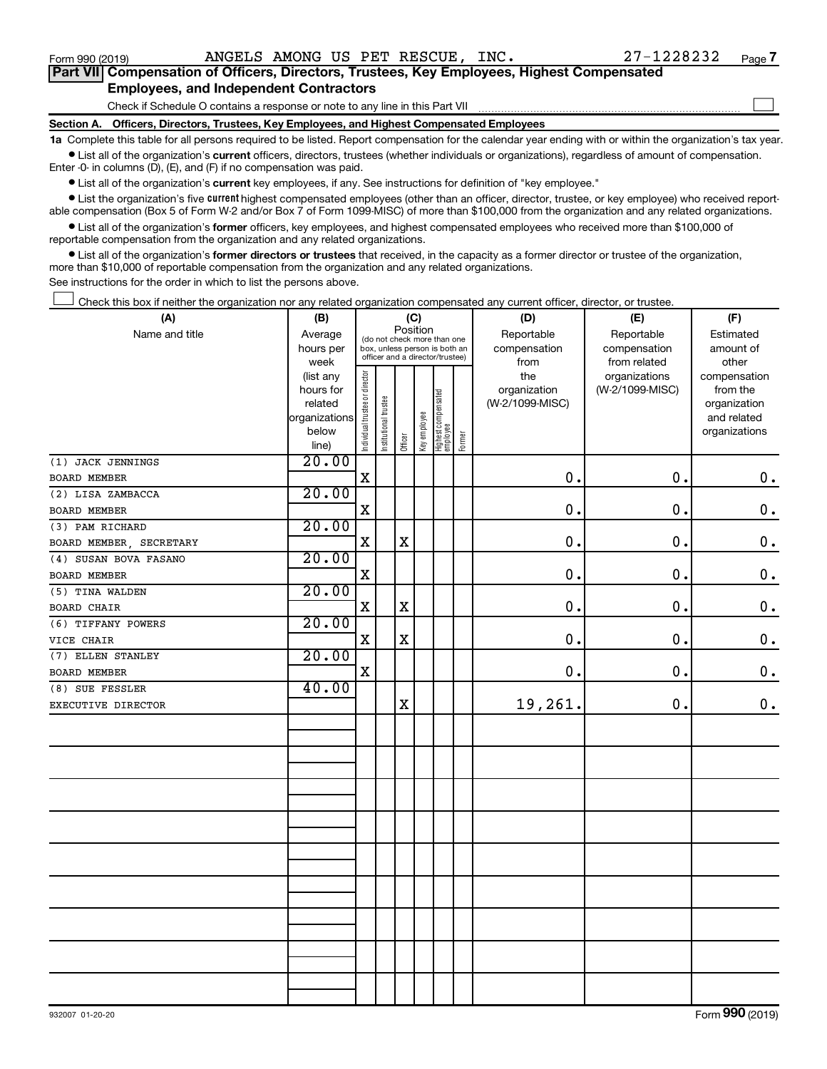$\Box$ 

| Part VII Compensation of Officers, Directors, Trustees, Key Employees, Highest Compensated |
|--------------------------------------------------------------------------------------------|
| <b>Employees, and Independent Contractors</b>                                              |

Check if Schedule O contains a response or note to any line in this Part VII

**Section A. Officers, Directors, Trustees, Key Employees, and Highest Compensated Employees**

**1a**  Complete this table for all persons required to be listed. Report compensation for the calendar year ending with or within the organization's tax year.  $\bullet$  List all of the organization's current officers, directors, trustees (whether individuals or organizations), regardless of amount of compensation.

Enter -0- in columns (D), (E), and (F) if no compensation was paid.

**•** List all of the organization's current key employees, if any. See instructions for definition of "key employee."

• List the organization's five *current* highest compensated employees (other than an officer, director, trustee, or key employee) who received reportable compensation (Box 5 of Form W-2 and/or Box 7 of Form 1099-MISC) of more than \$100,000 from the organization and any related organizations.

 $\bullet$  List all of the organization's former officers, key employees, and highest compensated employees who received more than \$100,000 of reportable compensation from the organization and any related organizations.

**•** List all of the organization's former directors or trustees that received, in the capacity as a former director or trustee of the organization, more than \$10,000 of reportable compensation from the organization and any related organizations.

See instructions for the order in which to list the persons above.

Check this box if neither the organization nor any related organization compensated any current officer, director, or trustee.  $\Box$ 

| (A)                     | (B)                      |                                |                       |             | (C)          |                                                                  |        | (D)                             | (E)             | (F)                         |
|-------------------------|--------------------------|--------------------------------|-----------------------|-------------|--------------|------------------------------------------------------------------|--------|---------------------------------|-----------------|-----------------------------|
| Name and title          | Average                  |                                |                       | Position    |              | (do not check more than one                                      |        | Reportable                      | Reportable      | Estimated                   |
|                         | hours per                |                                |                       |             |              | box, unless person is both an<br>officer and a director/trustee) |        | compensation                    | compensation    | amount of                   |
|                         | week                     |                                |                       |             |              |                                                                  |        | from                            | from related    | other                       |
|                         | (list any                |                                |                       |             |              |                                                                  |        | the                             | organizations   | compensation                |
|                         | hours for                |                                |                       |             |              |                                                                  |        | organization<br>(W-2/1099-MISC) | (W-2/1099-MISC) | from the                    |
|                         | related<br>organizations |                                |                       |             |              |                                                                  |        |                                 |                 | organization<br>and related |
|                         | below                    |                                |                       |             |              |                                                                  |        |                                 |                 | organizations               |
|                         | line)                    | Individual trustee or director | Institutional trustee | Officer     | Key employee | Highest compensated<br>employee                                  | Former |                                 |                 |                             |
| (1) JACK JENNINGS       | 20.00                    |                                |                       |             |              |                                                                  |        |                                 |                 |                             |
| BOARD MEMBER            |                          | $\mathbf X$                    |                       |             |              |                                                                  |        | 0.                              | 0.              | $\mathbf 0$ .               |
| (2) LISA ZAMBACCA       | 20.00                    |                                |                       |             |              |                                                                  |        |                                 |                 |                             |
| <b>BOARD MEMBER</b>     |                          | $\mathbf X$                    |                       |             |              |                                                                  |        | 0.                              | 0.              | $0$ .                       |
| (3) PAM RICHARD         | 20.00                    |                                |                       |             |              |                                                                  |        |                                 |                 |                             |
| BOARD MEMBER, SECRETARY |                          | $\mathbf X$                    |                       | $\mathbf X$ |              |                                                                  |        | 0.                              | $\mathbf 0$ .   | $\mathbf 0$ .               |
| (4) SUSAN BOVA FASANO   | 20.00                    |                                |                       |             |              |                                                                  |        |                                 |                 |                             |
| BOARD MEMBER            |                          | X                              |                       |             |              |                                                                  |        | $\mathbf 0$ .                   | 0.              | $\mathbf 0$ .               |
| (5) TINA WALDEN         | 20.00                    |                                |                       |             |              |                                                                  |        |                                 |                 |                             |
| <b>BOARD CHAIR</b>      |                          | $\mathbf X$                    |                       | $\mathbf X$ |              |                                                                  |        | 0.                              | 0.              | $0$ .                       |
| (6) TIFFANY POWERS      | 20.00                    |                                |                       |             |              |                                                                  |        |                                 |                 |                             |
| VICE CHAIR              |                          | X                              |                       | $\mathbf X$ |              |                                                                  |        | $\mathbf 0$ .                   | 0.              | $\mathbf 0$ .               |
| (7) ELLEN STANLEY       | 20.00                    |                                |                       |             |              |                                                                  |        |                                 |                 |                             |
| BOARD MEMBER            |                          | $\mathbf X$                    |                       |             |              |                                                                  |        | $\mathbf 0$ .                   | $\mathbf 0$ .   | $\mathbf 0$ .               |
| (8) SUE FESSLER         | 40.00                    |                                |                       |             |              |                                                                  |        |                                 |                 |                             |
| EXECUTIVE DIRECTOR      |                          |                                |                       | $\mathbf X$ |              |                                                                  |        | 19,261.                         | 0.              | 0.                          |
|                         |                          |                                |                       |             |              |                                                                  |        |                                 |                 |                             |
|                         |                          |                                |                       |             |              |                                                                  |        |                                 |                 |                             |
|                         |                          |                                |                       |             |              |                                                                  |        |                                 |                 |                             |
|                         |                          |                                |                       |             |              |                                                                  |        |                                 |                 |                             |
|                         |                          |                                |                       |             |              |                                                                  |        |                                 |                 |                             |
|                         |                          |                                |                       |             |              |                                                                  |        |                                 |                 |                             |
|                         |                          |                                |                       |             |              |                                                                  |        |                                 |                 |                             |
|                         |                          |                                |                       |             |              |                                                                  |        |                                 |                 |                             |
|                         |                          |                                |                       |             |              |                                                                  |        |                                 |                 |                             |
|                         |                          |                                |                       |             |              |                                                                  |        |                                 |                 |                             |
|                         |                          |                                |                       |             |              |                                                                  |        |                                 |                 |                             |
|                         |                          |                                |                       |             |              |                                                                  |        |                                 |                 |                             |
|                         |                          |                                |                       |             |              |                                                                  |        |                                 |                 |                             |
|                         |                          |                                |                       |             |              |                                                                  |        |                                 |                 |                             |
|                         |                          |                                |                       |             |              |                                                                  |        |                                 |                 |                             |
|                         |                          |                                |                       |             |              |                                                                  |        |                                 |                 |                             |
|                         |                          |                                |                       |             |              |                                                                  |        |                                 |                 |                             |
|                         |                          |                                |                       |             |              |                                                                  |        |                                 |                 |                             |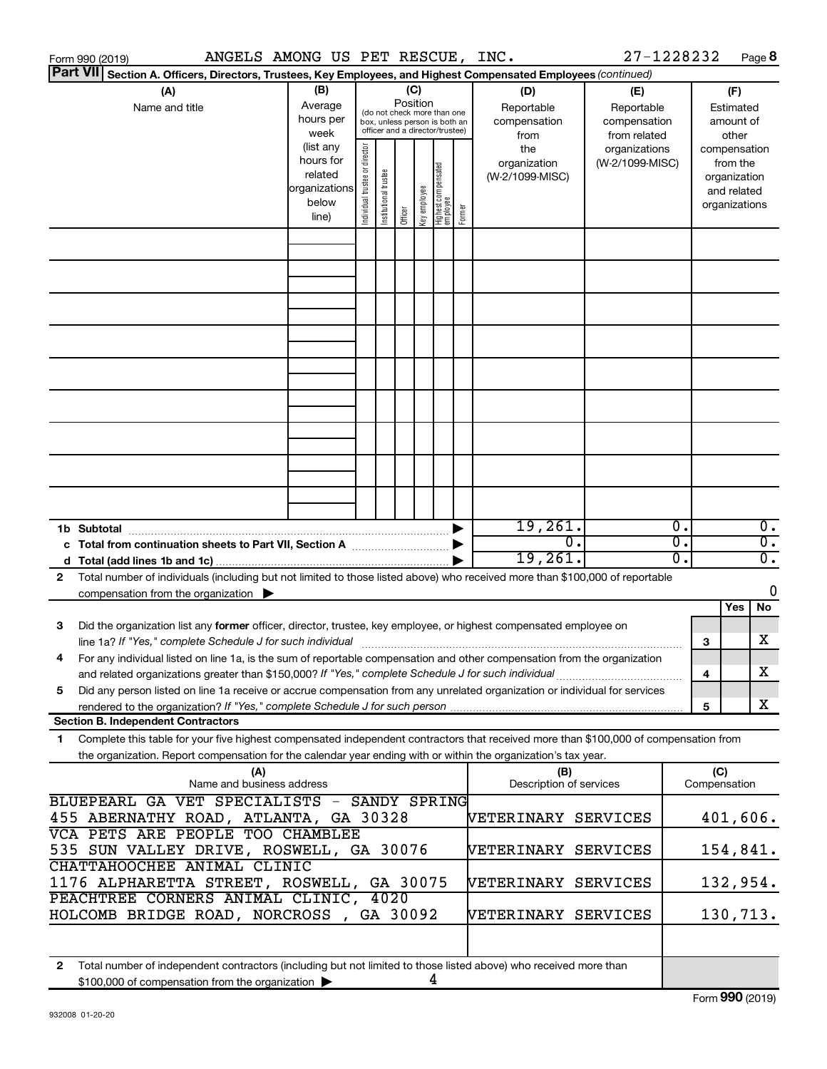| ANGELS AMONG US PET RESCUE, INC.<br>Form 990 (2019)                                                                                                                                                                                                          |                                                                      |                                  |                                                                                                 |         |              |                                   |        |                                           | 27-1228232                                        |                  |                                                                          | Page 8                               |
|--------------------------------------------------------------------------------------------------------------------------------------------------------------------------------------------------------------------------------------------------------------|----------------------------------------------------------------------|----------------------------------|-------------------------------------------------------------------------------------------------|---------|--------------|-----------------------------------|--------|-------------------------------------------|---------------------------------------------------|------------------|--------------------------------------------------------------------------|--------------------------------------|
| <b>Part VII</b><br>Section A. Officers, Directors, Trustees, Key Employees, and Highest Compensated Employees (continued)                                                                                                                                    |                                                                      |                                  |                                                                                                 |         |              |                                   |        |                                           |                                                   |                  |                                                                          |                                      |
| (A)<br>Name and title                                                                                                                                                                                                                                        | (B)<br>Average<br>hours per<br>week                                  |                                  | (do not check more than one<br>box, unless person is both an<br>officer and a director/trustee) | (C)     | Position     |                                   |        | (D)<br>Reportable<br>compensation<br>from | (E)<br>Reportable<br>compensation<br>from related |                  | (F)<br>Estimated<br>amount of<br>other                                   |                                      |
|                                                                                                                                                                                                                                                              | (list any<br>hours for<br>related<br>organizations<br>below<br>line) | director<br>ndividual trustee or | Institutional trustee                                                                           | Officer | Key employee | Highest compensated<br>  employee | Former | the<br>organization<br>(W-2/1099-MISC)    | organizations<br>(W-2/1099-MISC)                  |                  | compensation<br>from the<br>organization<br>and related<br>organizations |                                      |
|                                                                                                                                                                                                                                                              |                                                                      |                                  |                                                                                                 |         |              |                                   |        |                                           |                                                   |                  |                                                                          |                                      |
|                                                                                                                                                                                                                                                              |                                                                      |                                  |                                                                                                 |         |              |                                   |        |                                           |                                                   |                  |                                                                          |                                      |
|                                                                                                                                                                                                                                                              |                                                                      |                                  |                                                                                                 |         |              |                                   |        |                                           |                                                   |                  |                                                                          |                                      |
|                                                                                                                                                                                                                                                              |                                                                      |                                  |                                                                                                 |         |              |                                   |        |                                           |                                                   |                  |                                                                          |                                      |
|                                                                                                                                                                                                                                                              |                                                                      |                                  |                                                                                                 |         |              |                                   |        |                                           |                                                   |                  |                                                                          |                                      |
|                                                                                                                                                                                                                                                              |                                                                      |                                  |                                                                                                 |         |              |                                   |        |                                           |                                                   |                  |                                                                          |                                      |
|                                                                                                                                                                                                                                                              |                                                                      |                                  |                                                                                                 |         |              |                                   |        |                                           |                                                   |                  |                                                                          |                                      |
|                                                                                                                                                                                                                                                              |                                                                      |                                  |                                                                                                 |         |              |                                   |        |                                           |                                                   |                  |                                                                          |                                      |
|                                                                                                                                                                                                                                                              |                                                                      |                                  |                                                                                                 |         |              |                                   |        |                                           |                                                   |                  |                                                                          |                                      |
| 1b Subtotal                                                                                                                                                                                                                                                  |                                                                      |                                  |                                                                                                 |         |              |                                   |        | 19,261.                                   |                                                   | $\overline{0}$ . |                                                                          | $\overline{0}$ .                     |
| c Total from continuation sheets to Part VII, Section A manuscription of                                                                                                                                                                                     |                                                                      |                                  |                                                                                                 |         |              |                                   |        | σ.<br>19,261.                             |                                                   | σ.<br>σ.         |                                                                          | $\overline{0}$ .<br>$\overline{0}$ . |
| Total number of individuals (including but not limited to those listed above) who received more than \$100,000 of reportable<br>2                                                                                                                            |                                                                      |                                  |                                                                                                 |         |              |                                   |        |                                           |                                                   |                  |                                                                          | 0                                    |
| compensation from the organization $\blacktriangleright$                                                                                                                                                                                                     |                                                                      |                                  |                                                                                                 |         |              |                                   |        |                                           |                                                   |                  | Yes                                                                      | No                                   |
| Did the organization list any former officer, director, trustee, key employee, or highest compensated employee on<br>3                                                                                                                                       |                                                                      |                                  |                                                                                                 |         |              |                                   |        |                                           |                                                   |                  | 3                                                                        | X                                    |
| For any individual listed on line 1a, is the sum of reportable compensation and other compensation from the organization<br>and related organizations greater than \$150,000? If "Yes," complete Schedule J for such individual                              |                                                                      |                                  |                                                                                                 |         |              |                                   |        |                                           |                                                   |                  | 4                                                                        | X                                    |
| Did any person listed on line 1a receive or accrue compensation from any unrelated organization or individual for services<br>5.<br>rendered to the organization? If "Yes," complete Schedule J for such person                                              |                                                                      |                                  |                                                                                                 |         |              |                                   |        |                                           |                                                   |                  | 5                                                                        | X                                    |
| <b>Section B. Independent Contractors</b>                                                                                                                                                                                                                    |                                                                      |                                  |                                                                                                 |         |              |                                   |        |                                           |                                                   |                  |                                                                          |                                      |
| Complete this table for your five highest compensated independent contractors that received more than \$100,000 of compensation from<br>1.<br>the organization. Report compensation for the calendar year ending with or within the organization's tax year. |                                                                      |                                  |                                                                                                 |         |              |                                   |        |                                           |                                                   |                  |                                                                          |                                      |
| (A)<br>Name and business address                                                                                                                                                                                                                             |                                                                      |                                  |                                                                                                 |         |              |                                   |        | (B)<br>Description of services            |                                                   |                  | (C)<br>Compensation                                                      |                                      |
| BLUEPEARL GA VET SPECIALISTS -<br>455 ABERNATHY ROAD, ATLANTA, GA 30328                                                                                                                                                                                      |                                                                      |                                  | <b>SANDY SPRING</b>                                                                             |         |              |                                   |        | VETERINARY SERVICES                       |                                                   |                  |                                                                          | 401,606.                             |
| VCA PETS ARE PEOPLE TOO CHAMBLEE<br>535 SUN VALLEY DRIVE, ROSWELL, GA 30076                                                                                                                                                                                  |                                                                      |                                  |                                                                                                 |         |              |                                   |        | VETERINARY SERVICES                       |                                                   |                  |                                                                          | 154,841.                             |
| CHATTAHOOCHEE ANIMAL CLINIC<br>1176 ALPHARETTA STREET, ROSWELL,                                                                                                                                                                                              |                                                                      |                                  | GA 30075                                                                                        |         |              |                                   |        | VETERINARY SERVICES                       |                                                   |                  |                                                                          | 132,954.                             |
| PEACHTREE CORNERS ANIMAL CLINIC,<br>4020<br>HOLCOMB BRIDGE ROAD, NORCROSS,<br>GA 30092<br>VETERINARY SERVICES                                                                                                                                                |                                                                      |                                  |                                                                                                 |         |              |                                   |        |                                           |                                                   |                  |                                                                          | 130,713.                             |
|                                                                                                                                                                                                                                                              |                                                                      |                                  |                                                                                                 |         |              |                                   |        |                                           |                                                   |                  |                                                                          |                                      |
| Total number of independent contractors (including but not limited to those listed above) who received more than<br>$\mathbf{2}$<br>\$100,000 of compensation from the organization                                                                          |                                                                      |                                  |                                                                                                 |         | 4            |                                   |        |                                           |                                                   |                  |                                                                          |                                      |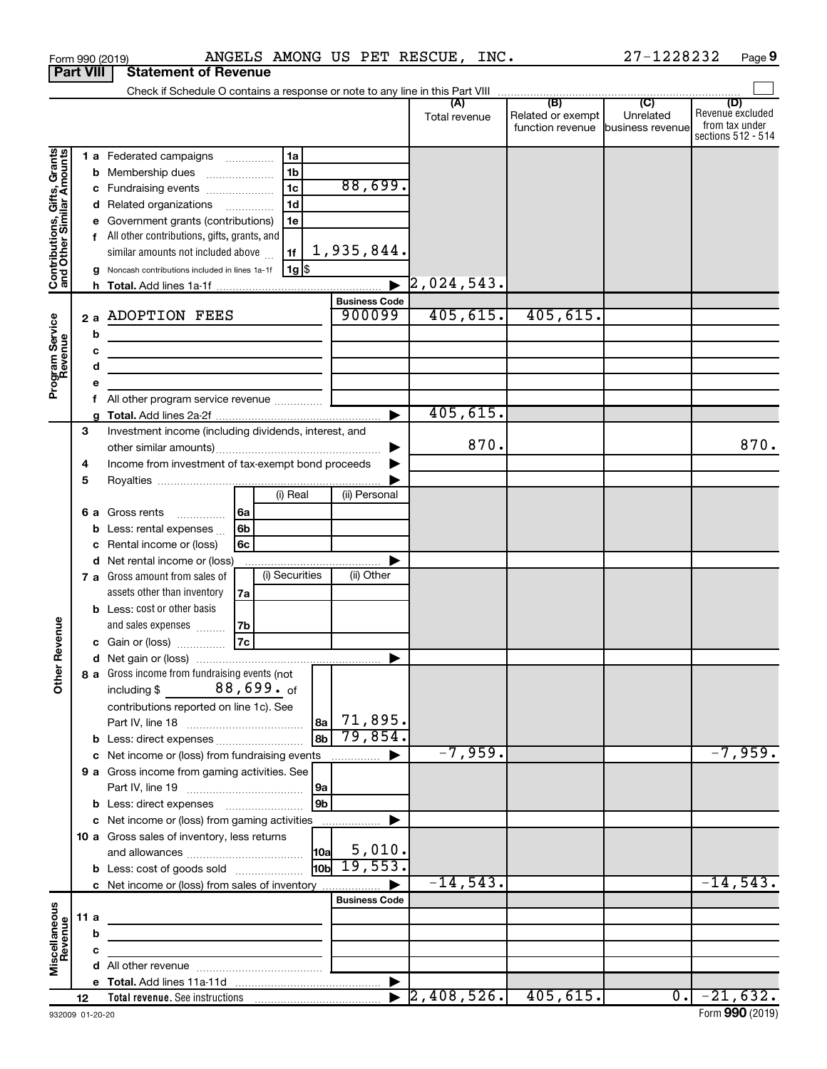|                                                           |                  | Form 990 (2019)                                                            |     |                 |                |                                | ANGELS AMONG US PET RESCUE, INC. |                                                               | 27-1228232       | Page 9                                                          |
|-----------------------------------------------------------|------------------|----------------------------------------------------------------------------|-----|-----------------|----------------|--------------------------------|----------------------------------|---------------------------------------------------------------|------------------|-----------------------------------------------------------------|
|                                                           | <b>Part VIII</b> | <b>Statement of Revenue</b>                                                |     |                 |                |                                |                                  |                                                               |                  |                                                                 |
|                                                           |                  |                                                                            |     |                 |                |                                |                                  |                                                               |                  |                                                                 |
|                                                           |                  |                                                                            |     |                 |                |                                | (A)<br>Total revenue             | (B)<br>Related or exempt<br>function revenue business revenue | (C)<br>Unrelated | (D)<br>Revenue excluded<br>from tax under<br>sections 512 - 514 |
|                                                           |                  | 1 a Federated campaigns                                                    |     | 1a              |                |                                |                                  |                                                               |                  |                                                                 |
| Contributions, Gifts, Grants<br>and Other Similar Amounts |                  | <b>b</b> Membership dues                                                   |     | 1 <sub>b</sub>  |                |                                |                                  |                                                               |                  |                                                                 |
|                                                           |                  | c Fundraising events                                                       |     | $\overline{1c}$ |                | 88,699.                        |                                  |                                                               |                  |                                                                 |
|                                                           |                  | d Related organizations                                                    |     | 1 <sub>d</sub>  |                |                                |                                  |                                                               |                  |                                                                 |
|                                                           |                  | e Government grants (contributions)                                        |     | 1e              |                |                                |                                  |                                                               |                  |                                                                 |
|                                                           |                  | f All other contributions, gifts, grants, and                              |     |                 |                |                                |                                  |                                                               |                  |                                                                 |
|                                                           |                  | similar amounts not included above                                         |     | 1f              |                | $1,935,844$ .                  |                                  |                                                               |                  |                                                                 |
|                                                           |                  | g Noncash contributions included in lines 1a-1f                            |     | $ 1g $ \$       |                |                                |                                  |                                                               |                  |                                                                 |
|                                                           |                  |                                                                            |     |                 |                |                                | $\vert 2, 024, 543.$             |                                                               |                  |                                                                 |
|                                                           |                  | 2 a ADOPTION FEES                                                          |     |                 |                | <b>Business Code</b><br>900099 | 405, 615.                        | 405,615.                                                      |                  |                                                                 |
|                                                           |                  |                                                                            |     |                 |                |                                |                                  |                                                               |                  |                                                                 |
|                                                           | b                |                                                                            |     |                 |                |                                |                                  |                                                               |                  |                                                                 |
|                                                           | c<br>d           | the control of the control of the control of the control of the control of |     |                 |                |                                |                                  |                                                               |                  |                                                                 |
| Program Service<br>Revenue                                | е                | the control of the control of the control of the control of the control of |     |                 |                |                                |                                  |                                                               |                  |                                                                 |
|                                                           |                  | f All other program service revenue                                        |     |                 |                |                                |                                  |                                                               |                  |                                                                 |
|                                                           |                  |                                                                            |     |                 |                |                                | 405, 615.                        |                                                               |                  |                                                                 |
|                                                           | 3                | Investment income (including dividends, interest, and                      |     |                 |                |                                |                                  |                                                               |                  |                                                                 |
|                                                           |                  |                                                                            |     |                 |                |                                | 870.                             |                                                               |                  | 870.                                                            |
|                                                           | 4                | Income from investment of tax-exempt bond proceeds                         |     |                 |                |                                |                                  |                                                               |                  |                                                                 |
|                                                           | 5                |                                                                            |     |                 |                |                                |                                  |                                                               |                  |                                                                 |
|                                                           |                  |                                                                            |     | (i) Real        |                | (ii) Personal                  |                                  |                                                               |                  |                                                                 |
|                                                           |                  | <b>6 a</b> Gross rents<br>$\overline{\phantom{a}}$                         | l6a |                 |                |                                |                                  |                                                               |                  |                                                                 |
|                                                           |                  | <b>b</b> Less: rental expenses $\ldots$                                    | 6b  |                 |                |                                |                                  |                                                               |                  |                                                                 |
|                                                           |                  | c Rental income or (loss)                                                  | 6с  |                 |                |                                |                                  |                                                               |                  |                                                                 |
|                                                           |                  | d Net rental income or (loss)                                              |     |                 |                |                                |                                  |                                                               |                  |                                                                 |
|                                                           |                  | 7 a Gross amount from sales of                                             |     | (i) Securities  |                | (ii) Other                     |                                  |                                                               |                  |                                                                 |
|                                                           |                  | assets other than inventory                                                | 7a  |                 |                |                                |                                  |                                                               |                  |                                                                 |
|                                                           |                  | <b>b</b> Less: cost or other basis<br>and sales expenses                   | 7b  |                 |                |                                |                                  |                                                               |                  |                                                                 |
| venue                                                     |                  | c Gain or (loss)                                                           | 7c  |                 |                |                                |                                  |                                                               |                  |                                                                 |
| č                                                         |                  |                                                                            |     |                 |                |                                |                                  |                                                               |                  |                                                                 |
| Other <sup>1</sup>                                        |                  | 8 a Gross income from fundraising events (not                              |     |                 |                |                                |                                  |                                                               |                  |                                                                 |
|                                                           |                  | $88$ ,699. $_{\rm of}$<br>including \$                                     |     |                 |                |                                |                                  |                                                               |                  |                                                                 |
|                                                           |                  | contributions reported on line 1c). See                                    |     |                 |                |                                |                                  |                                                               |                  |                                                                 |
|                                                           |                  |                                                                            |     |                 | 8a             | 71,895.                        |                                  |                                                               |                  |                                                                 |
|                                                           |                  |                                                                            |     |                 | 8b             | 79,854.                        |                                  |                                                               |                  |                                                                 |
|                                                           |                  | c Net income or (loss) from fundraising events                             |     |                 |                | .                              | $-7,959.$                        |                                                               |                  | $-7,959.$                                                       |
|                                                           |                  | 9 a Gross income from gaming activities. See                               |     |                 |                |                                |                                  |                                                               |                  |                                                                 |
|                                                           |                  |                                                                            |     |                 | 9a             |                                |                                  |                                                               |                  |                                                                 |
|                                                           |                  | <b>b</b> Less: direct expenses <b>manually</b>                             |     |                 | 9 <sub>b</sub> |                                |                                  |                                                               |                  |                                                                 |
|                                                           |                  | c Net income or (loss) from gaming activities                              |     |                 |                |                                |                                  |                                                               |                  |                                                                 |
|                                                           |                  | 10 a Gross sales of inventory, less returns                                |     |                 | 10al           | 5,010.                         |                                  |                                                               |                  |                                                                 |
|                                                           |                  | <b>b</b> Less: cost of goods sold                                          |     |                 | liobl          | 19,553.                        |                                  |                                                               |                  |                                                                 |
|                                                           |                  | c Net income or (loss) from sales of inventory                             |     |                 |                |                                | $-14,543.$                       |                                                               |                  | $-14,543.$                                                      |
|                                                           |                  |                                                                            |     |                 |                | <b>Business Code</b>           |                                  |                                                               |                  |                                                                 |
|                                                           | 11 a             |                                                                            |     |                 |                |                                |                                  |                                                               |                  |                                                                 |
|                                                           | b                |                                                                            |     |                 |                |                                |                                  |                                                               |                  |                                                                 |
| Miscellaneous<br>Revenue                                  | c                |                                                                            |     |                 |                |                                |                                  |                                                               |                  |                                                                 |
|                                                           |                  |                                                                            |     |                 |                |                                |                                  |                                                               |                  |                                                                 |
|                                                           |                  |                                                                            |     |                 |                |                                |                                  |                                                               |                  |                                                                 |
|                                                           | 12               |                                                                            |     |                 |                |                                | $\blacktriangleright$ 2,408,526. | 405,615.                                                      |                  | $0. -21,632.$                                                   |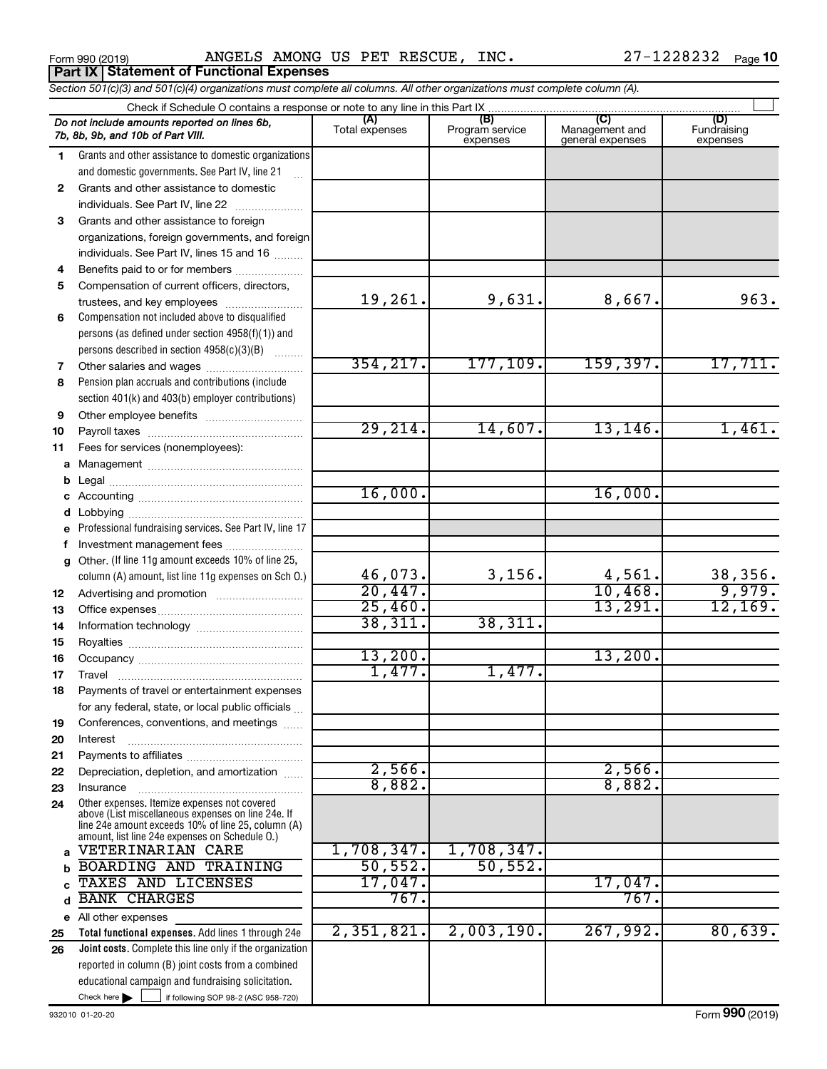Form 990 (2019) Page ANGELS AMONG US PET RESCUE, INC.

|              | <b>Part IX   Statement of Functional Expenses</b>                                                                          |                       |                                    |                                           |                                |
|--------------|----------------------------------------------------------------------------------------------------------------------------|-----------------------|------------------------------------|-------------------------------------------|--------------------------------|
|              | Section 501(c)(3) and 501(c)(4) organizations must complete all columns. All other organizations must complete column (A). |                       |                                    |                                           |                                |
|              | Check if Schedule O contains a response or note to any line in this Part IX                                                |                       |                                    |                                           |                                |
|              | Do not include amounts reported on lines 6b,<br>7b, 8b, 9b, and 10b of Part VIII.                                          | (A)<br>Total expenses | (B)<br>Program service<br>expenses | (C)<br>Management and<br>general expenses | (D)<br>Fundraising<br>expenses |
| 1.           | Grants and other assistance to domestic organizations                                                                      |                       |                                    |                                           |                                |
|              | and domestic governments. See Part IV, line 21                                                                             |                       |                                    |                                           |                                |
| $\mathbf{2}$ | Grants and other assistance to domestic                                                                                    |                       |                                    |                                           |                                |
|              | individuals. See Part IV, line 22<br>and a straightful contract and a straightful                                          |                       |                                    |                                           |                                |
| 3            | Grants and other assistance to foreign                                                                                     |                       |                                    |                                           |                                |
|              | organizations, foreign governments, and foreign                                                                            |                       |                                    |                                           |                                |
|              | individuals. See Part IV, lines 15 and 16                                                                                  |                       |                                    |                                           |                                |
| 4            | Benefits paid to or for members                                                                                            |                       |                                    |                                           |                                |
| 5            | Compensation of current officers, directors,                                                                               |                       |                                    |                                           |                                |
|              | trustees, and key employees                                                                                                | 19,261.               | 9,631.                             | 8,667.                                    | 963.                           |
| 6            | Compensation not included above to disqualified                                                                            |                       |                                    |                                           |                                |
|              | persons (as defined under section 4958(f)(1)) and                                                                          |                       |                                    |                                           |                                |
|              | persons described in section 4958(c)(3)(B)                                                                                 | 354, 217.             | 177, 109.                          | 159,397.                                  | 17,711.                        |
| 7            | Other salaries and wages                                                                                                   |                       |                                    |                                           |                                |
| 8            | Pension plan accruals and contributions (include                                                                           |                       |                                    |                                           |                                |
|              | section 401(k) and 403(b) employer contributions)                                                                          |                       |                                    |                                           |                                |
| 9            |                                                                                                                            | 29,214.               | 14,607.                            | 13, 146.                                  | 1,461.                         |
| 10<br>11     | Fees for services (nonemployees):                                                                                          |                       |                                    |                                           |                                |
| a            |                                                                                                                            |                       |                                    |                                           |                                |
| b            |                                                                                                                            |                       |                                    |                                           |                                |
| с            |                                                                                                                            | 16,000.               |                                    | 16,000.                                   |                                |
| d            |                                                                                                                            |                       |                                    |                                           |                                |
| e            | Professional fundraising services. See Part IV, line 17                                                                    |                       |                                    |                                           |                                |
| f            | Investment management fees                                                                                                 |                       |                                    |                                           |                                |
| $\mathbf{q}$ | Other. (If line 11g amount exceeds 10% of line 25,                                                                         |                       |                                    |                                           |                                |
|              | column (A) amount, list line 11g expenses on Sch O.)                                                                       | 46,073.               | 3,156.                             | 4,561.                                    | 38,356.                        |
| 12           |                                                                                                                            | 20,447.               |                                    | 10,468.                                   | 9,979.                         |
| 13           |                                                                                                                            | 25,460.               |                                    | 13,291.                                   | 12, 169.                       |
| 14           |                                                                                                                            | 38,311.               | 38,311.                            |                                           |                                |
| 15           |                                                                                                                            |                       |                                    |                                           |                                |
| 16           |                                                                                                                            | 13,200.               |                                    | 13,200.                                   |                                |
| 17           | Travel                                                                                                                     | 1,477.                | 1,477.                             |                                           |                                |
| 18           | Payments of travel or entertainment expenses                                                                               |                       |                                    |                                           |                                |
|              | for any federal, state, or local public officials                                                                          |                       |                                    |                                           |                                |
| 19           | Conferences, conventions, and meetings                                                                                     |                       |                                    |                                           |                                |
| 20           | Interest                                                                                                                   |                       |                                    |                                           |                                |
| 21           | Depreciation, depletion, and amortization                                                                                  | 2,566.                |                                    | 2,566.                                    |                                |
| 22<br>23     | Insurance                                                                                                                  | 8,882.                |                                    | 8,882.                                    |                                |
| 24           | Other expenses. Itemize expenses not covered                                                                               |                       |                                    |                                           |                                |
|              | above (List miscellaneous expenses on line 24e. If                                                                         |                       |                                    |                                           |                                |
|              | line 24e amount exceeds 10% of line 25, column (A)<br>amount, list line 24e expenses on Schedule O.)                       |                       |                                    |                                           |                                |
| a            | VETERINARIAN CARE                                                                                                          | 1,708,347.            | 1,708,347.                         |                                           |                                |
| $\mathbf b$  | <b>BOARDING AND TRAINING</b>                                                                                               | 50, 552.              | 50, 552.                           |                                           |                                |
| C            | TAXES AND LICENSES                                                                                                         | 17,047.               |                                    | 17,047.                                   |                                |
| d            | <b>BANK CHARGES</b>                                                                                                        | 767.                  |                                    | 767.                                      |                                |
| е            | All other expenses                                                                                                         |                       |                                    |                                           |                                |
| 25           | Total functional expenses. Add lines 1 through 24e                                                                         | 2,351,821.            | 2,003,190.                         | 267,992.                                  | 80,639.                        |
| 26           | Joint costs. Complete this line only if the organization                                                                   |                       |                                    |                                           |                                |
|              | reported in column (B) joint costs from a combined                                                                         |                       |                                    |                                           |                                |
|              | educational campaign and fundraising solicitation.                                                                         |                       |                                    |                                           |                                |

 $Check here$ 

Check here  $\begin{array}{c} \begin{array}{|c} \hline \end{array} \end{array}$  if following SOP 98-2 (ASC 958-720)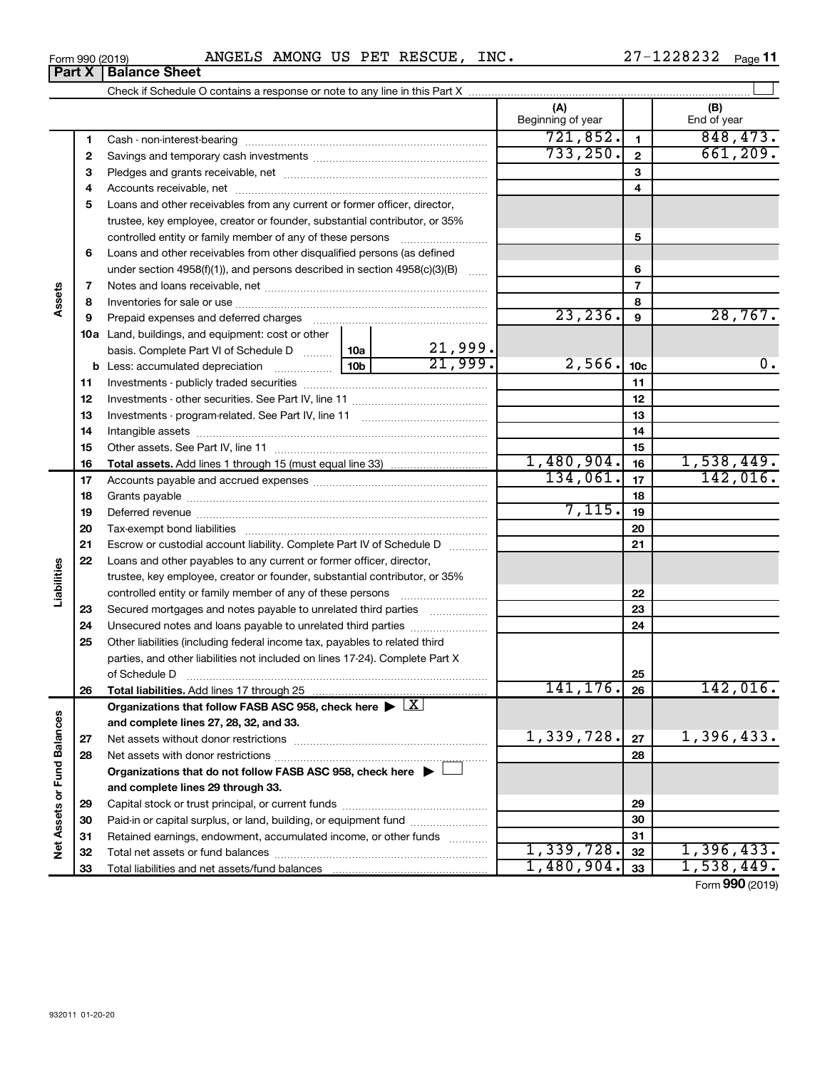|  | Form 990 (2019) | ANGELS | <b>AMONG</b> | US<br>PET | RESCUE | INC. | .228232<br>חח<br>_ | Page |
|--|-----------------|--------|--------------|-----------|--------|------|--------------------|------|
|--|-----------------|--------|--------------|-----------|--------|------|--------------------|------|

| $\overline{\mathsf{t}\,\mathsf{X}}$ | <b>Balance Sheet</b>                                                          |          |                          |              |                    |
|-------------------------------------|-------------------------------------------------------------------------------|----------|--------------------------|--------------|--------------------|
|                                     |                                                                               |          |                          |              |                    |
|                                     |                                                                               |          | (A)<br>Beginning of year |              | (B)<br>End of year |
|                                     |                                                                               |          | 721,852.                 |              | 848, 473.          |
| 2                                   |                                                                               |          | 733, 250.                | $\mathbf{2}$ | 661, 209.          |
| 3                                   |                                                                               |          |                          | 3            |                    |
| 4                                   |                                                                               |          |                          | 4            |                    |
| 5                                   | Loans and other receivables from any current or former officer, director,     |          |                          |              |                    |
|                                     | trustee, key employee, creator or founder, substantial contributor, or 35%    |          |                          |              |                    |
|                                     |                                                                               |          | 5                        |              |                    |
| 6                                   | Loans and other receivables from other disqualified persons (as defined       |          |                          |              |                    |
|                                     | under section $4958(f)(1)$ , and persons described in section $4958(c)(3)(B)$ |          | 6                        |              |                    |
| 7                                   |                                                                               |          |                          |              |                    |
| 8                                   |                                                                               |          | 8                        |              |                    |
| 9                                   | Prepaid expenses and deferred charges                                         | 23, 236. | 9                        | 28, 767.     |                    |
| 10a                                 | Land, buildings, and equipment: cost or other                                 |          |                          |              |                    |
|                                     | basis. Complete Part VI of Schedule D  10a                                    | 21,999.  |                          |              |                    |

|                             |    | <b>10a</b> Land, buildings, and equipment: cost or other                                   |     |         |            |                 |                 |
|-----------------------------|----|--------------------------------------------------------------------------------------------|-----|---------|------------|-----------------|-----------------|
|                             |    | basis. Complete Part VI of Schedule D                                                      | 10a | 21,999. |            |                 |                 |
|                             |    |                                                                                            |     | 21,999. | 2,566.     | 10 <sub>c</sub> | 0.              |
|                             | 11 |                                                                                            |     |         |            | 11              |                 |
|                             | 12 |                                                                                            |     |         |            | 12              |                 |
|                             | 13 |                                                                                            |     |         |            | 13              |                 |
|                             | 14 |                                                                                            |     |         |            | 14              |                 |
|                             | 15 |                                                                                            |     |         |            | 15              |                 |
|                             | 16 |                                                                                            |     |         | 1,480,904. | 16              | 1,538,449.      |
|                             | 17 |                                                                                            |     |         | 134,061.   | 17              | 142,016.        |
|                             | 18 |                                                                                            |     |         |            | 18              |                 |
|                             | 19 |                                                                                            |     |         | 7,115.     | 19              |                 |
|                             | 20 |                                                                                            |     |         |            | 20              |                 |
|                             | 21 | Escrow or custodial account liability. Complete Part IV of Schedule D                      |     |         |            | 21              |                 |
|                             | 22 | Loans and other payables to any current or former officer, director,                       |     |         |            |                 |                 |
|                             |    | trustee, key employee, creator or founder, substantial contributor, or 35%                 |     |         |            |                 |                 |
| Liabilities                 |    | controlled entity or family member of any of these persons                                 |     |         |            | 22              |                 |
|                             | 23 | Secured mortgages and notes payable to unrelated third parties                             |     |         |            | 23              |                 |
|                             | 24 | Unsecured notes and loans payable to unrelated third parties                               |     |         |            | 24              |                 |
|                             | 25 | Other liabilities (including federal income tax, payables to related third                 |     |         |            |                 |                 |
|                             |    | parties, and other liabilities not included on lines 17-24). Complete Part X               |     |         |            |                 |                 |
|                             |    | of Schedule D                                                                              |     |         |            | 25              |                 |
|                             | 26 |                                                                                            |     |         | 141, 176.  | 26              | 142,016.        |
|                             |    | Organizations that follow FASB ASC 958, check here $\blacktriangleright \lfloor X \rfloor$ |     |         |            |                 |                 |
|                             |    | and complete lines 27, 28, 32, and 33.                                                     |     |         |            |                 |                 |
|                             | 27 |                                                                                            |     |         | 1,339,728. | 27              | 1,396,433.      |
|                             | 28 |                                                                                            |     |         |            | 28              |                 |
|                             |    | Organizations that do not follow FASB ASC 958, check here ▶ □                              |     |         |            |                 |                 |
|                             |    | and complete lines 29 through 33.                                                          |     |         |            |                 |                 |
|                             | 29 |                                                                                            |     |         |            | 29              |                 |
|                             | 30 | Paid-in or capital surplus, or land, building, or equipment fund                           |     |         |            | 30              |                 |
| Net Assets or Fund Balances | 31 | Retained earnings, endowment, accumulated income, or other funds                           |     |         |            | 31              |                 |
|                             | 32 |                                                                                            |     |         | 1,339,728. | 32              | 1,396,433.      |
|                             | 33 |                                                                                            |     |         | 1,480,904. | 33              | 1,538,449.      |
|                             |    |                                                                                            |     |         |            |                 | Form 990 (2019) |

**Assets**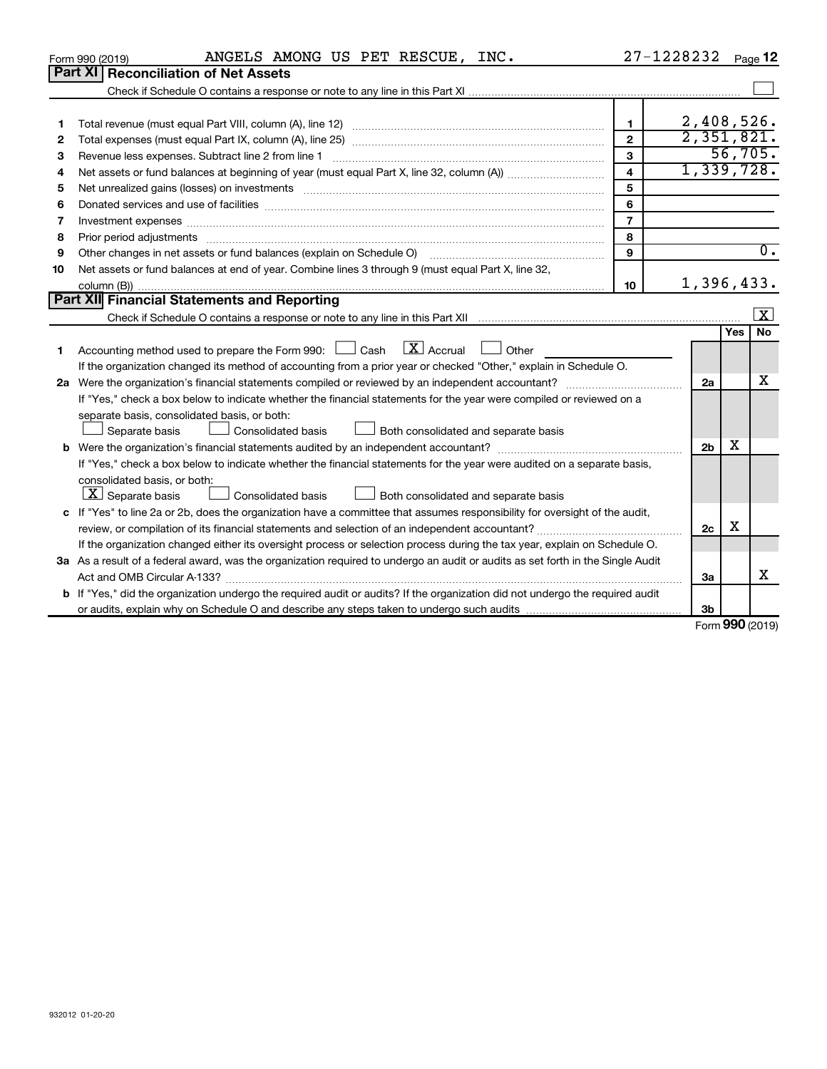| <b>Part XI</b><br><b>Reconciliation of Net Assets</b><br>2,408,526.<br>$\mathbf{1}$<br>1<br>2,351,821.<br>$\overline{2}$<br>2<br>56,705.<br>3<br>Revenue less expenses. Subtract line 2 from line 1<br>З<br>1,339,728.<br>$\overline{\mathbf{4}}$<br>4<br>5<br>Net unrealized gains (losses) on investments [111] matter in the contract of the contract of the contract of the contract of the contract of the contract of the contract of the contract of the contract of the contract of t<br>5<br>6<br>6<br>$\overline{7}$<br>7<br>8<br>Prior period adjustments www.communication.communication.communication.communication.com<br>8<br>$\overline{0}$ .<br>Other changes in net assets or fund balances (explain on Schedule O)<br>9<br>9<br>Net assets or fund balances at end of year. Combine lines 3 through 9 (must equal Part X, line 32,<br>10<br>1,396,433.<br>10 <sup>10</sup><br><b>Part XII</b> Financial Statements and Reporting<br>$\mathbf{X}$<br><b>No</b><br>Yes<br>$\lfloor x \rfloor$ Accrual<br>Accounting method used to prepare the Form 990: [130] Cash<br>Other<br>1<br>If the organization changed its method of accounting from a prior year or checked "Other," explain in Schedule O.<br>x<br>2a<br>If "Yes," check a box below to indicate whether the financial statements for the year were compiled or reviewed on a<br>separate basis, consolidated basis, or both:<br>Separate basis<br>Consolidated basis<br>Both consolidated and separate basis | ANGELS AMONG US PET RESCUE, INC.<br>Form 990 (2019) | 27-1228232 |  | Page 12 |
|--------------------------------------------------------------------------------------------------------------------------------------------------------------------------------------------------------------------------------------------------------------------------------------------------------------------------------------------------------------------------------------------------------------------------------------------------------------------------------------------------------------------------------------------------------------------------------------------------------------------------------------------------------------------------------------------------------------------------------------------------------------------------------------------------------------------------------------------------------------------------------------------------------------------------------------------------------------------------------------------------------------------------------------------------------------------------------------------------------------------------------------------------------------------------------------------------------------------------------------------------------------------------------------------------------------------------------------------------------------------------------------------------------------------------------------------------------------------------------------------|-----------------------------------------------------|------------|--|---------|
|                                                                                                                                                                                                                                                                                                                                                                                                                                                                                                                                                                                                                                                                                                                                                                                                                                                                                                                                                                                                                                                                                                                                                                                                                                                                                                                                                                                                                                                                                            |                                                     |            |  |         |
|                                                                                                                                                                                                                                                                                                                                                                                                                                                                                                                                                                                                                                                                                                                                                                                                                                                                                                                                                                                                                                                                                                                                                                                                                                                                                                                                                                                                                                                                                            |                                                     |            |  |         |
|                                                                                                                                                                                                                                                                                                                                                                                                                                                                                                                                                                                                                                                                                                                                                                                                                                                                                                                                                                                                                                                                                                                                                                                                                                                                                                                                                                                                                                                                                            |                                                     |            |  |         |
|                                                                                                                                                                                                                                                                                                                                                                                                                                                                                                                                                                                                                                                                                                                                                                                                                                                                                                                                                                                                                                                                                                                                                                                                                                                                                                                                                                                                                                                                                            |                                                     |            |  |         |
|                                                                                                                                                                                                                                                                                                                                                                                                                                                                                                                                                                                                                                                                                                                                                                                                                                                                                                                                                                                                                                                                                                                                                                                                                                                                                                                                                                                                                                                                                            |                                                     |            |  |         |
|                                                                                                                                                                                                                                                                                                                                                                                                                                                                                                                                                                                                                                                                                                                                                                                                                                                                                                                                                                                                                                                                                                                                                                                                                                                                                                                                                                                                                                                                                            |                                                     |            |  |         |
|                                                                                                                                                                                                                                                                                                                                                                                                                                                                                                                                                                                                                                                                                                                                                                                                                                                                                                                                                                                                                                                                                                                                                                                                                                                                                                                                                                                                                                                                                            |                                                     |            |  |         |
|                                                                                                                                                                                                                                                                                                                                                                                                                                                                                                                                                                                                                                                                                                                                                                                                                                                                                                                                                                                                                                                                                                                                                                                                                                                                                                                                                                                                                                                                                            |                                                     |            |  |         |
|                                                                                                                                                                                                                                                                                                                                                                                                                                                                                                                                                                                                                                                                                                                                                                                                                                                                                                                                                                                                                                                                                                                                                                                                                                                                                                                                                                                                                                                                                            |                                                     |            |  |         |
|                                                                                                                                                                                                                                                                                                                                                                                                                                                                                                                                                                                                                                                                                                                                                                                                                                                                                                                                                                                                                                                                                                                                                                                                                                                                                                                                                                                                                                                                                            |                                                     |            |  |         |
|                                                                                                                                                                                                                                                                                                                                                                                                                                                                                                                                                                                                                                                                                                                                                                                                                                                                                                                                                                                                                                                                                                                                                                                                                                                                                                                                                                                                                                                                                            |                                                     |            |  |         |
|                                                                                                                                                                                                                                                                                                                                                                                                                                                                                                                                                                                                                                                                                                                                                                                                                                                                                                                                                                                                                                                                                                                                                                                                                                                                                                                                                                                                                                                                                            |                                                     |            |  |         |
|                                                                                                                                                                                                                                                                                                                                                                                                                                                                                                                                                                                                                                                                                                                                                                                                                                                                                                                                                                                                                                                                                                                                                                                                                                                                                                                                                                                                                                                                                            |                                                     |            |  |         |
|                                                                                                                                                                                                                                                                                                                                                                                                                                                                                                                                                                                                                                                                                                                                                                                                                                                                                                                                                                                                                                                                                                                                                                                                                                                                                                                                                                                                                                                                                            |                                                     |            |  |         |
|                                                                                                                                                                                                                                                                                                                                                                                                                                                                                                                                                                                                                                                                                                                                                                                                                                                                                                                                                                                                                                                                                                                                                                                                                                                                                                                                                                                                                                                                                            |                                                     |            |  |         |
|                                                                                                                                                                                                                                                                                                                                                                                                                                                                                                                                                                                                                                                                                                                                                                                                                                                                                                                                                                                                                                                                                                                                                                                                                                                                                                                                                                                                                                                                                            |                                                     |            |  |         |
|                                                                                                                                                                                                                                                                                                                                                                                                                                                                                                                                                                                                                                                                                                                                                                                                                                                                                                                                                                                                                                                                                                                                                                                                                                                                                                                                                                                                                                                                                            |                                                     |            |  |         |
|                                                                                                                                                                                                                                                                                                                                                                                                                                                                                                                                                                                                                                                                                                                                                                                                                                                                                                                                                                                                                                                                                                                                                                                                                                                                                                                                                                                                                                                                                            |                                                     |            |  |         |
|                                                                                                                                                                                                                                                                                                                                                                                                                                                                                                                                                                                                                                                                                                                                                                                                                                                                                                                                                                                                                                                                                                                                                                                                                                                                                                                                                                                                                                                                                            |                                                     |            |  |         |
|                                                                                                                                                                                                                                                                                                                                                                                                                                                                                                                                                                                                                                                                                                                                                                                                                                                                                                                                                                                                                                                                                                                                                                                                                                                                                                                                                                                                                                                                                            |                                                     |            |  |         |
|                                                                                                                                                                                                                                                                                                                                                                                                                                                                                                                                                                                                                                                                                                                                                                                                                                                                                                                                                                                                                                                                                                                                                                                                                                                                                                                                                                                                                                                                                            |                                                     |            |  |         |
|                                                                                                                                                                                                                                                                                                                                                                                                                                                                                                                                                                                                                                                                                                                                                                                                                                                                                                                                                                                                                                                                                                                                                                                                                                                                                                                                                                                                                                                                                            |                                                     |            |  |         |
|                                                                                                                                                                                                                                                                                                                                                                                                                                                                                                                                                                                                                                                                                                                                                                                                                                                                                                                                                                                                                                                                                                                                                                                                                                                                                                                                                                                                                                                                                            |                                                     |            |  |         |
| х<br>2 <sub>b</sub>                                                                                                                                                                                                                                                                                                                                                                                                                                                                                                                                                                                                                                                                                                                                                                                                                                                                                                                                                                                                                                                                                                                                                                                                                                                                                                                                                                                                                                                                        |                                                     |            |  |         |
| If "Yes," check a box below to indicate whether the financial statements for the year were audited on a separate basis,                                                                                                                                                                                                                                                                                                                                                                                                                                                                                                                                                                                                                                                                                                                                                                                                                                                                                                                                                                                                                                                                                                                                                                                                                                                                                                                                                                    |                                                     |            |  |         |
| consolidated basis, or both:                                                                                                                                                                                                                                                                                                                                                                                                                                                                                                                                                                                                                                                                                                                                                                                                                                                                                                                                                                                                                                                                                                                                                                                                                                                                                                                                                                                                                                                               |                                                     |            |  |         |
| $ \mathbf{X} $ Separate basis<br><b>Consolidated basis</b><br>Both consolidated and separate basis                                                                                                                                                                                                                                                                                                                                                                                                                                                                                                                                                                                                                                                                                                                                                                                                                                                                                                                                                                                                                                                                                                                                                                                                                                                                                                                                                                                         |                                                     |            |  |         |
| c If "Yes" to line 2a or 2b, does the organization have a committee that assumes responsibility for oversight of the audit,                                                                                                                                                                                                                                                                                                                                                                                                                                                                                                                                                                                                                                                                                                                                                                                                                                                                                                                                                                                                                                                                                                                                                                                                                                                                                                                                                                |                                                     |            |  |         |
| х<br>review, or compilation of its financial statements and selection of an independent accountant?<br>2c                                                                                                                                                                                                                                                                                                                                                                                                                                                                                                                                                                                                                                                                                                                                                                                                                                                                                                                                                                                                                                                                                                                                                                                                                                                                                                                                                                                  |                                                     |            |  |         |
| If the organization changed either its oversight process or selection process during the tax year, explain on Schedule O.                                                                                                                                                                                                                                                                                                                                                                                                                                                                                                                                                                                                                                                                                                                                                                                                                                                                                                                                                                                                                                                                                                                                                                                                                                                                                                                                                                  |                                                     |            |  |         |
| 3a As a result of a federal award, was the organization required to undergo an audit or audits as set forth in the Single Audit                                                                                                                                                                                                                                                                                                                                                                                                                                                                                                                                                                                                                                                                                                                                                                                                                                                                                                                                                                                                                                                                                                                                                                                                                                                                                                                                                            |                                                     |            |  |         |
| x<br>Act and OMB Circular A-133?<br>За                                                                                                                                                                                                                                                                                                                                                                                                                                                                                                                                                                                                                                                                                                                                                                                                                                                                                                                                                                                                                                                                                                                                                                                                                                                                                                                                                                                                                                                     |                                                     |            |  |         |
| <b>b</b> If "Yes," did the organization undergo the required audit or audits? If the organization did not undergo the required audit                                                                                                                                                                                                                                                                                                                                                                                                                                                                                                                                                                                                                                                                                                                                                                                                                                                                                                                                                                                                                                                                                                                                                                                                                                                                                                                                                       |                                                     |            |  |         |
| 3b<br>$000 \text{ mas}$                                                                                                                                                                                                                                                                                                                                                                                                                                                                                                                                                                                                                                                                                                                                                                                                                                                                                                                                                                                                                                                                                                                                                                                                                                                                                                                                                                                                                                                                    |                                                     |            |  |         |

Form (2019) **990**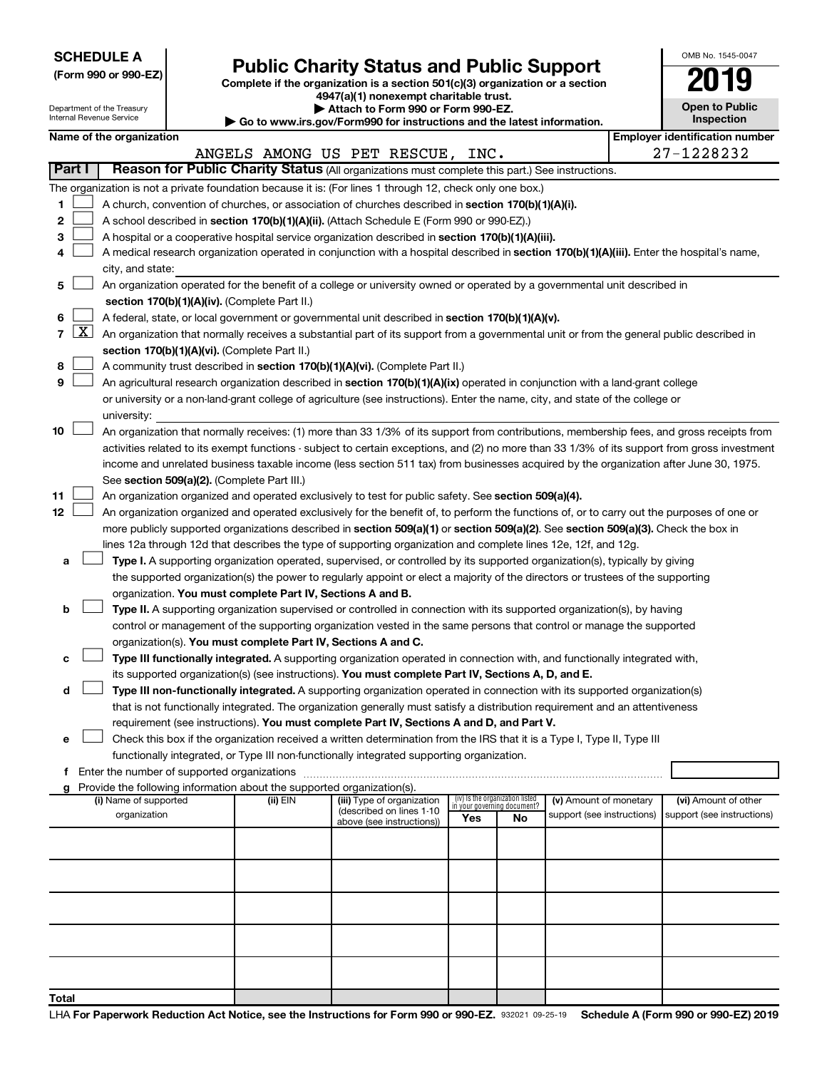| <b>SCHEDULE A</b> |  |
|-------------------|--|
|-------------------|--|

Department of the Treasury

|  |  |  |  |  | (Form 990 or 990-EZ) |  |
|--|--|--|--|--|----------------------|--|
|--|--|--|--|--|----------------------|--|

# Form 990 or 990-EZ)<br>
Complete if the organization is a section 501(c)(3) organization or a section<br> **Public Charity Status and Public Support**

**4947(a)(1) nonexempt charitable trust.**

**| Attach to Form 990 or Form 990-EZ.** 

| OMB No. 1545-0047     |
|-----------------------|
| '019                  |
| <b>Open to Public</b> |

|        |                     | nternal Revenue Service                                                                                                                                                                                                  |              |  |                                                                        | Go to www.irs.gov/Form990 for instructions and the latest information.                                                                        |     |                                                                |                            |  | Inspection                                          |
|--------|---------------------|--------------------------------------------------------------------------------------------------------------------------------------------------------------------------------------------------------------------------|--------------|--|------------------------------------------------------------------------|-----------------------------------------------------------------------------------------------------------------------------------------------|-----|----------------------------------------------------------------|----------------------------|--|-----------------------------------------------------|
|        |                     | Name of the organization                                                                                                                                                                                                 |              |  |                                                                        | ANGELS AMONG US PET RESCUE, INC.                                                                                                              |     |                                                                |                            |  | <b>Employer identification number</b><br>27-1228232 |
| Part I |                     |                                                                                                                                                                                                                          |              |  |                                                                        | Reason for Public Charity Status (All organizations must complete this part.) See instructions.                                               |     |                                                                |                            |  |                                                     |
|        |                     |                                                                                                                                                                                                                          |              |  |                                                                        | The organization is not a private foundation because it is: (For lines 1 through 12, check only one box.)                                     |     |                                                                |                            |  |                                                     |
| 1      |                     |                                                                                                                                                                                                                          |              |  |                                                                        | A church, convention of churches, or association of churches described in section 170(b)(1)(A)(i).                                            |     |                                                                |                            |  |                                                     |
| 2      |                     |                                                                                                                                                                                                                          |              |  |                                                                        | A school described in section 170(b)(1)(A)(ii). (Attach Schedule E (Form 990 or 990-EZ).)                                                     |     |                                                                |                            |  |                                                     |
| З      |                     |                                                                                                                                                                                                                          |              |  |                                                                        | A hospital or a cooperative hospital service organization described in section 170(b)(1)(A)(iii).                                             |     |                                                                |                            |  |                                                     |
|        |                     |                                                                                                                                                                                                                          |              |  |                                                                        | A medical research organization operated in conjunction with a hospital described in section 170(b)(1)(A)(iii). Enter the hospital's name,    |     |                                                                |                            |  |                                                     |
| 4      |                     | city, and state:                                                                                                                                                                                                         |              |  |                                                                        |                                                                                                                                               |     |                                                                |                            |  |                                                     |
| 5      |                     |                                                                                                                                                                                                                          |              |  |                                                                        | An organization operated for the benefit of a college or university owned or operated by a governmental unit described in                     |     |                                                                |                            |  |                                                     |
|        |                     |                                                                                                                                                                                                                          |              |  | section 170(b)(1)(A)(iv). (Complete Part II.)                          |                                                                                                                                               |     |                                                                |                            |  |                                                     |
| 6      |                     |                                                                                                                                                                                                                          |              |  |                                                                        | A federal, state, or local government or governmental unit described in section 170(b)(1)(A)(v).                                              |     |                                                                |                            |  |                                                     |
| 7      | $\lfloor x \rfloor$ |                                                                                                                                                                                                                          |              |  |                                                                        | An organization that normally receives a substantial part of its support from a governmental unit or from the general public described in     |     |                                                                |                            |  |                                                     |
|        |                     |                                                                                                                                                                                                                          |              |  |                                                                        |                                                                                                                                               |     |                                                                |                            |  |                                                     |
| 8      |                     |                                                                                                                                                                                                                          |              |  | section 170(b)(1)(A)(vi). (Complete Part II.)                          | A community trust described in section 170(b)(1)(A)(vi). (Complete Part II.)                                                                  |     |                                                                |                            |  |                                                     |
| 9      |                     |                                                                                                                                                                                                                          |              |  |                                                                        | An agricultural research organization described in section 170(b)(1)(A)(ix) operated in conjunction with a land-grant college                 |     |                                                                |                            |  |                                                     |
|        |                     |                                                                                                                                                                                                                          |              |  |                                                                        |                                                                                                                                               |     |                                                                |                            |  |                                                     |
|        |                     | university:                                                                                                                                                                                                              |              |  |                                                                        | or university or a non-land-grant college of agriculture (see instructions). Enter the name, city, and state of the college or                |     |                                                                |                            |  |                                                     |
| 10     |                     |                                                                                                                                                                                                                          |              |  |                                                                        | An organization that normally receives: (1) more than 33 1/3% of its support from contributions, membership fees, and gross receipts from     |     |                                                                |                            |  |                                                     |
|        |                     |                                                                                                                                                                                                                          |              |  |                                                                        | activities related to its exempt functions - subject to certain exceptions, and (2) no more than 33 1/3% of its support from gross investment |     |                                                                |                            |  |                                                     |
|        |                     |                                                                                                                                                                                                                          |              |  |                                                                        | income and unrelated business taxable income (less section 511 tax) from businesses acquired by the organization after June 30, 1975.         |     |                                                                |                            |  |                                                     |
|        |                     |                                                                                                                                                                                                                          |              |  | See section 509(a)(2). (Complete Part III.)                            |                                                                                                                                               |     |                                                                |                            |  |                                                     |
| 11     |                     |                                                                                                                                                                                                                          |              |  |                                                                        | An organization organized and operated exclusively to test for public safety. See section 509(a)(4).                                          |     |                                                                |                            |  |                                                     |
| 12     |                     |                                                                                                                                                                                                                          |              |  |                                                                        | An organization organized and operated exclusively for the benefit of, to perform the functions of, or to carry out the purposes of one or    |     |                                                                |                            |  |                                                     |
|        |                     |                                                                                                                                                                                                                          |              |  |                                                                        | more publicly supported organizations described in section 509(a)(1) or section 509(a)(2). See section 509(a)(3). Check the box in            |     |                                                                |                            |  |                                                     |
|        |                     |                                                                                                                                                                                                                          |              |  |                                                                        | lines 12a through 12d that describes the type of supporting organization and complete lines 12e, 12f, and 12g.                                |     |                                                                |                            |  |                                                     |
| а      |                     |                                                                                                                                                                                                                          |              |  |                                                                        | Type I. A supporting organization operated, supervised, or controlled by its supported organization(s), typically by giving                   |     |                                                                |                            |  |                                                     |
|        |                     |                                                                                                                                                                                                                          |              |  |                                                                        | the supported organization(s) the power to regularly appoint or elect a majority of the directors or trustees of the supporting               |     |                                                                |                            |  |                                                     |
|        |                     |                                                                                                                                                                                                                          |              |  | organization. You must complete Part IV, Sections A and B.             |                                                                                                                                               |     |                                                                |                            |  |                                                     |
| b      |                     |                                                                                                                                                                                                                          |              |  |                                                                        | Type II. A supporting organization supervised or controlled in connection with its supported organization(s), by having                       |     |                                                                |                            |  |                                                     |
|        |                     |                                                                                                                                                                                                                          |              |  |                                                                        | control or management of the supporting organization vested in the same persons that control or manage the supported                          |     |                                                                |                            |  |                                                     |
|        |                     |                                                                                                                                                                                                                          |              |  |                                                                        | organization(s). You must complete Part IV, Sections A and C.                                                                                 |     |                                                                |                            |  |                                                     |
| с      |                     |                                                                                                                                                                                                                          |              |  |                                                                        | Type III functionally integrated. A supporting organization operated in connection with, and functionally integrated with,                    |     |                                                                |                            |  |                                                     |
|        |                     |                                                                                                                                                                                                                          |              |  |                                                                        | its supported organization(s) (see instructions). You must complete Part IV, Sections A, D, and E.                                            |     |                                                                |                            |  |                                                     |
| d      |                     |                                                                                                                                                                                                                          |              |  |                                                                        | Type III non-functionally integrated. A supporting organization operated in connection with its supported organization(s)                     |     |                                                                |                            |  |                                                     |
|        |                     |                                                                                                                                                                                                                          |              |  |                                                                        |                                                                                                                                               |     |                                                                |                            |  |                                                     |
|        |                     | that is not functionally integrated. The organization generally must satisfy a distribution requirement and an attentiveness<br>requirement (see instructions). You must complete Part IV, Sections A and D, and Part V. |              |  |                                                                        |                                                                                                                                               |     |                                                                |                            |  |                                                     |
| е      |                     |                                                                                                                                                                                                                          |              |  |                                                                        | Check this box if the organization received a written determination from the IRS that it is a Type I, Type II, Type III                       |     |                                                                |                            |  |                                                     |
|        |                     |                                                                                                                                                                                                                          |              |  |                                                                        | functionally integrated, or Type III non-functionally integrated supporting organization.                                                     |     |                                                                |                            |  |                                                     |
| f      |                     |                                                                                                                                                                                                                          |              |  | Enter the number of supported organizations                            |                                                                                                                                               |     |                                                                |                            |  |                                                     |
|        |                     |                                                                                                                                                                                                                          |              |  | Provide the following information about the supported organization(s). |                                                                                                                                               |     |                                                                |                            |  |                                                     |
|        |                     | (i) Name of supported                                                                                                                                                                                                    |              |  | (ii) EIN                                                               | (iii) Type of organization                                                                                                                    |     | (iv) Is the organization listed<br>in your governing document? | (v) Amount of monetary     |  | (vi) Amount of other                                |
|        |                     |                                                                                                                                                                                                                          | organization |  |                                                                        | (described on lines 1-10<br>above (see instructions))                                                                                         | Yes | No                                                             | support (see instructions) |  | support (see instructions)                          |
|        |                     |                                                                                                                                                                                                                          |              |  |                                                                        |                                                                                                                                               |     |                                                                |                            |  |                                                     |
|        |                     |                                                                                                                                                                                                                          |              |  |                                                                        |                                                                                                                                               |     |                                                                |                            |  |                                                     |
|        |                     |                                                                                                                                                                                                                          |              |  |                                                                        |                                                                                                                                               |     |                                                                |                            |  |                                                     |
|        |                     |                                                                                                                                                                                                                          |              |  |                                                                        |                                                                                                                                               |     |                                                                |                            |  |                                                     |
|        |                     |                                                                                                                                                                                                                          |              |  |                                                                        |                                                                                                                                               |     |                                                                |                            |  |                                                     |
|        |                     |                                                                                                                                                                                                                          |              |  |                                                                        |                                                                                                                                               |     |                                                                |                            |  |                                                     |
|        |                     |                                                                                                                                                                                                                          |              |  |                                                                        |                                                                                                                                               |     |                                                                |                            |  |                                                     |
|        |                     |                                                                                                                                                                                                                          |              |  |                                                                        |                                                                                                                                               |     |                                                                |                            |  |                                                     |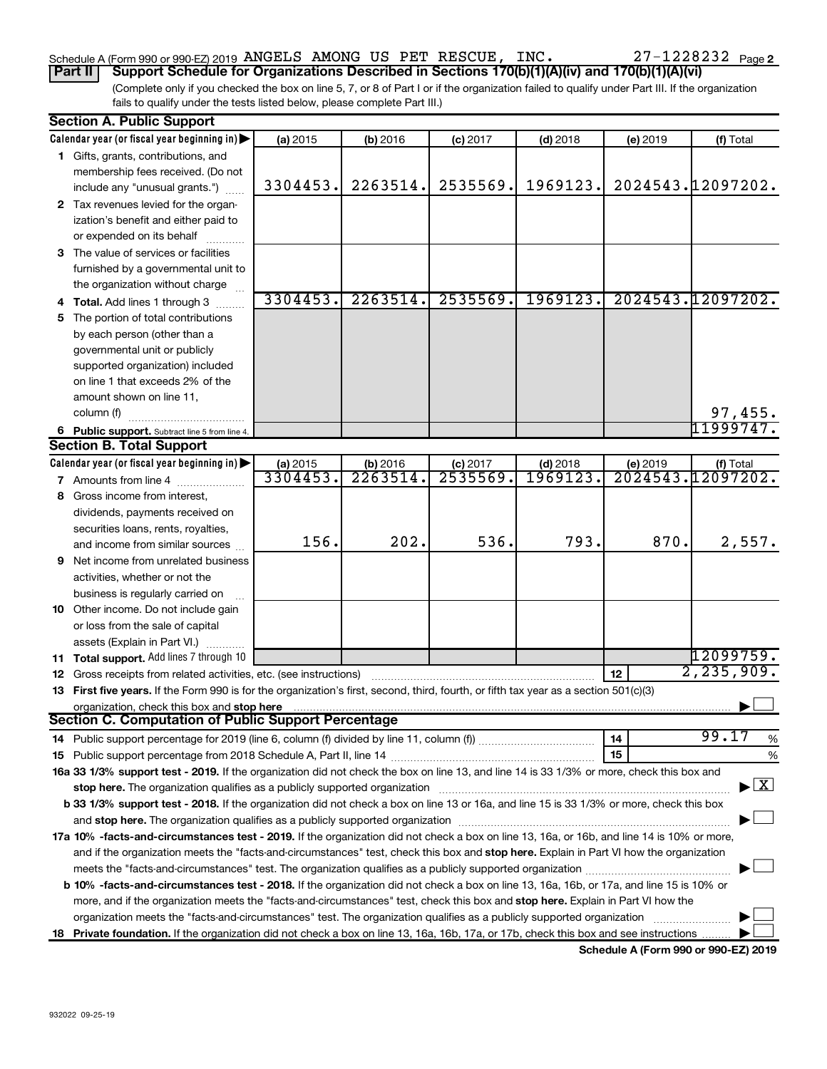#### Schedule A (Form 990 or 990-EZ) 2019 ANGELS AMONG US PET RESCUE, INC.  $ZI - IZZ8Z3Z$  Page ANGELS AMONG US PET RESCUE, INC. 27-1228232

(Complete only if you checked the box on line 5, 7, or 8 of Part I or if the organization failed to qualify under Part III. If the organization **Part II Support Schedule for Organizations Described in Sections 170(b)(1)(A)(iv) and 170(b)(1)(A)(vi)**

fails to qualify under the tests listed below, please complete Part III.)

|    | <b>Section A. Public Support</b>                                                                                                           |                      |                      |                        |                       |          |                                          |
|----|--------------------------------------------------------------------------------------------------------------------------------------------|----------------------|----------------------|------------------------|-----------------------|----------|------------------------------------------|
|    | Calendar year (or fiscal year beginning in)                                                                                                | (a) 2015             | (b) 2016             | $(c)$ 2017             | $(d)$ 2018            | (e) 2019 | (f) Total                                |
|    | 1 Gifts, grants, contributions, and                                                                                                        |                      |                      |                        |                       |          |                                          |
|    | membership fees received. (Do not                                                                                                          |                      |                      |                        |                       |          |                                          |
|    | include any "unusual grants.")                                                                                                             | 3304453.             | 2263514.             | 2535569.               | 1969123.              |          | 2024543.12097202.                        |
|    | 2 Tax revenues levied for the organ-                                                                                                       |                      |                      |                        |                       |          |                                          |
|    | ization's benefit and either paid to                                                                                                       |                      |                      |                        |                       |          |                                          |
|    | or expended on its behalf                                                                                                                  |                      |                      |                        |                       |          |                                          |
|    | 3 The value of services or facilities                                                                                                      |                      |                      |                        |                       |          |                                          |
|    | furnished by a governmental unit to                                                                                                        |                      |                      |                        |                       |          |                                          |
|    | the organization without charge                                                                                                            |                      |                      |                        |                       |          |                                          |
|    | 4 Total. Add lines 1 through 3                                                                                                             | 3304453.             | 2263514.             | 2535569.               | 1969123.              |          | 2024543.12097202.                        |
| 5. | The portion of total contributions                                                                                                         |                      |                      |                        |                       |          |                                          |
|    | by each person (other than a                                                                                                               |                      |                      |                        |                       |          |                                          |
|    | governmental unit or publicly                                                                                                              |                      |                      |                        |                       |          |                                          |
|    | supported organization) included                                                                                                           |                      |                      |                        |                       |          |                                          |
|    | on line 1 that exceeds 2% of the                                                                                                           |                      |                      |                        |                       |          |                                          |
|    | amount shown on line 11,                                                                                                                   |                      |                      |                        |                       |          |                                          |
|    |                                                                                                                                            |                      |                      |                        |                       |          |                                          |
|    | column (f)                                                                                                                                 |                      |                      |                        |                       |          | 97,455.<br>11999747.                     |
|    | 6 Public support. Subtract line 5 from line 4.                                                                                             |                      |                      |                        |                       |          |                                          |
|    | <b>Section B. Total Support</b>                                                                                                            |                      |                      |                        |                       |          |                                          |
|    | Calendar year (or fiscal year beginning in)                                                                                                | (a) 2015<br>3304453. | (b) 2016<br>2263514. | $(c)$ 2017<br>2535569. | $(d)$ 2018<br>1969123 | (e) 2019 | (f) Total<br>2024543.12097202.           |
|    | <b>7</b> Amounts from line 4                                                                                                               |                      |                      |                        |                       |          |                                          |
| 8  | Gross income from interest,                                                                                                                |                      |                      |                        |                       |          |                                          |
|    | dividends, payments received on                                                                                                            |                      |                      |                        |                       |          |                                          |
|    | securities loans, rents, royalties,                                                                                                        |                      |                      |                        |                       |          |                                          |
|    | and income from similar sources                                                                                                            | 156.                 | 202.                 | 536.                   | 793.                  | 870.     | 2,557.                                   |
|    | 9 Net income from unrelated business                                                                                                       |                      |                      |                        |                       |          |                                          |
|    | activities, whether or not the                                                                                                             |                      |                      |                        |                       |          |                                          |
|    | business is regularly carried on                                                                                                           |                      |                      |                        |                       |          |                                          |
|    | 10 Other income. Do not include gain                                                                                                       |                      |                      |                        |                       |          |                                          |
|    | or loss from the sale of capital                                                                                                           |                      |                      |                        |                       |          |                                          |
|    | assets (Explain in Part VI.)                                                                                                               |                      |                      |                        |                       |          |                                          |
|    | 11 Total support. Add lines 7 through 10                                                                                                   |                      |                      |                        |                       |          | 12099759.                                |
|    | 12 Gross receipts from related activities, etc. (see instructions)                                                                         |                      |                      |                        |                       | 12       | 2, 235, 909.                             |
|    | 13 First five years. If the Form 990 is for the organization's first, second, third, fourth, or fifth tax year as a section 501(c)(3)      |                      |                      |                        |                       |          |                                          |
|    | organization, check this box and stop here                                                                                                 |                      |                      |                        |                       |          |                                          |
|    | <b>Section C. Computation of Public Support Percentage</b>                                                                                 |                      |                      |                        |                       |          |                                          |
|    |                                                                                                                                            |                      |                      |                        |                       | 14       | 99.17<br>%                               |
|    |                                                                                                                                            |                      |                      |                        |                       | 15       | %                                        |
|    | 16a 33 1/3% support test - 2019. If the organization did not check the box on line 13, and line 14 is 33 1/3% or more, check this box and  |                      |                      |                        |                       |          |                                          |
|    |                                                                                                                                            |                      |                      |                        |                       |          | $\blacktriangleright$ $\boxed{\text{X}}$ |
|    | b 33 1/3% support test - 2018. If the organization did not check a box on line 13 or 16a, and line 15 is 33 1/3% or more, check this box   |                      |                      |                        |                       |          |                                          |
|    |                                                                                                                                            |                      |                      |                        |                       |          |                                          |
|    | 17a 10% -facts-and-circumstances test - 2019. If the organization did not check a box on line 13, 16a, or 16b, and line 14 is 10% or more, |                      |                      |                        |                       |          |                                          |
|    | and if the organization meets the "facts-and-circumstances" test, check this box and stop here. Explain in Part VI how the organization    |                      |                      |                        |                       |          |                                          |
|    | meets the "facts-and-circumstances" test. The organization qualifies as a publicly supported organization                                  |                      |                      |                        |                       |          |                                          |
|    | b 10% -facts-and-circumstances test - 2018. If the organization did not check a box on line 13, 16a, 16b, or 17a, and line 15 is 10% or    |                      |                      |                        |                       |          |                                          |
|    | more, and if the organization meets the "facts-and-circumstances" test, check this box and stop here. Explain in Part VI how the           |                      |                      |                        |                       |          |                                          |
|    | organization meets the "facts-and-circumstances" test. The organization qualifies as a publicly supported organization                     |                      |                      |                        |                       |          |                                          |
|    |                                                                                                                                            |                      |                      |                        |                       |          |                                          |
|    | 18 Private foundation. If the organization did not check a box on line 13, 16a, 16b, 17a, or 17b, check this box and see instructions      |                      |                      |                        |                       |          |                                          |

**Schedule A (Form 990 or 990-EZ) 2019**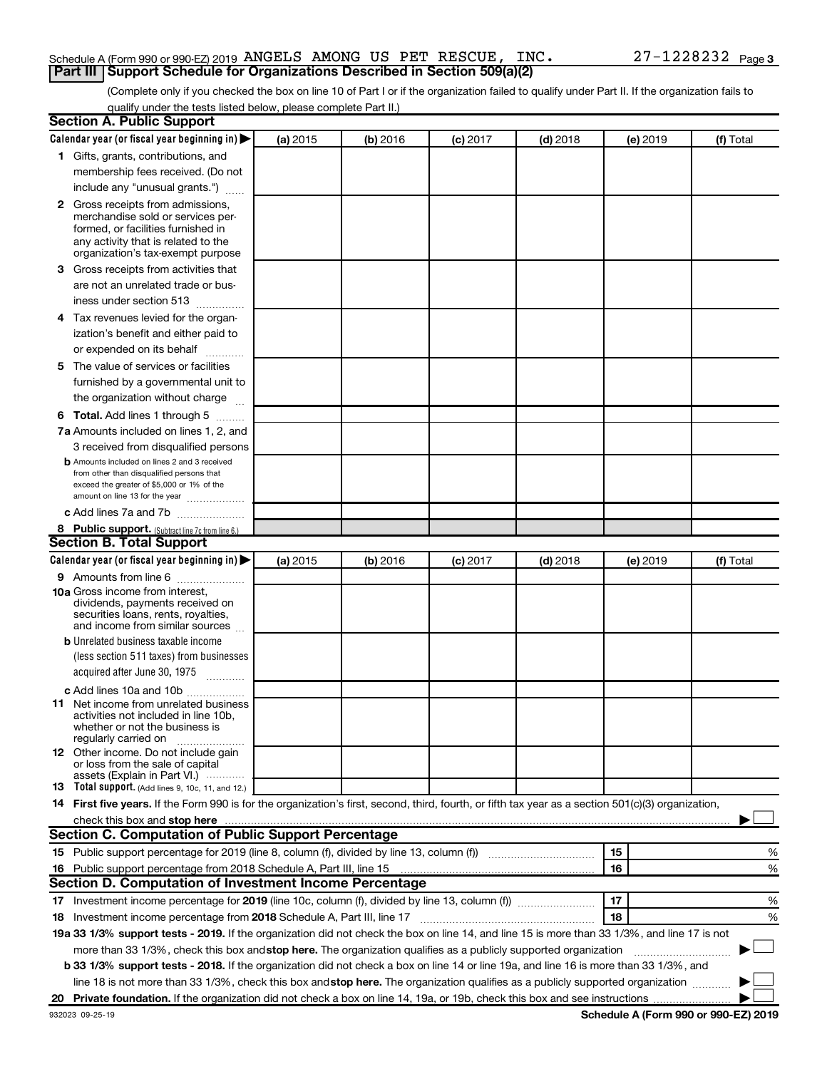### Schedule A (Form 990 or 990-EZ) 2019 ANGELS AMONG US PET RESCUE, INC.  $27-1228232$  Page **Part III Support Schedule for Organizations Described in Section 509(a)(2)**

(Complete only if you checked the box on line 10 of Part I or if the organization failed to qualify under Part II. If the organization fails to qualify under the tests listed below, please complete Part II.)

| <b>Section A. Public Support</b>                                                                                                                                                                                                                                                                                                     |          |          |          |            |          |           |
|--------------------------------------------------------------------------------------------------------------------------------------------------------------------------------------------------------------------------------------------------------------------------------------------------------------------------------------|----------|----------|----------|------------|----------|-----------|
| Calendar year (or fiscal year beginning in)                                                                                                                                                                                                                                                                                          | (a) 2015 | (b) 2016 | (c) 2017 | $(d)$ 2018 | (e) 2019 | (f) Total |
| 1 Gifts, grants, contributions, and                                                                                                                                                                                                                                                                                                  |          |          |          |            |          |           |
| membership fees received. (Do not                                                                                                                                                                                                                                                                                                    |          |          |          |            |          |           |
| include any "unusual grants.")                                                                                                                                                                                                                                                                                                       |          |          |          |            |          |           |
| <b>2</b> Gross receipts from admissions,                                                                                                                                                                                                                                                                                             |          |          |          |            |          |           |
| merchandise sold or services per-                                                                                                                                                                                                                                                                                                    |          |          |          |            |          |           |
| formed, or facilities furnished in<br>any activity that is related to the                                                                                                                                                                                                                                                            |          |          |          |            |          |           |
| organization's tax-exempt purpose                                                                                                                                                                                                                                                                                                    |          |          |          |            |          |           |
| 3 Gross receipts from activities that                                                                                                                                                                                                                                                                                                |          |          |          |            |          |           |
| are not an unrelated trade or bus-                                                                                                                                                                                                                                                                                                   |          |          |          |            |          |           |
| iness under section 513                                                                                                                                                                                                                                                                                                              |          |          |          |            |          |           |
| 4 Tax revenues levied for the organ-                                                                                                                                                                                                                                                                                                 |          |          |          |            |          |           |
| ization's benefit and either paid to                                                                                                                                                                                                                                                                                                 |          |          |          |            |          |           |
| or expended on its behalf<br>.                                                                                                                                                                                                                                                                                                       |          |          |          |            |          |           |
| 5 The value of services or facilities                                                                                                                                                                                                                                                                                                |          |          |          |            |          |           |
| furnished by a governmental unit to                                                                                                                                                                                                                                                                                                  |          |          |          |            |          |           |
| the organization without charge                                                                                                                                                                                                                                                                                                      |          |          |          |            |          |           |
| <b>6 Total.</b> Add lines 1 through 5                                                                                                                                                                                                                                                                                                |          |          |          |            |          |           |
| 7a Amounts included on lines 1, 2, and                                                                                                                                                                                                                                                                                               |          |          |          |            |          |           |
| 3 received from disqualified persons                                                                                                                                                                                                                                                                                                 |          |          |          |            |          |           |
| <b>b</b> Amounts included on lines 2 and 3 received                                                                                                                                                                                                                                                                                  |          |          |          |            |          |           |
| from other than disqualified persons that                                                                                                                                                                                                                                                                                            |          |          |          |            |          |           |
| exceed the greater of \$5,000 or 1% of the<br>amount on line 13 for the year                                                                                                                                                                                                                                                         |          |          |          |            |          |           |
| c Add lines 7a and 7b                                                                                                                                                                                                                                                                                                                |          |          |          |            |          |           |
| 8 Public support. (Subtract line 7c from line 6.)                                                                                                                                                                                                                                                                                    |          |          |          |            |          |           |
| <b>Section B. Total Support</b>                                                                                                                                                                                                                                                                                                      |          |          |          |            |          |           |
| Calendar year (or fiscal year beginning in)                                                                                                                                                                                                                                                                                          | (a) 2015 | (b) 2016 | (c) 2017 | $(d)$ 2018 | (e) 2019 | (f) Total |
| <b>9</b> Amounts from line 6                                                                                                                                                                                                                                                                                                         |          |          |          |            |          |           |
| <b>10a</b> Gross income from interest,                                                                                                                                                                                                                                                                                               |          |          |          |            |          |           |
| dividends, payments received on                                                                                                                                                                                                                                                                                                      |          |          |          |            |          |           |
| securities loans, rents, royalties,<br>and income from similar sources                                                                                                                                                                                                                                                               |          |          |          |            |          |           |
| <b>b</b> Unrelated business taxable income                                                                                                                                                                                                                                                                                           |          |          |          |            |          |           |
| (less section 511 taxes) from businesses                                                                                                                                                                                                                                                                                             |          |          |          |            |          |           |
| acquired after June 30, 1975                                                                                                                                                                                                                                                                                                         |          |          |          |            |          |           |
|                                                                                                                                                                                                                                                                                                                                      |          |          |          |            |          |           |
| c Add lines 10a and 10b<br><b>11</b> Net income from unrelated business                                                                                                                                                                                                                                                              |          |          |          |            |          |           |
| activities not included in line 10b.                                                                                                                                                                                                                                                                                                 |          |          |          |            |          |           |
| whether or not the business is                                                                                                                                                                                                                                                                                                       |          |          |          |            |          |           |
| regularly carried on<br>12 Other income. Do not include gain                                                                                                                                                                                                                                                                         |          |          |          |            |          |           |
| or loss from the sale of capital                                                                                                                                                                                                                                                                                                     |          |          |          |            |          |           |
| assets (Explain in Part VI.)                                                                                                                                                                                                                                                                                                         |          |          |          |            |          |           |
| <b>13</b> Total support. (Add lines 9, 10c, 11, and 12.)                                                                                                                                                                                                                                                                             |          |          |          |            |          |           |
| 14 First five years. If the Form 990 is for the organization's first, second, third, fourth, or fifth tax year as a section 501(c)(3) organization,                                                                                                                                                                                  |          |          |          |            |          |           |
| check this box and stop here <b>construction and construction</b> and stop here <b>constructed</b> and stop here <b>constructed</b> and stop here <b>constructed</b> and <b>construction</b> and <b>construction</b> and <b>construction</b> and <b>construction</b> a<br><b>Section C. Computation of Public Support Percentage</b> |          |          |          |            |          |           |
|                                                                                                                                                                                                                                                                                                                                      |          |          |          |            |          |           |
| 15 Public support percentage for 2019 (line 8, column (f), divided by line 13, column (f) <i>manumeronominium</i>                                                                                                                                                                                                                    |          |          |          |            | 15       | %         |
| 16 Public support percentage from 2018 Schedule A, Part III, line 15                                                                                                                                                                                                                                                                 |          |          |          |            | 16       | %         |
| Section D. Computation of Investment Income Percentage                                                                                                                                                                                                                                                                               |          |          |          |            |          |           |
| 17 Investment income percentage for 2019 (line 10c, column (f), divided by line 13, column (f))                                                                                                                                                                                                                                      |          |          |          |            | 17       | %         |
| 18 Investment income percentage from 2018 Schedule A, Part III, line 17                                                                                                                                                                                                                                                              |          |          |          |            | 18       | %         |
| 19a 33 1/3% support tests - 2019. If the organization did not check the box on line 14, and line 15 is more than 33 1/3%, and line 17 is not                                                                                                                                                                                         |          |          |          |            |          |           |
| more than 33 1/3%, check this box and stop here. The organization qualifies as a publicly supported organization                                                                                                                                                                                                                     |          |          |          |            |          |           |
| b 33 1/3% support tests - 2018. If the organization did not check a box on line 14 or line 19a, and line 16 is more than 33 1/3%, and                                                                                                                                                                                                |          |          |          |            |          |           |
| line 18 is not more than 33 1/3%, check this box and stop here. The organization qualifies as a publicly supported organization                                                                                                                                                                                                      |          |          |          |            |          |           |
|                                                                                                                                                                                                                                                                                                                                      |          |          |          |            |          |           |

**Schedule A (Form 990 or 990-EZ) 2019**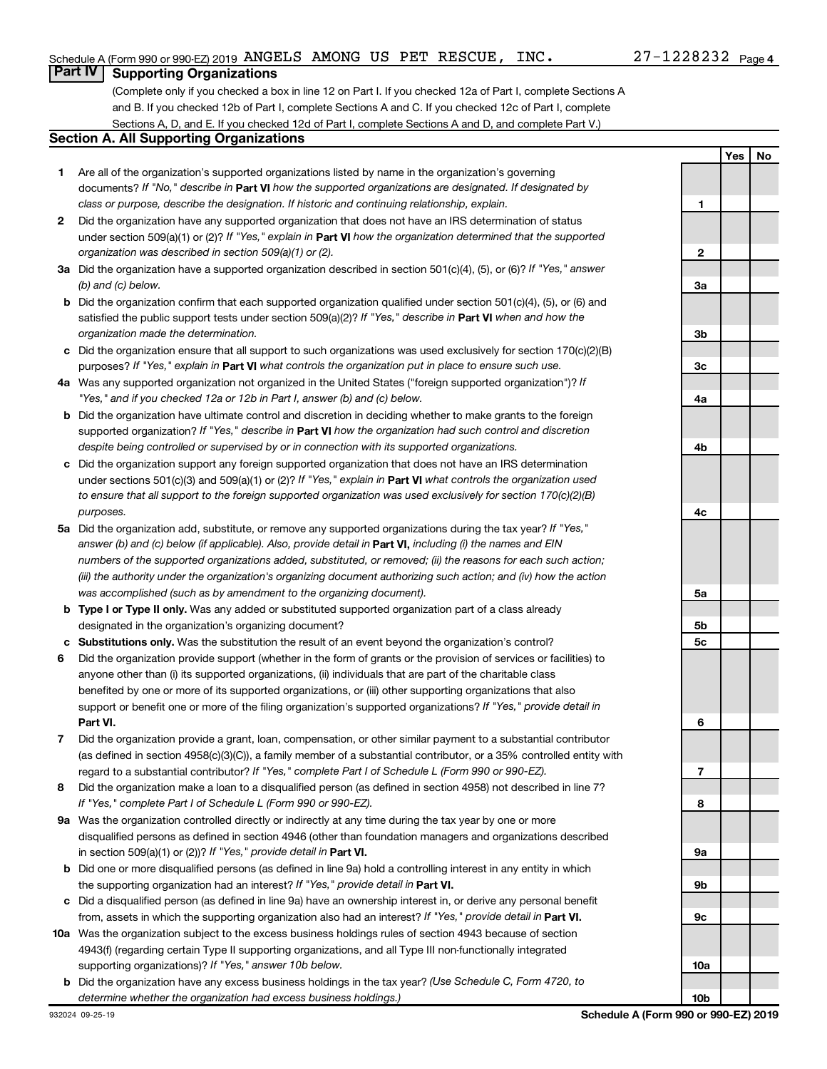# **Part IV Supporting Organizations**

(Complete only if you checked a box in line 12 on Part I. If you checked 12a of Part I, complete Sections A and B. If you checked 12b of Part I, complete Sections A and C. If you checked 12c of Part I, complete Sections A, D, and E. If you checked 12d of Part I, complete Sections A and D, and complete Part V.)

#### **Section A. All Supporting Organizations**

- **1** Are all of the organization's supported organizations listed by name in the organization's governing documents? If "No," describe in Part VI how the supported organizations are designated. If designated by *class or purpose, describe the designation. If historic and continuing relationship, explain.*
- **2** Did the organization have any supported organization that does not have an IRS determination of status under section 509(a)(1) or (2)? If "Yes," explain in Part **VI** how the organization determined that the supported *organization was described in section 509(a)(1) or (2).*
- **3a** Did the organization have a supported organization described in section 501(c)(4), (5), or (6)? If "Yes," answer *(b) and (c) below.*
- **b** Did the organization confirm that each supported organization qualified under section 501(c)(4), (5), or (6) and satisfied the public support tests under section 509(a)(2)? If "Yes," describe in Part VI when and how the *organization made the determination.*
- **c** Did the organization ensure that all support to such organizations was used exclusively for section 170(c)(2)(B) purposes? If "Yes," explain in Part VI what controls the organization put in place to ensure such use.
- **4 a** *If* Was any supported organization not organized in the United States ("foreign supported organization")? *"Yes," and if you checked 12a or 12b in Part I, answer (b) and (c) below.*
- **b** Did the organization have ultimate control and discretion in deciding whether to make grants to the foreign supported organization? If "Yes," describe in Part VI how the organization had such control and discretion *despite being controlled or supervised by or in connection with its supported organizations.*
- **c** Did the organization support any foreign supported organization that does not have an IRS determination under sections 501(c)(3) and 509(a)(1) or (2)? If "Yes," explain in Part VI what controls the organization used *to ensure that all support to the foreign supported organization was used exclusively for section 170(c)(2)(B) purposes.*
- **5a** Did the organization add, substitute, or remove any supported organizations during the tax year? If "Yes," answer (b) and (c) below (if applicable). Also, provide detail in **Part VI,** including (i) the names and EIN *numbers of the supported organizations added, substituted, or removed; (ii) the reasons for each such action; (iii) the authority under the organization's organizing document authorizing such action; and (iv) how the action was accomplished (such as by amendment to the organizing document).*
- **b** Type I or Type II only. Was any added or substituted supported organization part of a class already designated in the organization's organizing document?
- **c Substitutions only.**  Was the substitution the result of an event beyond the organization's control?
- **6** Did the organization provide support (whether in the form of grants or the provision of services or facilities) to **Part VI.** support or benefit one or more of the filing organization's supported organizations? If "Yes," provide detail in anyone other than (i) its supported organizations, (ii) individuals that are part of the charitable class benefited by one or more of its supported organizations, or (iii) other supporting organizations that also
- **7** Did the organization provide a grant, loan, compensation, or other similar payment to a substantial contributor regard to a substantial contributor? If "Yes," complete Part I of Schedule L (Form 990 or 990-EZ). (as defined in section 4958(c)(3)(C)), a family member of a substantial contributor, or a 35% controlled entity with
- **8** Did the organization make a loan to a disqualified person (as defined in section 4958) not described in line 7? *If "Yes," complete Part I of Schedule L (Form 990 or 990-EZ).*
- **9 a** Was the organization controlled directly or indirectly at any time during the tax year by one or more in section 509(a)(1) or (2))? If "Yes," provide detail in **Part VI.** disqualified persons as defined in section 4946 (other than foundation managers and organizations described
- **b** Did one or more disqualified persons (as defined in line 9a) hold a controlling interest in any entity in which the supporting organization had an interest? If "Yes," provide detail in Part VI.
- **c** Did a disqualified person (as defined in line 9a) have an ownership interest in, or derive any personal benefit from, assets in which the supporting organization also had an interest? If "Yes," provide detail in Part VI.
- **10 a** Was the organization subject to the excess business holdings rules of section 4943 because of section supporting organizations)? If "Yes," answer 10b below. 4943(f) (regarding certain Type II supporting organizations, and all Type III non-functionally integrated
- **b** Did the organization have any excess business holdings in the tax year? (Use Schedule C, Form 4720, to *determine whether the organization had excess business holdings.)*

**Yes No 1 2 3a 3b 3c 4a 4b 4c 5a 5b 5c 6 7 8 9a 9b 9c 10a 10b**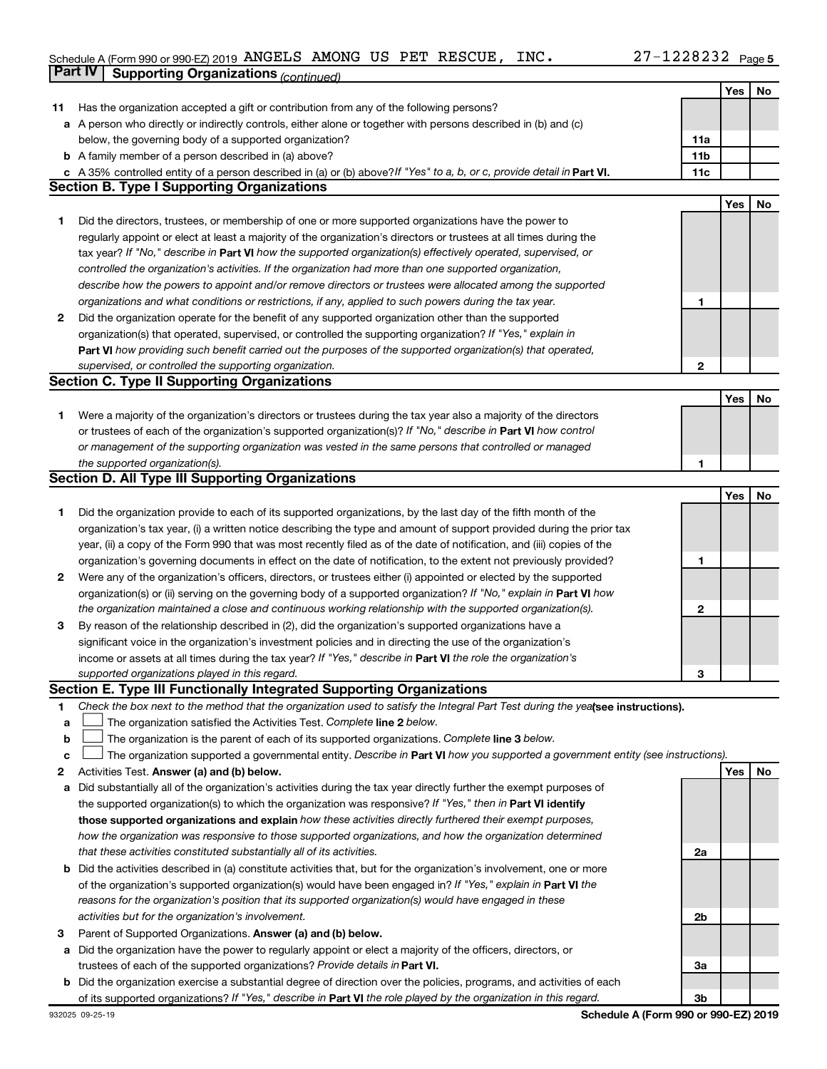# Schedule A (Form 990 or 990-EZ) 2019 ANGELS AMONG US PET RESCUE, INC.  $27-1228232$  Page **Part IV Supporting Organizations** *(continued)*

|    |                                                                                                                                 |     | Yes | No |
|----|---------------------------------------------------------------------------------------------------------------------------------|-----|-----|----|
| 11 | Has the organization accepted a gift or contribution from any of the following persons?                                         |     |     |    |
|    | a A person who directly or indirectly controls, either alone or together with persons described in (b) and (c)                  |     |     |    |
|    | below, the governing body of a supported organization?                                                                          | 11a |     |    |
|    | <b>b</b> A family member of a person described in (a) above?                                                                    | 11b |     |    |
|    | c A 35% controlled entity of a person described in (a) or (b) above? If "Yes" to a, b, or c, provide detail in Part VI.         | 11c |     |    |
|    | <b>Section B. Type I Supporting Organizations</b>                                                                               |     |     |    |
|    |                                                                                                                                 |     | Yes | No |
| 1. | Did the directors, trustees, or membership of one or more supported organizations have the power to                             |     |     |    |
|    | regularly appoint or elect at least a majority of the organization's directors or trustees at all times during the              |     |     |    |
|    | tax year? If "No," describe in Part VI how the supported organization(s) effectively operated, supervised, or                   |     |     |    |
|    | controlled the organization's activities. If the organization had more than one supported organization,                         |     |     |    |
|    | describe how the powers to appoint and/or remove directors or trustees were allocated among the supported                       |     |     |    |
|    | organizations and what conditions or restrictions, if any, applied to such powers during the tax year.                          | 1   |     |    |
| 2  | Did the organization operate for the benefit of any supported organization other than the supported                             |     |     |    |
|    | organization(s) that operated, supervised, or controlled the supporting organization? If "Yes," explain in                      |     |     |    |
|    | Part VI how providing such benefit carried out the purposes of the supported organization(s) that operated,                     |     |     |    |
|    | supervised, or controlled the supporting organization.                                                                          | 2   |     |    |
|    | <b>Section C. Type II Supporting Organizations</b>                                                                              |     |     |    |
|    |                                                                                                                                 |     | Yes | No |
| 1. | Were a majority of the organization's directors or trustees during the tax year also a majority of the directors                |     |     |    |
|    | or trustees of each of the organization's supported organization(s)? If "No," describe in Part VI how control                   |     |     |    |
|    | or management of the supporting organization was vested in the same persons that controlled or managed                          |     |     |    |
|    | the supported organization(s).                                                                                                  | 1   |     |    |
|    | <b>Section D. All Type III Supporting Organizations</b>                                                                         |     |     |    |
|    |                                                                                                                                 |     | Yes | No |
| 1  | Did the organization provide to each of its supported organizations, by the last day of the fifth month of the                  |     |     |    |
|    | organization's tax year, (i) a written notice describing the type and amount of support provided during the prior tax           |     |     |    |
|    | year, (ii) a copy of the Form 990 that was most recently filed as of the date of notification, and (iii) copies of the          |     |     |    |
|    | organization's governing documents in effect on the date of notification, to the extent not previously provided?                | 1   |     |    |
| 2  | Were any of the organization's officers, directors, or trustees either (i) appointed or elected by the supported                |     |     |    |
|    | organization(s) or (ii) serving on the governing body of a supported organization? If "No," explain in Part VI how              |     |     |    |
|    | the organization maintained a close and continuous working relationship with the supported organization(s).                     | 2   |     |    |
|    | By reason of the relationship described in (2), did the organization's supported organizations have a                           |     |     |    |
| 3  | significant voice in the organization's investment policies and in directing the use of the organization's                      |     |     |    |
|    | income or assets at all times during the tax year? If "Yes," describe in Part VI the role the organization's                    |     |     |    |
|    |                                                                                                                                 | З   |     |    |
|    | supported organizations played in this regard.<br>Section E. Type III Functionally Integrated Supporting Organizations          |     |     |    |
|    |                                                                                                                                 |     |     |    |
| 1. | Check the box next to the method that the organization used to satisfy the Integral Part Test during the yealsee instructions). |     |     |    |
| a  | The organization satisfied the Activities Test. Complete line 2 below.                                                          |     |     |    |
| b  | The organization is the parent of each of its supported organizations. Complete line 3 below.                                   |     |     |    |
| c  | The organization supported a governmental entity. Describe in Part VI how you supported a government entity (see instructions). |     |     |    |
| 2  | Activities Test. Answer (a) and (b) below.                                                                                      |     | Yes | No |
| а  | Did substantially all of the organization's activities during the tax year directly further the exempt purposes of              |     |     |    |
|    | the supported organization(s) to which the organization was responsive? If "Yes," then in Part VI identify                      |     |     |    |
|    | those supported organizations and explain how these activities directly furthered their exempt purposes,                        |     |     |    |
|    | how the organization was responsive to those supported organizations, and how the organization determined                       |     |     |    |
|    | that these activities constituted substantially all of its activities.                                                          | 2a  |     |    |
|    | <b>b</b> Did the activities described in (a) constitute activities that, but for the organization's involvement, one or more    |     |     |    |
|    | of the organization's supported organization(s) would have been engaged in? If "Yes," explain in Part VI the                    |     |     |    |
|    | reasons for the organization's position that its supported organization(s) would have engaged in these                          |     |     |    |
|    | activities but for the organization's involvement.                                                                              | 2b  |     |    |
| 3  | Parent of Supported Organizations. Answer (a) and (b) below.                                                                    |     |     |    |
| а  | Did the organization have the power to regularly appoint or elect a majority of the officers, directors, or                     |     |     |    |
|    | trustees of each of the supported organizations? Provide details in Part VI.                                                    | За  |     |    |
|    | <b>b</b> Did the organization exercise a substantial degree of direction over the policies, programs, and activities of each    |     |     |    |
|    | of its supported organizations? If "Yes," describe in Part VI the role played by the organization in this regard.               | 3b  |     |    |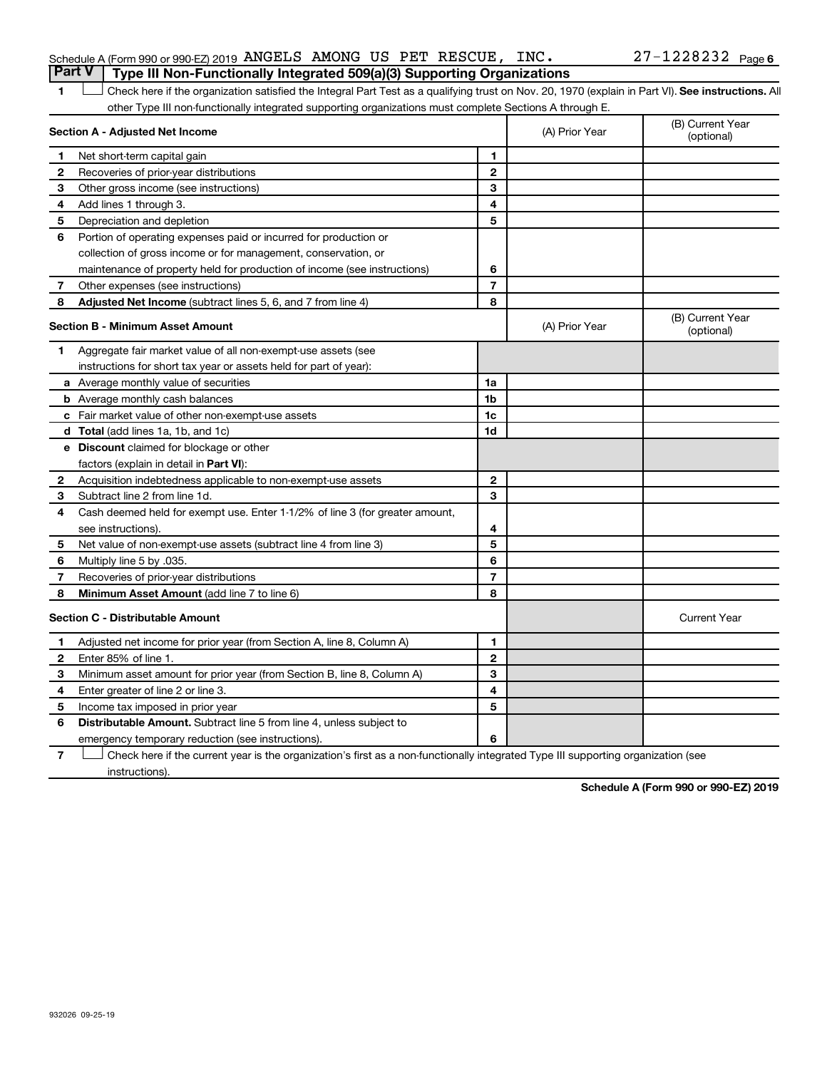| Schedule A (Form 990 or 990-EZ) 2019 ANGELS AMONG US PET RESCUE, INC.<br><b>Part V</b> Type III Non-Functionally Integrated 509(a)(3) Supporting Organizations |  |  | $27 - 1228232$ Page 6 |  |
|----------------------------------------------------------------------------------------------------------------------------------------------------------------|--|--|-----------------------|--|
|                                                                                                                                                                |  |  |                       |  |

1 **Letter See instructions.** All Check here if the organization satisfied the Integral Part Test as a qualifying trust on Nov. 20, 1970 (explain in Part VI). See instructions. All other Type III non-functionally integrated supporting organizations must complete Sections A through E.

|              | Section A - Adjusted Net Income                                              |                | (A) Prior Year | (B) Current Year<br>(optional) |
|--------------|------------------------------------------------------------------------------|----------------|----------------|--------------------------------|
| 1            | Net short-term capital gain                                                  | 1              |                |                                |
| 2            | Recoveries of prior-year distributions                                       | $\mathbf{2}$   |                |                                |
| 3            | Other gross income (see instructions)                                        | 3              |                |                                |
| 4            | Add lines 1 through 3.                                                       | 4              |                |                                |
| 5            | Depreciation and depletion                                                   | 5              |                |                                |
| 6            | Portion of operating expenses paid or incurred for production or             |                |                |                                |
|              | collection of gross income or for management, conservation, or               |                |                |                                |
|              | maintenance of property held for production of income (see instructions)     | 6              |                |                                |
| 7            | Other expenses (see instructions)                                            | $\overline{7}$ |                |                                |
| 8            | Adjusted Net Income (subtract lines 5, 6, and 7 from line 4)                 | 8              |                |                                |
|              | <b>Section B - Minimum Asset Amount</b>                                      |                | (A) Prior Year | (B) Current Year<br>(optional) |
| 1.           | Aggregate fair market value of all non-exempt-use assets (see                |                |                |                                |
|              | instructions for short tax year or assets held for part of year):            |                |                |                                |
|              | a Average monthly value of securities                                        | 1a             |                |                                |
|              | <b>b</b> Average monthly cash balances                                       | 1b             |                |                                |
|              | c Fair market value of other non-exempt-use assets                           | 1c             |                |                                |
|              | d Total (add lines 1a, 1b, and 1c)                                           | 1d             |                |                                |
|              | <b>e</b> Discount claimed for blockage or other                              |                |                |                                |
|              | factors (explain in detail in <b>Part VI</b> ):                              |                |                |                                |
| 2            | Acquisition indebtedness applicable to non-exempt-use assets                 | $\mathbf{2}$   |                |                                |
| З            | Subtract line 2 from line 1d.                                                | 3              |                |                                |
| 4            | Cash deemed held for exempt use. Enter 1-1/2% of line 3 (for greater amount, |                |                |                                |
|              | see instructions)                                                            | 4              |                |                                |
| 5            | Net value of non-exempt-use assets (subtract line 4 from line 3)             | 5              |                |                                |
| 6            | Multiply line 5 by .035.                                                     | 6              |                |                                |
| 7            | Recoveries of prior-year distributions                                       | 7              |                |                                |
| 8            | Minimum Asset Amount (add line 7 to line 6)                                  | 8              |                |                                |
|              | <b>Section C - Distributable Amount</b>                                      |                |                | <b>Current Year</b>            |
| 1            | Adjusted net income for prior year (from Section A, line 8, Column A)        | 1              |                |                                |
| $\mathbf{2}$ | Enter 85% of line 1                                                          | $\mathbf{2}$   |                |                                |
| 3            | Minimum asset amount for prior year (from Section B, line 8, Column A)       | 3              |                |                                |
| 4            | Enter greater of line 2 or line 3.                                           | 4              |                |                                |
| 5            | Income tax imposed in prior year                                             | 5              |                |                                |
| 6            | <b>Distributable Amount.</b> Subtract line 5 from line 4, unless subject to  |                |                |                                |
|              | emergency temporary reduction (see instructions).                            | 6              |                |                                |
|              |                                                                              |                |                |                                |

**7** Check here if the current year is the organization's first as a non-functionally integrated Type III supporting organization (see † instructions).

**Schedule A (Form 990 or 990-EZ) 2019**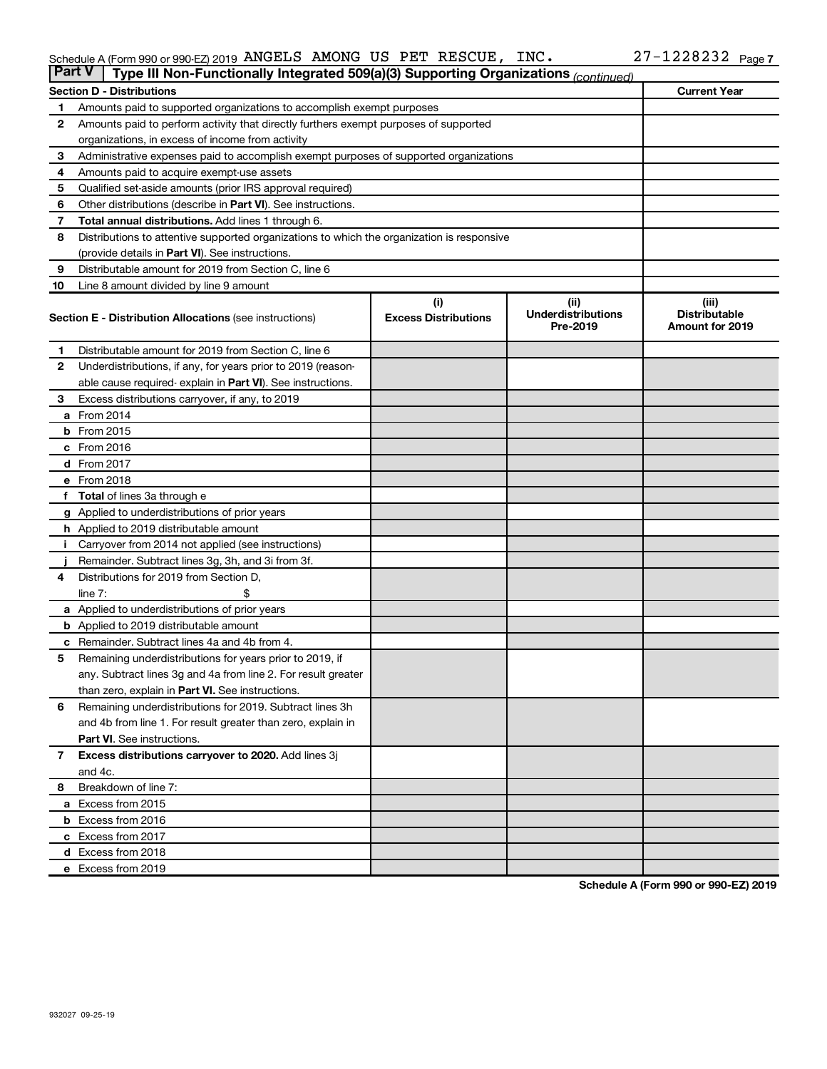#### Schedule A (Form 990 or 990-EZ) 2019 ANGELS AMONG US PET RESCUE, INC.  $ZI - IZZ8Z3Z$  Page ANGELS AMONG US PET RESCUE, INC. 27-1228232

|                | <b>Part V</b><br>Type III Non-Functionally Integrated 509(a)(3) Supporting Organizations (continued) |                             |                                       |                                                |  |  |  |
|----------------|------------------------------------------------------------------------------------------------------|-----------------------------|---------------------------------------|------------------------------------------------|--|--|--|
|                | <b>Current Year</b><br><b>Section D - Distributions</b>                                              |                             |                                       |                                                |  |  |  |
| 1              | Amounts paid to supported organizations to accomplish exempt purposes                                |                             |                                       |                                                |  |  |  |
| $\mathbf{2}$   | Amounts paid to perform activity that directly furthers exempt purposes of supported                 |                             |                                       |                                                |  |  |  |
|                | organizations, in excess of income from activity                                                     |                             |                                       |                                                |  |  |  |
| 3              | Administrative expenses paid to accomplish exempt purposes of supported organizations                |                             |                                       |                                                |  |  |  |
| 4              | Amounts paid to acquire exempt-use assets                                                            |                             |                                       |                                                |  |  |  |
| 5              | Qualified set-aside amounts (prior IRS approval required)                                            |                             |                                       |                                                |  |  |  |
| 6              | Other distributions (describe in <b>Part VI</b> ). See instructions.                                 |                             |                                       |                                                |  |  |  |
| 7              | Total annual distributions. Add lines 1 through 6.                                                   |                             |                                       |                                                |  |  |  |
| 8              | Distributions to attentive supported organizations to which the organization is responsive           |                             |                                       |                                                |  |  |  |
|                | (provide details in Part VI). See instructions.                                                      |                             |                                       |                                                |  |  |  |
| 9              | Distributable amount for 2019 from Section C, line 6                                                 |                             |                                       |                                                |  |  |  |
| 10             | Line 8 amount divided by line 9 amount                                                               |                             |                                       |                                                |  |  |  |
|                |                                                                                                      | (i)                         | (ii)                                  | (iii)                                          |  |  |  |
|                | <b>Section E - Distribution Allocations (see instructions)</b>                                       | <b>Excess Distributions</b> | <b>Underdistributions</b><br>Pre-2019 | <b>Distributable</b><br><b>Amount for 2019</b> |  |  |  |
| 1              | Distributable amount for 2019 from Section C, line 6                                                 |                             |                                       |                                                |  |  |  |
| $\mathbf{2}$   | Underdistributions, if any, for years prior to 2019 (reason-                                         |                             |                                       |                                                |  |  |  |
|                | able cause required- explain in Part VI). See instructions.                                          |                             |                                       |                                                |  |  |  |
| 3              | Excess distributions carryover, if any, to 2019                                                      |                             |                                       |                                                |  |  |  |
|                | a From 2014                                                                                          |                             |                                       |                                                |  |  |  |
|                | $b$ From 2015                                                                                        |                             |                                       |                                                |  |  |  |
|                | c From 2016                                                                                          |                             |                                       |                                                |  |  |  |
|                | d From 2017                                                                                          |                             |                                       |                                                |  |  |  |
|                | e From 2018                                                                                          |                             |                                       |                                                |  |  |  |
|                | f Total of lines 3a through e                                                                        |                             |                                       |                                                |  |  |  |
|                | <b>g</b> Applied to underdistributions of prior years                                                |                             |                                       |                                                |  |  |  |
|                | <b>h</b> Applied to 2019 distributable amount                                                        |                             |                                       |                                                |  |  |  |
| Ť.             | Carryover from 2014 not applied (see instructions)                                                   |                             |                                       |                                                |  |  |  |
|                | Remainder. Subtract lines 3g, 3h, and 3i from 3f.                                                    |                             |                                       |                                                |  |  |  |
| 4              | Distributions for 2019 from Section D,                                                               |                             |                                       |                                                |  |  |  |
|                | line $7:$                                                                                            |                             |                                       |                                                |  |  |  |
|                | <b>a</b> Applied to underdistributions of prior years                                                |                             |                                       |                                                |  |  |  |
|                | <b>b</b> Applied to 2019 distributable amount                                                        |                             |                                       |                                                |  |  |  |
| c              | Remainder. Subtract lines 4a and 4b from 4.                                                          |                             |                                       |                                                |  |  |  |
| 5              | Remaining underdistributions for years prior to 2019, if                                             |                             |                                       |                                                |  |  |  |
|                | any. Subtract lines 3g and 4a from line 2. For result greater                                        |                             |                                       |                                                |  |  |  |
|                | than zero, explain in Part VI. See instructions.                                                     |                             |                                       |                                                |  |  |  |
| 6              | Remaining underdistributions for 2019. Subtract lines 3h                                             |                             |                                       |                                                |  |  |  |
|                | and 4b from line 1. For result greater than zero, explain in                                         |                             |                                       |                                                |  |  |  |
|                | <b>Part VI.</b> See instructions.                                                                    |                             |                                       |                                                |  |  |  |
| $\overline{7}$ | Excess distributions carryover to 2020. Add lines 3j                                                 |                             |                                       |                                                |  |  |  |
|                | and 4c.                                                                                              |                             |                                       |                                                |  |  |  |
| 8              | Breakdown of line 7:                                                                                 |                             |                                       |                                                |  |  |  |
|                | a Excess from 2015                                                                                   |                             |                                       |                                                |  |  |  |
|                | <b>b</b> Excess from 2016                                                                            |                             |                                       |                                                |  |  |  |
|                | c Excess from 2017                                                                                   |                             |                                       |                                                |  |  |  |
|                | d Excess from 2018                                                                                   |                             |                                       |                                                |  |  |  |
|                | e Excess from 2019                                                                                   |                             |                                       |                                                |  |  |  |

**Schedule A (Form 990 or 990-EZ) 2019**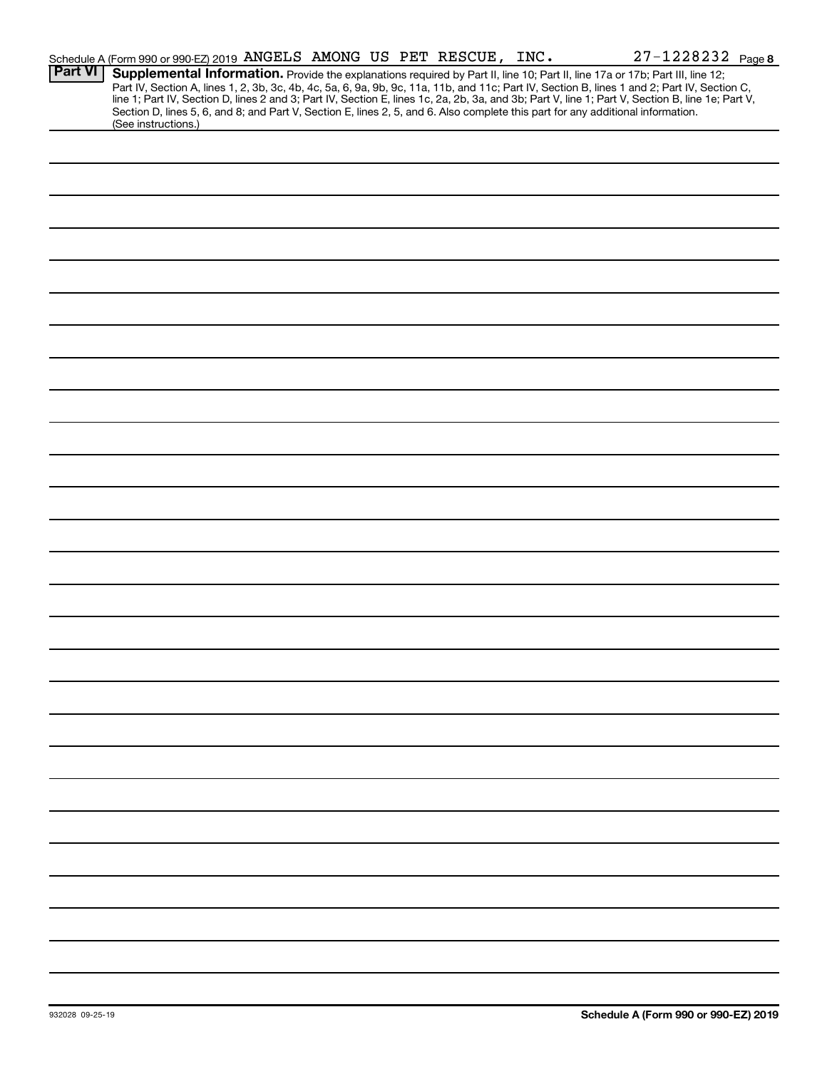|                | 27-1228232 Page 8<br>Schedule A (Form 990 or 990-EZ) 2019 ANGELS AMONG US PET RESCUE, INC.                                                                                                                                                                                                                                                                                                                                                                                                                                                                                                  |
|----------------|---------------------------------------------------------------------------------------------------------------------------------------------------------------------------------------------------------------------------------------------------------------------------------------------------------------------------------------------------------------------------------------------------------------------------------------------------------------------------------------------------------------------------------------------------------------------------------------------|
| <b>Part VI</b> | Supplemental Information. Provide the explanations required by Part II, line 10; Part II, line 17a or 17b; Part III, line 12;<br>Part IV, Section A, lines 1, 2, 3b, 3c, 4b, 4c, 5a, 6, 9a, 9b, 9c, 11a, 11b, and 11c; Part IV, Section B, lines 1 and 2; Part IV, Section C,<br>line 1; Part IV, Section D, lines 2 and 3; Part IV, Section E, lines 1c, 2a, 2b, 3a, and 3b; Part V, line 1; Part V, Section B, line 1e; Part V,<br>Section D, lines 5, 6, and 8; and Part V, Section E, lines 2, 5, and 6. Also complete this part for any additional information.<br>(See instructions.) |
|                |                                                                                                                                                                                                                                                                                                                                                                                                                                                                                                                                                                                             |
|                |                                                                                                                                                                                                                                                                                                                                                                                                                                                                                                                                                                                             |
|                |                                                                                                                                                                                                                                                                                                                                                                                                                                                                                                                                                                                             |
|                |                                                                                                                                                                                                                                                                                                                                                                                                                                                                                                                                                                                             |
|                |                                                                                                                                                                                                                                                                                                                                                                                                                                                                                                                                                                                             |
|                |                                                                                                                                                                                                                                                                                                                                                                                                                                                                                                                                                                                             |
|                |                                                                                                                                                                                                                                                                                                                                                                                                                                                                                                                                                                                             |
|                |                                                                                                                                                                                                                                                                                                                                                                                                                                                                                                                                                                                             |
|                |                                                                                                                                                                                                                                                                                                                                                                                                                                                                                                                                                                                             |
|                |                                                                                                                                                                                                                                                                                                                                                                                                                                                                                                                                                                                             |
|                |                                                                                                                                                                                                                                                                                                                                                                                                                                                                                                                                                                                             |
|                |                                                                                                                                                                                                                                                                                                                                                                                                                                                                                                                                                                                             |
|                |                                                                                                                                                                                                                                                                                                                                                                                                                                                                                                                                                                                             |
|                |                                                                                                                                                                                                                                                                                                                                                                                                                                                                                                                                                                                             |
|                |                                                                                                                                                                                                                                                                                                                                                                                                                                                                                                                                                                                             |
|                |                                                                                                                                                                                                                                                                                                                                                                                                                                                                                                                                                                                             |
|                |                                                                                                                                                                                                                                                                                                                                                                                                                                                                                                                                                                                             |
|                |                                                                                                                                                                                                                                                                                                                                                                                                                                                                                                                                                                                             |
|                |                                                                                                                                                                                                                                                                                                                                                                                                                                                                                                                                                                                             |
|                |                                                                                                                                                                                                                                                                                                                                                                                                                                                                                                                                                                                             |
|                |                                                                                                                                                                                                                                                                                                                                                                                                                                                                                                                                                                                             |
|                |                                                                                                                                                                                                                                                                                                                                                                                                                                                                                                                                                                                             |
|                |                                                                                                                                                                                                                                                                                                                                                                                                                                                                                                                                                                                             |
|                |                                                                                                                                                                                                                                                                                                                                                                                                                                                                                                                                                                                             |
|                |                                                                                                                                                                                                                                                                                                                                                                                                                                                                                                                                                                                             |
|                |                                                                                                                                                                                                                                                                                                                                                                                                                                                                                                                                                                                             |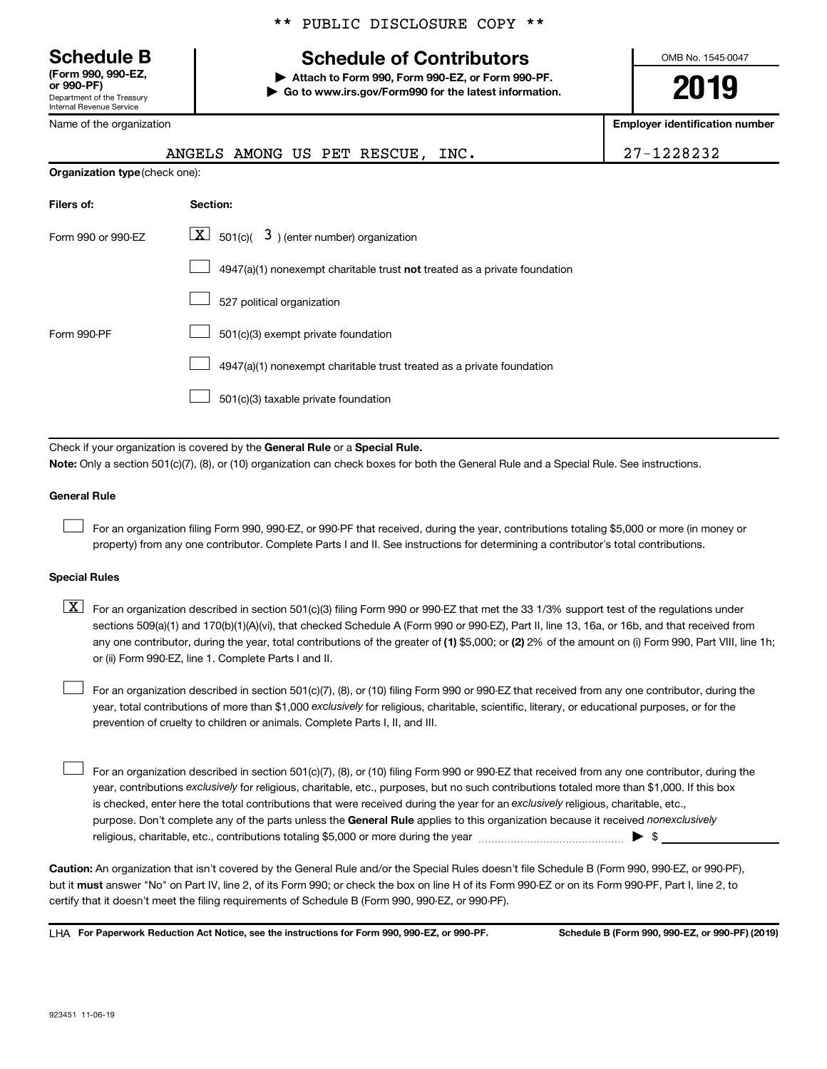**(Form 990, 990-EZ,**

Department of the Treasury Internal Revenue Service

Name of the organization

# **Schedule B Schedule of Contributors**

**or 990-PF) | Attach to Form 990, Form 990-EZ, or Form 990-PF. | Go to www.irs.gov/Form990 for the latest information.** OMB No. 1545-0047

**2019**

**Employer identification number**

|                                | ANGELS AMONG US PET RESCUE, INC.                                                                                                                                                                                                                                                                                                                                                                                                                                                                          | 27-1228232 |
|--------------------------------|-----------------------------------------------------------------------------------------------------------------------------------------------------------------------------------------------------------------------------------------------------------------------------------------------------------------------------------------------------------------------------------------------------------------------------------------------------------------------------------------------------------|------------|
| Organization type (check one): |                                                                                                                                                                                                                                                                                                                                                                                                                                                                                                           |            |
| Filers of:                     | Section:                                                                                                                                                                                                                                                                                                                                                                                                                                                                                                  |            |
| Form 990 or 990-EZ             | 501(c)( $\overline{3}$ ) (enter number) organization<br>$\lfloor x \rfloor$                                                                                                                                                                                                                                                                                                                                                                                                                               |            |
|                                | $4947(a)(1)$ nonexempt charitable trust not treated as a private foundation                                                                                                                                                                                                                                                                                                                                                                                                                               |            |
|                                | 527 political organization                                                                                                                                                                                                                                                                                                                                                                                                                                                                                |            |
| Form 990-PF                    | 501(c)(3) exempt private foundation                                                                                                                                                                                                                                                                                                                                                                                                                                                                       |            |
|                                | 4947(a)(1) nonexempt charitable trust treated as a private foundation                                                                                                                                                                                                                                                                                                                                                                                                                                     |            |
|                                | 501(c)(3) taxable private foundation                                                                                                                                                                                                                                                                                                                                                                                                                                                                      |            |
|                                |                                                                                                                                                                                                                                                                                                                                                                                                                                                                                                           |            |
|                                | Check if your organization is covered by the General Rule or a Special Rule.<br>Note: Only a section 501(c)(7), (8), or (10) organization can check boxes for both the General Rule and a Special Rule. See instructions.                                                                                                                                                                                                                                                                                 |            |
| <b>General Rule</b>            |                                                                                                                                                                                                                                                                                                                                                                                                                                                                                                           |            |
|                                | For an organization filing Form 990, 990-EZ, or 990-PF that received, during the year, contributions totaling \$5,000 or more (in money or<br>property) from any one contributor. Complete Parts I and II. See instructions for determining a contributor's total contributions.                                                                                                                                                                                                                          |            |
| <b>Special Rules</b>           |                                                                                                                                                                                                                                                                                                                                                                                                                                                                                                           |            |
| $\lfloor \texttt{X} \rfloor$   | For an organization described in section 501(c)(3) filing Form 990 or 990-EZ that met the 33 1/3% support test of the regulations under<br>sections 509(a)(1) and 170(b)(1)(A)(vi), that checked Schedule A (Form 990 or 990-EZ), Part II, line 13, 16a, or 16b, and that received from<br>any one contributor, during the year, total contributions of the greater of (1) \$5,000; or (2) 2% of the amount on (i) Form 990, Part VIII, line 1h;<br>or (ii) Form 990-EZ, line 1. Complete Parts I and II. |            |
|                                | For an organization described in section 501(c)(7), (8), or (10) filing Form 990 or 990-EZ that received from any one contributor, during the<br>year, total contributions of more than \$1,000 exclusively for religious, charitable, scientific, literary, or educational purposes, or for the<br>prevention of cruelty to children or animals. Complete Parts I, II, and III.                                                                                                                          |            |

purpose. Don't complete any of the parts unless the General Rule applies to this organization because it received nonexclusively year, contributions exclusively for religious, charitable, etc., purposes, but no such contributions totaled more than \$1,000. If this box is checked, enter here the total contributions that were received during the year for an exclusively religious, charitable, etc., For an organization described in section 501(c)(7), (8), or (10) filing Form 990 or 990-EZ that received from any one contributor, during the religious, charitable, etc., contributions totaling \$5,000 or more during the year  $~\ldots$  $~$   $\ldots$  $\ldots$  $\ldots$  $\ldots$  $\ldots$  $\Box$ 

**Caution:**  An organization that isn't covered by the General Rule and/or the Special Rules doesn't file Schedule B (Form 990, 990-EZ, or 990-PF),  **must** but it answer "No" on Part IV, line 2, of its Form 990; or check the box on line H of its Form 990-EZ or on its Form 990-PF, Part I, line 2, to certify that it doesn't meet the filing requirements of Schedule B (Form 990, 990-EZ, or 990-PF).

**For Paperwork Reduction Act Notice, see the instructions for Form 990, 990-EZ, or 990-PF. Schedule B (Form 990, 990-EZ, or 990-PF) (2019)** LHA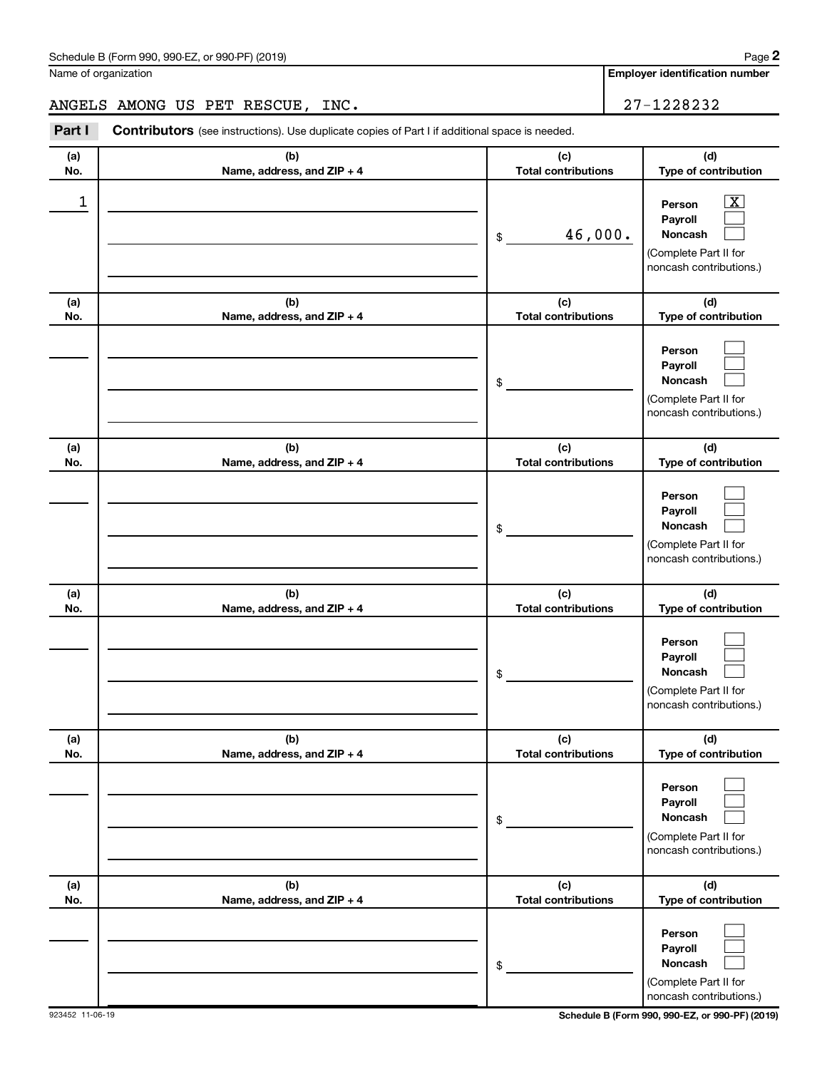Name of organization

**Employer identification number**

# ANGELS AMONG US PET RESCUE, INC. 27-1228232

**Part I** Contributors (see instructions). Use duplicate copies of Part I if additional space is needed.

| (a)<br>No. | (b)<br>Name, address, and ZIP + 4 | (c)<br><b>Total contributions</b> | (d)<br>Type of contribution                                                                                 |
|------------|-----------------------------------|-----------------------------------|-------------------------------------------------------------------------------------------------------------|
| 1          |                                   | 46,000.<br>\$                     | $\overline{\mathbf{x}}$<br>Person<br>Payroll<br>Noncash<br>(Complete Part II for<br>noncash contributions.) |
| (a)<br>No. | (b)<br>Name, address, and ZIP + 4 | (c)<br><b>Total contributions</b> | (d)<br>Type of contribution                                                                                 |
|            |                                   | \$                                | Person<br>Payroll<br>Noncash<br>(Complete Part II for<br>noncash contributions.)                            |
| (a)<br>No. | (b)<br>Name, address, and ZIP + 4 | (c)<br><b>Total contributions</b> | (d)<br>Type of contribution                                                                                 |
|            |                                   | \$                                | Person<br>Payroll<br><b>Noncash</b><br>(Complete Part II for<br>noncash contributions.)                     |
| (a)<br>No. | (b)<br>Name, address, and ZIP + 4 | (c)<br><b>Total contributions</b> | (d)<br>Type of contribution                                                                                 |
|            |                                   | \$                                | Person<br>Payroll<br>Noncash<br>(Complete Part II for<br>noncash contributions.)                            |
| (a)<br>No. | (b)<br>Name, address, and ZIP + 4 | (c)<br><b>Total contributions</b> | (d)<br>Type of contribution                                                                                 |
|            |                                   | \$                                | Person<br>Payroll<br>Noncash<br>(Complete Part II for<br>noncash contributions.)                            |
| (a)<br>No. | (b)<br>Name, address, and ZIP + 4 | (c)<br><b>Total contributions</b> | (d)<br>Type of contribution                                                                                 |
|            |                                   | \$                                | Person<br>Payroll<br>Noncash<br>(Complete Part II for<br>noncash contributions.)                            |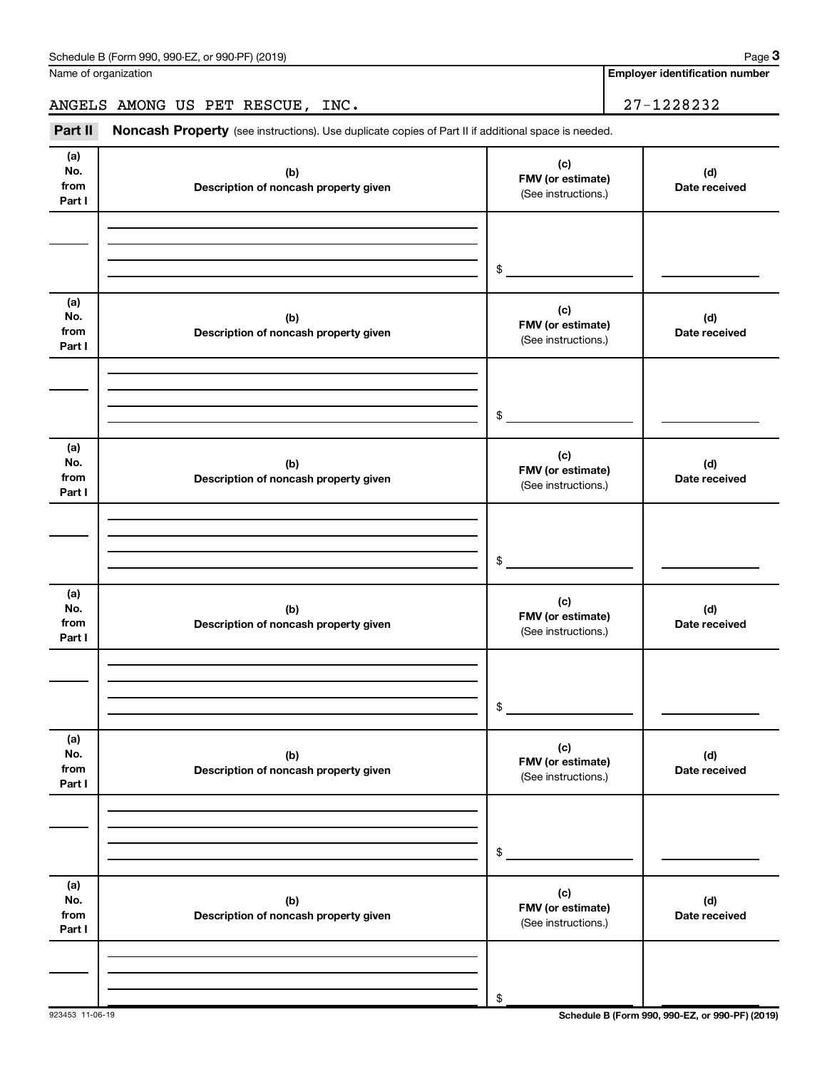**Employer identification number**

ANGELS AMONG US PET RESCUE, INC. 27-1228232

Part II Noncash Property (see instructions). Use duplicate copies of Part II if additional space is needed.

| (a)<br>No.<br>from<br>Part I | (b)<br>Description of noncash property given | (c)<br>FMV (or estimate)<br>(See instructions.) | (d)<br>Date received |
|------------------------------|----------------------------------------------|-------------------------------------------------|----------------------|
|                              |                                              |                                                 |                      |
|                              |                                              | $\frac{1}{2}$                                   |                      |
| (a)<br>No.<br>from<br>Part I | (b)<br>Description of noncash property given | (c)<br>FMV (or estimate)<br>(See instructions.) | (d)<br>Date received |
|                              |                                              |                                                 |                      |
|                              |                                              |                                                 |                      |
|                              |                                              | $\frac{1}{2}$                                   |                      |
| (a)<br>No.<br>from<br>Part I | (b)<br>Description of noncash property given | (c)<br>FMV (or estimate)<br>(See instructions.) | (d)<br>Date received |
|                              |                                              |                                                 |                      |
|                              |                                              |                                                 |                      |
|                              |                                              | $\frac{1}{2}$                                   |                      |
| (a)<br>No.<br>from<br>Part I | (b)<br>Description of noncash property given | (c)<br>FMV (or estimate)<br>(See instructions.) | (d)<br>Date received |
|                              |                                              |                                                 |                      |
|                              |                                              |                                                 |                      |
|                              |                                              | $$_$                                            |                      |
| (a)<br>No.<br>from<br>Part I | (b)<br>Description of noncash property given | (c)<br>FMV (or estimate)<br>(See instructions.) | (d)<br>Date received |
|                              |                                              |                                                 |                      |
|                              |                                              |                                                 |                      |
|                              |                                              | \$                                              |                      |
| (a)<br>No.<br>from<br>Part I | (b)<br>Description of noncash property given | (c)<br>FMV (or estimate)<br>(See instructions.) | (d)<br>Date received |
|                              |                                              |                                                 |                      |
|                              |                                              |                                                 |                      |
|                              |                                              | $\$$                                            |                      |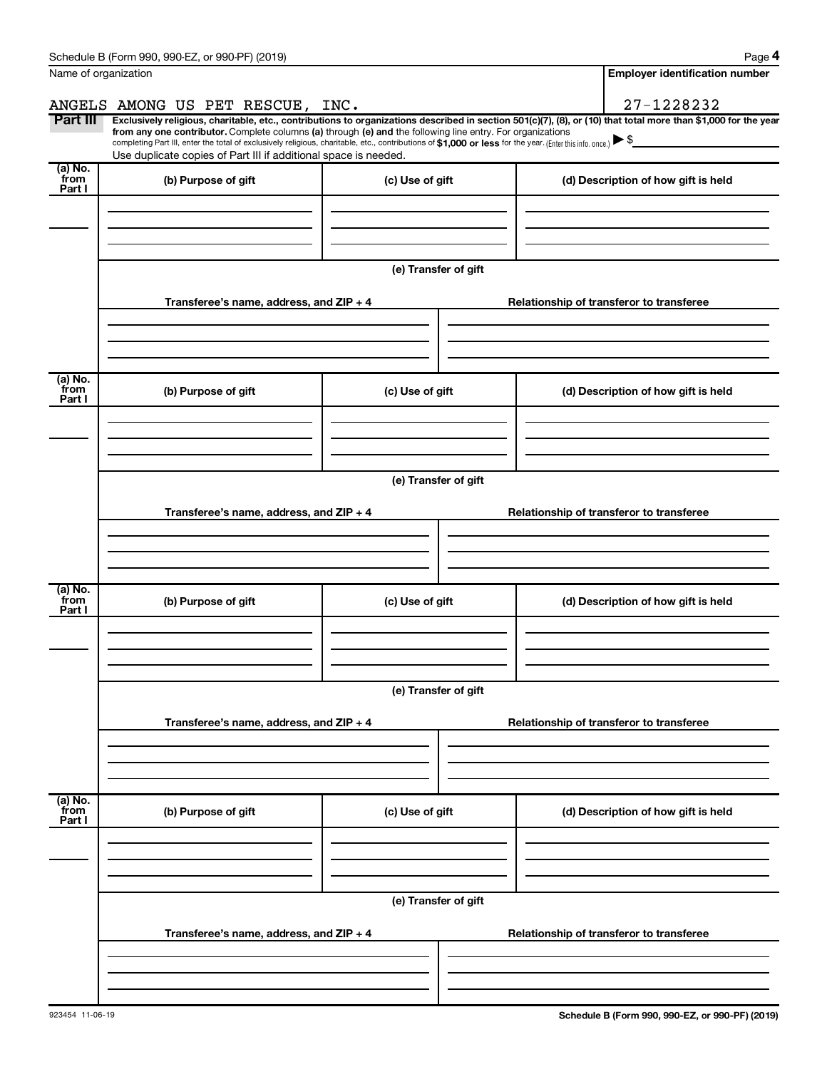|                           | Schedule B (Form 990, 990-EZ, or 990-PF) (2019)                                                                                                                                                                                                                                                 |                      | Page 4                                                                                                                                                         |  |  |  |
|---------------------------|-------------------------------------------------------------------------------------------------------------------------------------------------------------------------------------------------------------------------------------------------------------------------------------------------|----------------------|----------------------------------------------------------------------------------------------------------------------------------------------------------------|--|--|--|
|                           | Name of organization                                                                                                                                                                                                                                                                            |                      | <b>Employer identification number</b>                                                                                                                          |  |  |  |
|                           | ANGELS AMONG US PET RESCUE, INC.                                                                                                                                                                                                                                                                |                      | 27-1228232                                                                                                                                                     |  |  |  |
| Part III                  | from any one contributor. Complete columns (a) through (e) and the following line entry. For organizations<br>completing Part III, enter the total of exclusively religious, charitable, etc., contributions of \$1,000 or less for the year. (Enter this info. once.) $\blacktriangleright$ \$ |                      | Exclusively religious, charitable, etc., contributions to organizations described in section 501(c)(7), (8), or (10) that total more than \$1,000 for the year |  |  |  |
|                           | Use duplicate copies of Part III if additional space is needed.                                                                                                                                                                                                                                 |                      |                                                                                                                                                                |  |  |  |
| (a) No.<br>from<br>Part I | (b) Purpose of gift                                                                                                                                                                                                                                                                             | (c) Use of gift      | (d) Description of how gift is held                                                                                                                            |  |  |  |
|                           |                                                                                                                                                                                                                                                                                                 |                      |                                                                                                                                                                |  |  |  |
|                           |                                                                                                                                                                                                                                                                                                 | (e) Transfer of gift |                                                                                                                                                                |  |  |  |
|                           | Transferee's name, address, and ZIP + 4                                                                                                                                                                                                                                                         |                      | Relationship of transferor to transferee                                                                                                                       |  |  |  |
|                           |                                                                                                                                                                                                                                                                                                 |                      |                                                                                                                                                                |  |  |  |
| (a) No.<br>from<br>Part I | (b) Purpose of gift                                                                                                                                                                                                                                                                             | (c) Use of gift      | (d) Description of how gift is held                                                                                                                            |  |  |  |
|                           |                                                                                                                                                                                                                                                                                                 |                      |                                                                                                                                                                |  |  |  |
|                           | (e) Transfer of gift                                                                                                                                                                                                                                                                            |                      |                                                                                                                                                                |  |  |  |
|                           | Transferee's name, address, and ZIP + 4                                                                                                                                                                                                                                                         |                      | Relationship of transferor to transferee                                                                                                                       |  |  |  |
|                           |                                                                                                                                                                                                                                                                                                 |                      |                                                                                                                                                                |  |  |  |
| (a) No.<br>from<br>Part I | (b) Purpose of gift                                                                                                                                                                                                                                                                             | (c) Use of gift      | (d) Description of how gift is held                                                                                                                            |  |  |  |
|                           |                                                                                                                                                                                                                                                                                                 |                      |                                                                                                                                                                |  |  |  |
|                           |                                                                                                                                                                                                                                                                                                 | (e) Transfer of gift |                                                                                                                                                                |  |  |  |
|                           | Transferee's name, address, and ZIP + 4                                                                                                                                                                                                                                                         |                      | Relationship of transferor to transferee                                                                                                                       |  |  |  |
|                           |                                                                                                                                                                                                                                                                                                 |                      |                                                                                                                                                                |  |  |  |
| (a) No.<br>from<br>Part I | (b) Purpose of gift                                                                                                                                                                                                                                                                             | (c) Use of gift      | (d) Description of how gift is held                                                                                                                            |  |  |  |
|                           |                                                                                                                                                                                                                                                                                                 |                      |                                                                                                                                                                |  |  |  |
|                           | (e) Transfer of gift                                                                                                                                                                                                                                                                            |                      |                                                                                                                                                                |  |  |  |
|                           | Transferee's name, address, and ZIP + 4                                                                                                                                                                                                                                                         |                      | Relationship of transferor to transferee                                                                                                                       |  |  |  |
|                           |                                                                                                                                                                                                                                                                                                 |                      |                                                                                                                                                                |  |  |  |
|                           |                                                                                                                                                                                                                                                                                                 |                      |                                                                                                                                                                |  |  |  |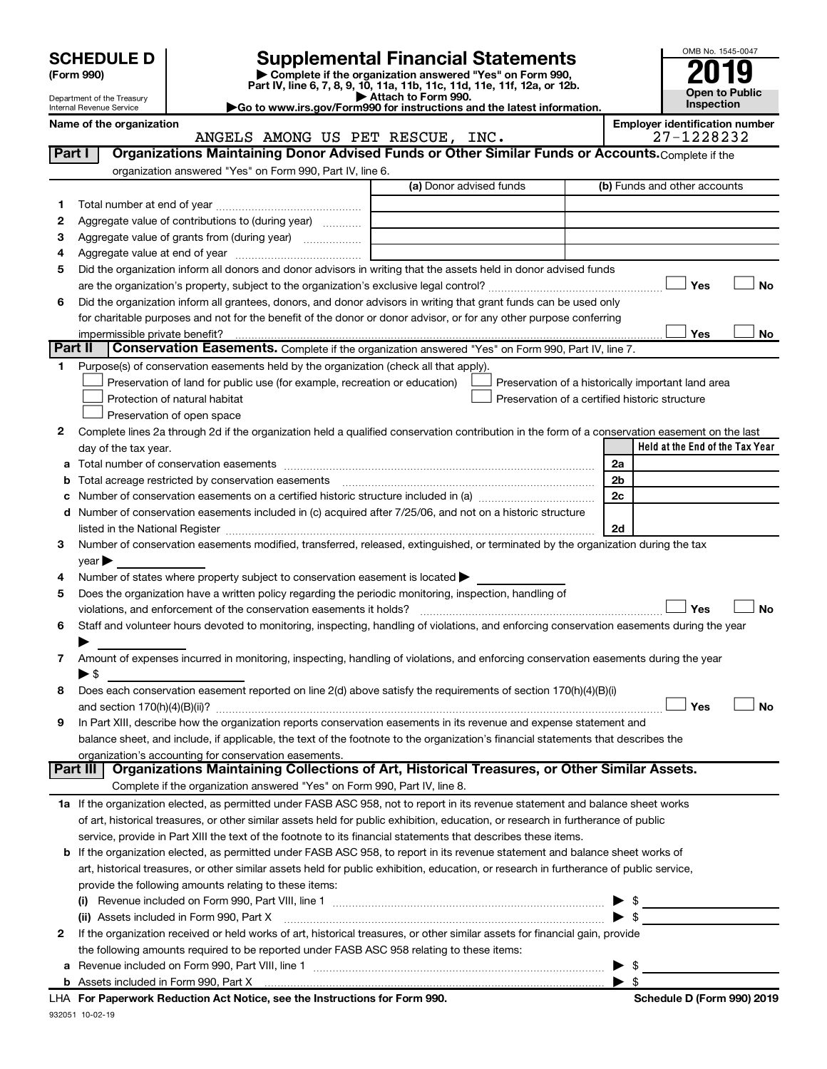| <b>SCHEDULE D</b> |  |  |
|-------------------|--|--|
|                   |  |  |

| (Form 990) |  |
|------------|--|
|------------|--|

932051 10-02-19

# **SCHEDULE D Supplemental Financial Statements**<br> **Form 990 2019**<br> **Part IV** line 6.7.8.9.10, 11a, 11b, 11d, 11d, 11d, 11d, 11d, 12a, 0r, 12b

**(Form 990) | Complete if the organization answered "Yes" on Form 990, Part IV, line 6, 7, 8, 9, 10, 11a, 11b, 11c, 11d, 11e, 11f, 12a, or 12b.**

**| Attach to Form 990. |Go to www.irs.gov/Form990 for instructions and the latest information.**



Department of the Treasury Internal Revenue Service

Name of the organization<br>**ANGELS AMONG US PET RESCUE, INC. Employer identification number**<br>27-1228232 ANGELS AMONG US PET RESCUE, INC. 27-1228232

| Part I  | Organizations Maintaining Donor Advised Funds or Other Similar Funds or Accounts. Complete if the                                                                                                                              |                         |                                                    |
|---------|--------------------------------------------------------------------------------------------------------------------------------------------------------------------------------------------------------------------------------|-------------------------|----------------------------------------------------|
|         | organization answered "Yes" on Form 990, Part IV, line 6.                                                                                                                                                                      | (a) Donor advised funds | (b) Funds and other accounts                       |
| 1.      |                                                                                                                                                                                                                                |                         |                                                    |
| 2       | Aggregate value of contributions to (during year)                                                                                                                                                                              |                         |                                                    |
| З       | Aggregate value of grants from (during year)                                                                                                                                                                                   |                         |                                                    |
| 4       |                                                                                                                                                                                                                                |                         |                                                    |
| 5       | Did the organization inform all donors and donor advisors in writing that the assets held in donor advised funds                                                                                                               |                         |                                                    |
|         |                                                                                                                                                                                                                                |                         | Yes<br>No                                          |
| 6       | Did the organization inform all grantees, donors, and donor advisors in writing that grant funds can be used only                                                                                                              |                         |                                                    |
|         | for charitable purposes and not for the benefit of the donor or donor advisor, or for any other purpose conferring                                                                                                             |                         |                                                    |
|         |                                                                                                                                                                                                                                |                         | Yes<br>No                                          |
| Part II | Conservation Easements. Complete if the organization answered "Yes" on Form 990, Part IV, line 7.                                                                                                                              |                         |                                                    |
| 1       | Purpose(s) of conservation easements held by the organization (check all that apply).                                                                                                                                          |                         |                                                    |
|         | Preservation of land for public use (for example, recreation or education)                                                                                                                                                     |                         | Preservation of a historically important land area |
|         | Protection of natural habitat                                                                                                                                                                                                  |                         | Preservation of a certified historic structure     |
|         | Preservation of open space                                                                                                                                                                                                     |                         |                                                    |
| 2       | Complete lines 2a through 2d if the organization held a qualified conservation contribution in the form of a conservation easement on the last                                                                                 |                         |                                                    |
|         | day of the tax year.                                                                                                                                                                                                           |                         | Held at the End of the Tax Year                    |
| а       |                                                                                                                                                                                                                                |                         | 2a                                                 |
|         |                                                                                                                                                                                                                                |                         | 2b                                                 |
|         |                                                                                                                                                                                                                                |                         | 2c                                                 |
| d       | Number of conservation easements included in (c) acquired after 7/25/06, and not on a historic structure                                                                                                                       |                         |                                                    |
|         | listed in the National Register [111] in the National Register [11] in the National Register [11] in the National Register [11] in the National Register [11] in the National Register [11] in the National Register [11] in t |                         | 2d                                                 |
| 3       | Number of conservation easements modified, transferred, released, extinguished, or terminated by the organization during the tax                                                                                               |                         |                                                    |
|         | year                                                                                                                                                                                                                           |                         |                                                    |
| 4       | Number of states where property subject to conservation easement is located >                                                                                                                                                  |                         |                                                    |
| 5       | Does the organization have a written policy regarding the periodic monitoring, inspection, handling of                                                                                                                         |                         |                                                    |
|         | violations, and enforcement of the conservation easements it holds?                                                                                                                                                            |                         | Yes<br><b>No</b>                                   |
| 6       | Staff and volunteer hours devoted to monitoring, inspecting, handling of violations, and enforcing conservation easements during the year                                                                                      |                         |                                                    |
|         |                                                                                                                                                                                                                                |                         |                                                    |
| 7       | Amount of expenses incurred in monitoring, inspecting, handling of violations, and enforcing conservation easements during the year                                                                                            |                         |                                                    |
|         | $\blacktriangleright$ \$                                                                                                                                                                                                       |                         |                                                    |
| 8       | Does each conservation easement reported on line 2(d) above satisfy the requirements of section 170(h)(4)(B)(i)                                                                                                                |                         |                                                    |
|         |                                                                                                                                                                                                                                |                         | Yes<br>No                                          |
| 9       | In Part XIII, describe how the organization reports conservation easements in its revenue and expense statement and                                                                                                            |                         |                                                    |
|         | balance sheet, and include, if applicable, the text of the footnote to the organization's financial statements that describes the                                                                                              |                         |                                                    |
|         | organization's accounting for conservation easements.                                                                                                                                                                          |                         |                                                    |
|         | Organizations Maintaining Collections of Art, Historical Treasures, or Other Similar Assets.<br>Part III                                                                                                                       |                         |                                                    |
|         | Complete if the organization answered "Yes" on Form 990, Part IV, line 8.                                                                                                                                                      |                         |                                                    |
|         | 1a If the organization elected, as permitted under FASB ASC 958, not to report in its revenue statement and balance sheet works                                                                                                |                         |                                                    |
|         | of art, historical treasures, or other similar assets held for public exhibition, education, or research in furtherance of public                                                                                              |                         |                                                    |
|         | service, provide in Part XIII the text of the footnote to its financial statements that describes these items.                                                                                                                 |                         |                                                    |
| b       | If the organization elected, as permitted under FASB ASC 958, to report in its revenue statement and balance sheet works of                                                                                                    |                         |                                                    |
|         | art, historical treasures, or other similar assets held for public exhibition, education, or research in furtherance of public service,                                                                                        |                         |                                                    |
|         | provide the following amounts relating to these items:                                                                                                                                                                         |                         |                                                    |
|         |                                                                                                                                                                                                                                |                         | $\frac{1}{2}$                                      |
|         | (ii) Assets included in Form 990, Part X                                                                                                                                                                                       |                         | $\blacktriangleright$ \$                           |
| 2       | If the organization received or held works of art, historical treasures, or other similar assets for financial gain, provide                                                                                                   |                         |                                                    |
|         | the following amounts required to be reported under FASB ASC 958 relating to these items:                                                                                                                                      |                         |                                                    |
| а       |                                                                                                                                                                                                                                |                         | \$                                                 |
|         |                                                                                                                                                                                                                                |                         | $\blacktriangleright$ s                            |
|         | LHA For Paperwork Reduction Act Notice, see the Instructions for Form 990.                                                                                                                                                     |                         | Schedule D (Form 990) 2019                         |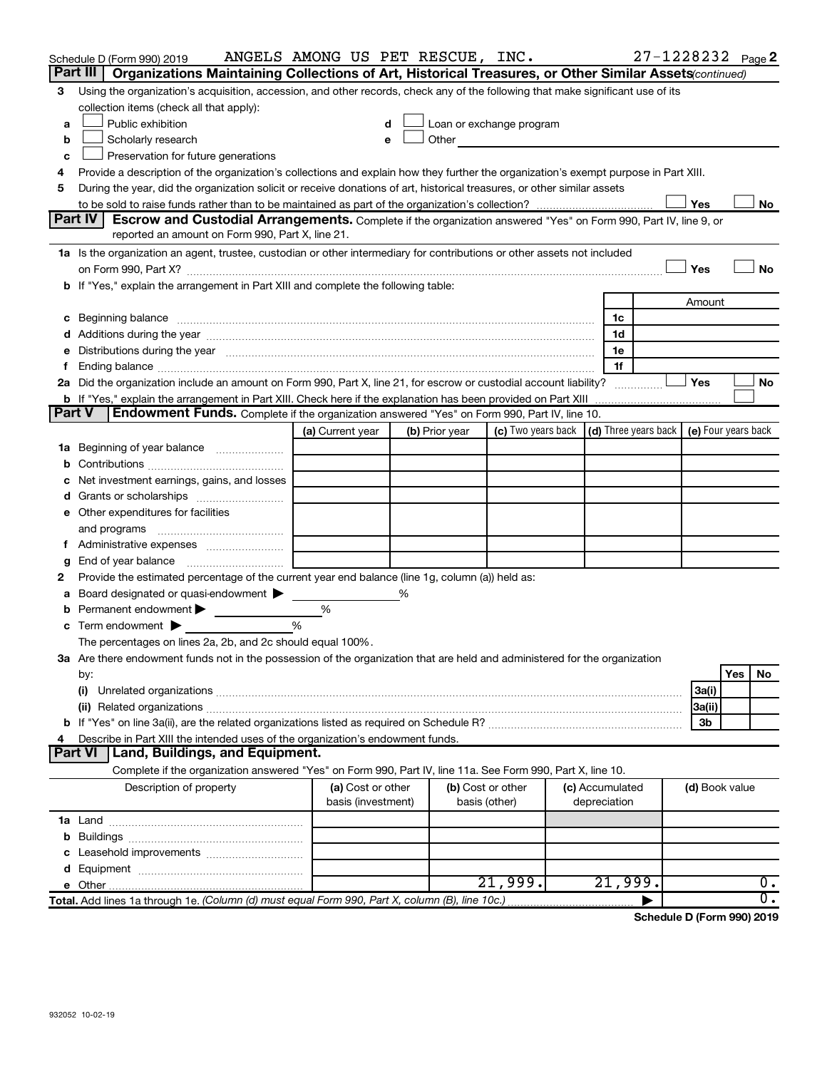|               | Schedule D (Form 990) 2019<br>Part III  <br>Organizations Maintaining Collections of Art, Historical Treasures, or Other Similar Assets(continued)                                                                             | ANGELS AMONG US PET RESCUE, INC.        |   |                |                                                                                                                                                                                                                               |  |                                 | 27-1228232 Page 2 |                |     |                  |
|---------------|--------------------------------------------------------------------------------------------------------------------------------------------------------------------------------------------------------------------------------|-----------------------------------------|---|----------------|-------------------------------------------------------------------------------------------------------------------------------------------------------------------------------------------------------------------------------|--|---------------------------------|-------------------|----------------|-----|------------------|
| 3             | Using the organization's acquisition, accession, and other records, check any of the following that make significant use of its                                                                                                |                                         |   |                |                                                                                                                                                                                                                               |  |                                 |                   |                |     |                  |
|               | collection items (check all that apply):                                                                                                                                                                                       |                                         |   |                |                                                                                                                                                                                                                               |  |                                 |                   |                |     |                  |
| a             | Public exhibition                                                                                                                                                                                                              |                                         |   |                | Loan or exchange program                                                                                                                                                                                                      |  |                                 |                   |                |     |                  |
| b             | Scholarly research                                                                                                                                                                                                             | e                                       |   |                | Other and the contract of the contract of the contract of the contract of the contract of the contract of the contract of the contract of the contract of the contract of the contract of the contract of the contract of the |  |                                 |                   |                |     |                  |
| с             | Preservation for future generations                                                                                                                                                                                            |                                         |   |                |                                                                                                                                                                                                                               |  |                                 |                   |                |     |                  |
| 4             | Provide a description of the organization's collections and explain how they further the organization's exempt purpose in Part XIII.                                                                                           |                                         |   |                |                                                                                                                                                                                                                               |  |                                 |                   |                |     |                  |
| 5             | During the year, did the organization solicit or receive donations of art, historical treasures, or other similar assets                                                                                                       |                                         |   |                |                                                                                                                                                                                                                               |  |                                 |                   |                |     |                  |
|               |                                                                                                                                                                                                                                |                                         |   |                |                                                                                                                                                                                                                               |  |                                 |                   | Yes            |     | No               |
|               | Part IV<br>Escrow and Custodial Arrangements. Complete if the organization answered "Yes" on Form 990, Part IV, line 9, or                                                                                                     |                                         |   |                |                                                                                                                                                                                                                               |  |                                 |                   |                |     |                  |
|               | reported an amount on Form 990, Part X, line 21.                                                                                                                                                                               |                                         |   |                |                                                                                                                                                                                                                               |  |                                 |                   |                |     |                  |
|               | 1a Is the organization an agent, trustee, custodian or other intermediary for contributions or other assets not included                                                                                                       |                                         |   |                |                                                                                                                                                                                                                               |  |                                 |                   |                |     |                  |
|               |                                                                                                                                                                                                                                |                                         |   |                |                                                                                                                                                                                                                               |  |                                 |                   | Yes            |     | No               |
|               | b If "Yes," explain the arrangement in Part XIII and complete the following table:                                                                                                                                             |                                         |   |                |                                                                                                                                                                                                                               |  |                                 |                   |                |     |                  |
|               |                                                                                                                                                                                                                                |                                         |   |                |                                                                                                                                                                                                                               |  |                                 |                   | Amount         |     |                  |
|               | c Beginning balance measurements and the contract of the contract of the contract of the contract of the contract of the contract of the contract of the contract of the contract of the contract of the contract of the contr |                                         |   |                |                                                                                                                                                                                                                               |  | 1c                              |                   |                |     |                  |
|               |                                                                                                                                                                                                                                |                                         |   |                |                                                                                                                                                                                                                               |  | 1d                              |                   |                |     |                  |
|               | e Distributions during the year manufactured and continuum control of the control of the control of the state of the control of the control of the control of the control of the control of the control of the control of the  |                                         |   |                |                                                                                                                                                                                                                               |  | 1e                              |                   |                |     |                  |
| f.            |                                                                                                                                                                                                                                |                                         |   |                |                                                                                                                                                                                                                               |  | 1f                              |                   |                |     |                  |
|               | 2a Did the organization include an amount on Form 990, Part X, line 21, for escrow or custodial account liability?                                                                                                             |                                         |   |                |                                                                                                                                                                                                                               |  |                                 |                   | Yes            |     | No               |
|               |                                                                                                                                                                                                                                |                                         |   |                |                                                                                                                                                                                                                               |  |                                 |                   |                |     |                  |
| <b>Part V</b> | Endowment Funds. Complete if the organization answered "Yes" on Form 990, Part IV, line 10.                                                                                                                                    |                                         |   |                |                                                                                                                                                                                                                               |  |                                 |                   |                |     |                  |
|               |                                                                                                                                                                                                                                | (a) Current year                        |   | (b) Prior year | (c) Two years back $\vert$ (d) Three years back $\vert$ (e) Four years back                                                                                                                                                   |  |                                 |                   |                |     |                  |
|               | 1a Beginning of year balance                                                                                                                                                                                                   |                                         |   |                |                                                                                                                                                                                                                               |  |                                 |                   |                |     |                  |
|               |                                                                                                                                                                                                                                |                                         |   |                |                                                                                                                                                                                                                               |  |                                 |                   |                |     |                  |
|               | c Net investment earnings, gains, and losses                                                                                                                                                                                   |                                         |   |                |                                                                                                                                                                                                                               |  |                                 |                   |                |     |                  |
|               |                                                                                                                                                                                                                                |                                         |   |                |                                                                                                                                                                                                                               |  |                                 |                   |                |     |                  |
|               | e Other expenditures for facilities                                                                                                                                                                                            |                                         |   |                |                                                                                                                                                                                                                               |  |                                 |                   |                |     |                  |
|               | and programs                                                                                                                                                                                                                   |                                         |   |                |                                                                                                                                                                                                                               |  |                                 |                   |                |     |                  |
| f.            | Administrative expenses <i></i>                                                                                                                                                                                                |                                         |   |                |                                                                                                                                                                                                                               |  |                                 |                   |                |     |                  |
| g             | End of year balance <i>manually contained</i>                                                                                                                                                                                  |                                         |   |                |                                                                                                                                                                                                                               |  |                                 |                   |                |     |                  |
| 2             | Provide the estimated percentage of the current year end balance (line 1g, column (a)) held as:                                                                                                                                |                                         |   |                |                                                                                                                                                                                                                               |  |                                 |                   |                |     |                  |
| a             | Board designated or quasi-endowment                                                                                                                                                                                            |                                         | % |                |                                                                                                                                                                                                                               |  |                                 |                   |                |     |                  |
|               | <b>b</b> Permanent endowment $\blacktriangleright$                                                                                                                                                                             | %                                       |   |                |                                                                                                                                                                                                                               |  |                                 |                   |                |     |                  |
|               | <b>c</b> Term endowment $\blacktriangleright$                                                                                                                                                                                  | %                                       |   |                |                                                                                                                                                                                                                               |  |                                 |                   |                |     |                  |
|               | The percentages on lines 2a, 2b, and 2c should equal 100%.                                                                                                                                                                     |                                         |   |                |                                                                                                                                                                                                                               |  |                                 |                   |                |     |                  |
|               | 3a Are there endowment funds not in the possession of the organization that are held and administered for the organization                                                                                                     |                                         |   |                |                                                                                                                                                                                                                               |  |                                 |                   |                |     |                  |
|               | by:                                                                                                                                                                                                                            |                                         |   |                |                                                                                                                                                                                                                               |  |                                 |                   |                | Yes | No               |
|               | (i)                                                                                                                                                                                                                            |                                         |   |                |                                                                                                                                                                                                                               |  |                                 |                   | 3a(i)          |     |                  |
|               |                                                                                                                                                                                                                                |                                         |   |                |                                                                                                                                                                                                                               |  |                                 |                   | 3a(ii)         |     |                  |
|               |                                                                                                                                                                                                                                |                                         |   |                |                                                                                                                                                                                                                               |  |                                 |                   | 3b             |     |                  |
| 4             | Describe in Part XIII the intended uses of the organization's endowment funds.                                                                                                                                                 |                                         |   |                |                                                                                                                                                                                                                               |  |                                 |                   |                |     |                  |
|               | Land, Buildings, and Equipment.<br><b>Part VI</b>                                                                                                                                                                              |                                         |   |                |                                                                                                                                                                                                                               |  |                                 |                   |                |     |                  |
|               | Complete if the organization answered "Yes" on Form 990, Part IV, line 11a. See Form 990, Part X, line 10.                                                                                                                     |                                         |   |                |                                                                                                                                                                                                                               |  |                                 |                   |                |     |                  |
|               | Description of property                                                                                                                                                                                                        | (a) Cost or other<br>basis (investment) |   | basis (other)  | (b) Cost or other                                                                                                                                                                                                             |  | (c) Accumulated<br>depreciation |                   | (d) Book value |     |                  |
|               |                                                                                                                                                                                                                                |                                         |   |                |                                                                                                                                                                                                                               |  |                                 |                   |                |     |                  |
|               |                                                                                                                                                                                                                                |                                         |   |                |                                                                                                                                                                                                                               |  |                                 |                   |                |     |                  |
|               |                                                                                                                                                                                                                                |                                         |   |                |                                                                                                                                                                                                                               |  |                                 |                   |                |     |                  |
|               |                                                                                                                                                                                                                                |                                         |   |                |                                                                                                                                                                                                                               |  |                                 |                   |                |     |                  |
|               |                                                                                                                                                                                                                                |                                         |   |                | 21,999.                                                                                                                                                                                                                       |  | 21,999.                         |                   |                |     | 0.               |
|               | Total. Add lines 1a through 1e. (Column (d) must equal Form 990, Part X, column (B), line 10c.)                                                                                                                                |                                         |   |                |                                                                                                                                                                                                                               |  |                                 |                   |                |     | $\overline{0}$ . |
|               |                                                                                                                                                                                                                                |                                         |   |                |                                                                                                                                                                                                                               |  |                                 |                   |                |     |                  |

**Schedule D (Form 990) 2019**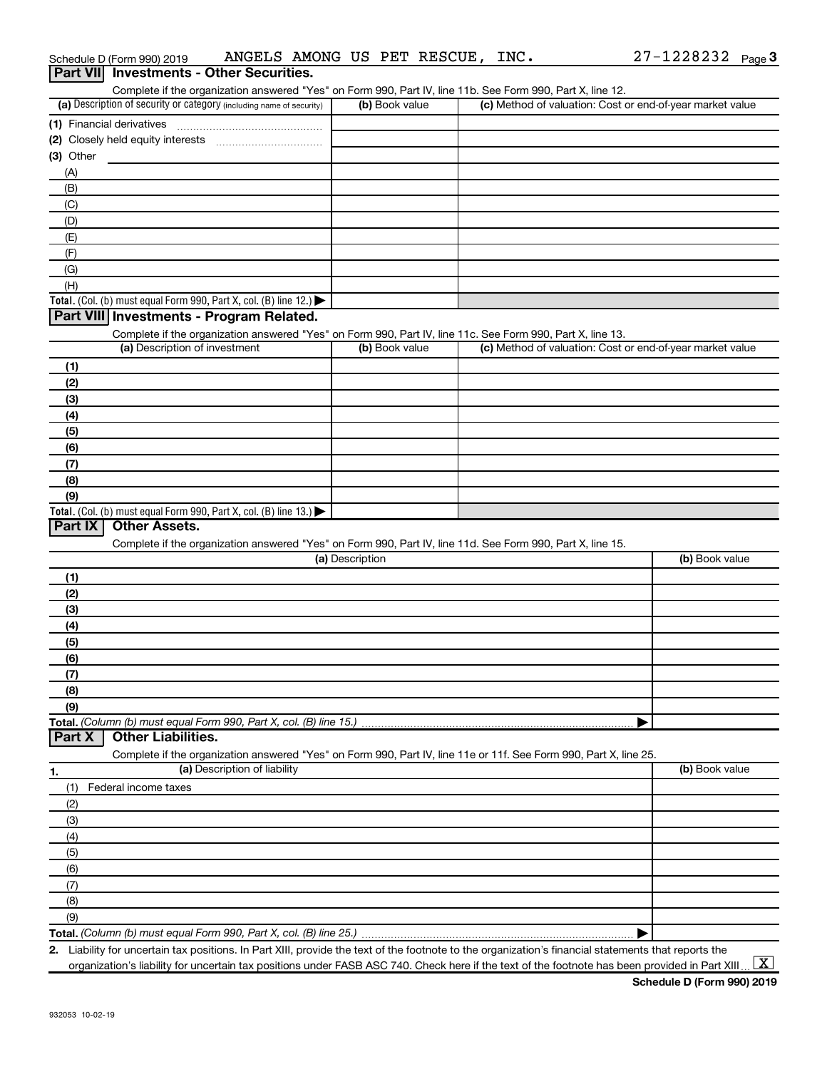| Part VII Investments - Other Securities.                                                                                                                                           |                 |                                                           |                |
|------------------------------------------------------------------------------------------------------------------------------------------------------------------------------------|-----------------|-----------------------------------------------------------|----------------|
| Complete if the organization answered "Yes" on Form 990, Part IV, line 11b. See Form 990, Part X, line 12.<br>(a) Description of security or category (including name of security) | (b) Book value  | (c) Method of valuation: Cost or end-of-year market value |                |
|                                                                                                                                                                                    |                 |                                                           |                |
|                                                                                                                                                                                    |                 |                                                           |                |
| $(3)$ Other                                                                                                                                                                        |                 |                                                           |                |
| (A)                                                                                                                                                                                |                 |                                                           |                |
| (B)                                                                                                                                                                                |                 |                                                           |                |
| (C)                                                                                                                                                                                |                 |                                                           |                |
| (D)                                                                                                                                                                                |                 |                                                           |                |
| (E)                                                                                                                                                                                |                 |                                                           |                |
| (F)                                                                                                                                                                                |                 |                                                           |                |
| (G)                                                                                                                                                                                |                 |                                                           |                |
| (H)                                                                                                                                                                                |                 |                                                           |                |
| Total. (Col. (b) must equal Form 990, Part X, col. (B) line 12.)                                                                                                                   |                 |                                                           |                |
| Part VIII Investments - Program Related.                                                                                                                                           |                 |                                                           |                |
| Complete if the organization answered "Yes" on Form 990, Part IV, line 11c. See Form 990, Part X, line 13.                                                                         |                 |                                                           |                |
| (a) Description of investment                                                                                                                                                      | (b) Book value  | (c) Method of valuation: Cost or end-of-year market value |                |
| (1)                                                                                                                                                                                |                 |                                                           |                |
| (2)                                                                                                                                                                                |                 |                                                           |                |
| (3)                                                                                                                                                                                |                 |                                                           |                |
| (4)                                                                                                                                                                                |                 |                                                           |                |
| (5)                                                                                                                                                                                |                 |                                                           |                |
| (6)                                                                                                                                                                                |                 |                                                           |                |
| (7)                                                                                                                                                                                |                 |                                                           |                |
| (8)                                                                                                                                                                                |                 |                                                           |                |
| (9)                                                                                                                                                                                |                 |                                                           |                |
| Total. (Col. (b) must equal Form 990, Part X, col. (B) line 13.)                                                                                                                   |                 |                                                           |                |
| Part IX<br><b>Other Assets.</b>                                                                                                                                                    |                 |                                                           |                |
| Complete if the organization answered "Yes" on Form 990, Part IV, line 11d. See Form 990, Part X, line 15.                                                                         |                 |                                                           |                |
|                                                                                                                                                                                    | (a) Description |                                                           | (b) Book value |
| (1)                                                                                                                                                                                |                 |                                                           |                |
| (2)                                                                                                                                                                                |                 |                                                           |                |
| (3)                                                                                                                                                                                |                 |                                                           |                |
| (4)                                                                                                                                                                                |                 |                                                           |                |
| (5)                                                                                                                                                                                |                 |                                                           |                |
| (6)                                                                                                                                                                                |                 |                                                           |                |
| (7)                                                                                                                                                                                |                 |                                                           |                |
| (8)                                                                                                                                                                                |                 |                                                           |                |
| (9)                                                                                                                                                                                |                 |                                                           |                |
| Total. (Column (b) must equal Form 990, Part X, col. (B) line 15.)<br><b>Other Liabilities.</b>                                                                                    |                 |                                                           |                |
| Part X                                                                                                                                                                             |                 |                                                           |                |
| Complete if the organization answered "Yes" on Form 990, Part IV, line 11e or 11f. See Form 990, Part X, line 25.<br>(a) Description of liability                                  |                 |                                                           | (b) Book value |
| 1.                                                                                                                                                                                 |                 |                                                           |                |
| Federal income taxes<br>(1)                                                                                                                                                        |                 |                                                           |                |
| (2)                                                                                                                                                                                |                 |                                                           |                |
| (3)                                                                                                                                                                                |                 |                                                           |                |
| (4)                                                                                                                                                                                |                 |                                                           |                |
| (5)                                                                                                                                                                                |                 |                                                           |                |
| (6)                                                                                                                                                                                |                 |                                                           |                |
| (7)                                                                                                                                                                                |                 |                                                           |                |
| (8)                                                                                                                                                                                |                 |                                                           |                |
| (9)                                                                                                                                                                                |                 |                                                           |                |
| Total. (Column (b) must equal Form 990, Part X, col. (B) line 25.)                                                                                                                 |                 |                                                           |                |

Schedule D (Form 990) 2019  $\;$  ANGELS AMONG US PET RESCUE, INC.  $\;$  27-1228232  $\;$  Page

**2.** Liability for uncertain tax positions. In Part XIII, provide the text of the footnote to the organization's financial statements that reports the organization's liability for uncertain tax positions under FASB ASC 740. Check here if the text of the footnote has been provided in Part XIII.

 $\boxed{\text{X}}$ 

27-1228232 Page 3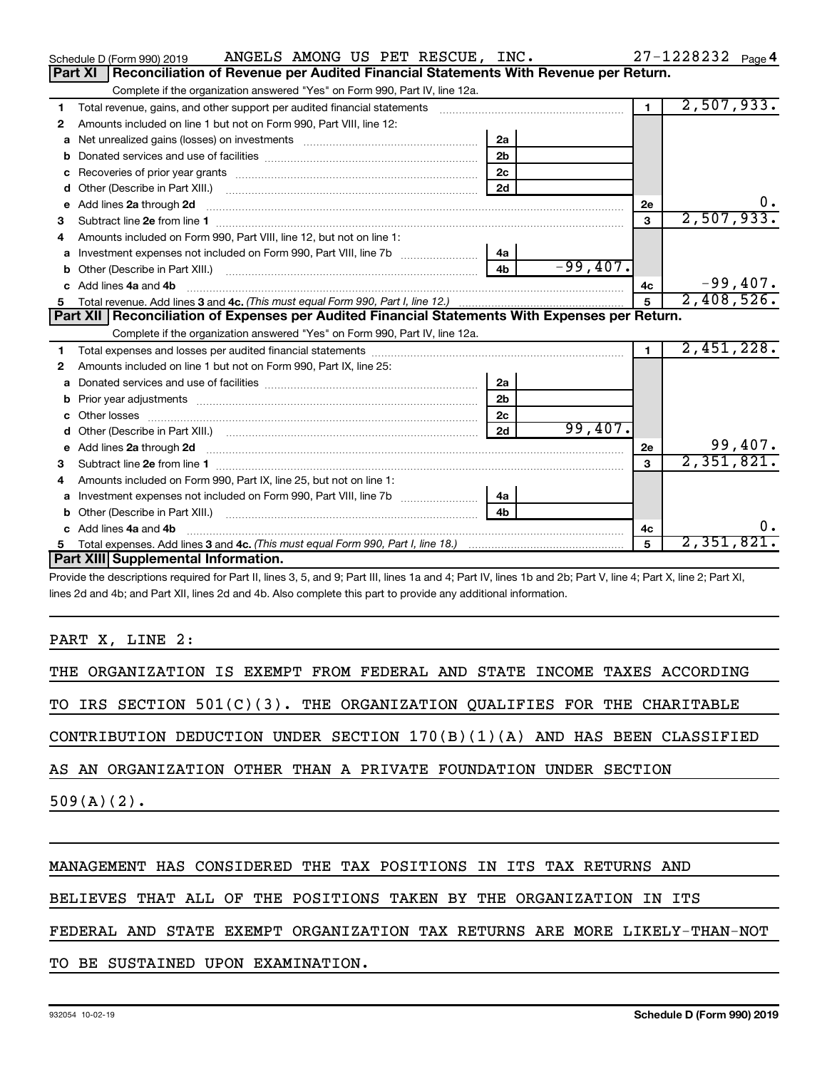|   | ANGELS AMONG US PET RESCUE, INC.<br>Schedule D (Form 990) 2019                                                                                                                                                                       |                |            |                | $27 - 1228232$ Page 4      |
|---|--------------------------------------------------------------------------------------------------------------------------------------------------------------------------------------------------------------------------------------|----------------|------------|----------------|----------------------------|
|   | Reconciliation of Revenue per Audited Financial Statements With Revenue per Return.<br>Part XI                                                                                                                                       |                |            |                |                            |
|   | Complete if the organization answered "Yes" on Form 990, Part IV, line 12a.                                                                                                                                                          |                |            |                |                            |
| 1 | Total revenue, gains, and other support per audited financial statements                                                                                                                                                             |                |            | 1 <sup>1</sup> | 2,507,933.                 |
| 2 | Amounts included on line 1 but not on Form 990, Part VIII, line 12:                                                                                                                                                                  |                |            |                |                            |
| a |                                                                                                                                                                                                                                      | 2a             |            |                |                            |
|   |                                                                                                                                                                                                                                      | 2 <sub>b</sub> |            |                |                            |
|   |                                                                                                                                                                                                                                      | 2c             |            |                |                            |
| d |                                                                                                                                                                                                                                      | 2d             |            |                |                            |
| е | Add lines 2a through 2d                                                                                                                                                                                                              |                |            | 2е             |                            |
| З |                                                                                                                                                                                                                                      |                |            | 3              | 2,507,933.                 |
| 4 | Amounts included on Form 990, Part VIII, line 12, but not on line 1:                                                                                                                                                                 |                |            |                |                            |
| a | Investment expenses not included on Form 990, Part VIII, line 7b [11, 11, 11, 11, 11, 11]                                                                                                                                            | 4a             |            |                |                            |
|   | Other (Describe in Part XIII.) (2000) (2000) (2000) (2010) (2010) (2010) (2010) (2010) (2010) (2010) (2010) (20                                                                                                                      | 4 <sub>b</sub> | $-99,407.$ |                |                            |
|   | c Add lines 4a and 4b                                                                                                                                                                                                                |                |            | 4c             | $-99,407.$                 |
|   |                                                                                                                                                                                                                                      |                |            | 5              | 2,408,526.                 |
|   |                                                                                                                                                                                                                                      |                |            |                |                            |
|   | Part XII Reconciliation of Expenses per Audited Financial Statements With Expenses per Return.                                                                                                                                       |                |            |                |                            |
|   | Complete if the organization answered "Yes" on Form 990, Part IV, line 12a.                                                                                                                                                          |                |            |                |                            |
| 1 |                                                                                                                                                                                                                                      |                |            | $\blacksquare$ | 2,451,228.                 |
| 2 | Amounts included on line 1 but not on Form 990, Part IX, line 25:                                                                                                                                                                    |                |            |                |                            |
| a |                                                                                                                                                                                                                                      | 2a             |            |                |                            |
| b |                                                                                                                                                                                                                                      | 2 <sub>b</sub> |            |                |                            |
|   | Other losses                                                                                                                                                                                                                         | 2c             |            |                |                            |
| d |                                                                                                                                                                                                                                      | 2d             | 99,407.    |                |                            |
| e | Add lines 2a through 2d <b>continuum continuum contract and all the contract of the contract of the contract of the contract of the contract of the contract of the contract of the contract of the contract of the contract of </b> |                |            | 2e             |                            |
|   |                                                                                                                                                                                                                                      |                |            | $\mathbf{a}$   | $\frac{99,407}{2,351,821}$ |
| 4 | Amounts included on Form 990, Part IX, line 25, but not on line 1:                                                                                                                                                                   |                |            |                |                            |
| a |                                                                                                                                                                                                                                      | 4a             |            |                |                            |
|   | Other (Describe in Part XIII.)                                                                                                                                                                                                       | 4 <sub>b</sub> |            |                |                            |
|   | Add lines 4a and 4b                                                                                                                                                                                                                  |                |            | 4c             | υ.                         |
| 5 | Part XIII Supplemental Information.                                                                                                                                                                                                  |                |            | 5              | 2,351,821.                 |

Provide the descriptions required for Part II, lines 3, 5, and 9; Part III, lines 1a and 4; Part IV, lines 1b and 2b; Part V, line 4; Part X, line 2; Part XI, lines 2d and 4b; and Part XII, lines 2d and 4b. Also complete this part to provide any additional information.

PART X, LINE 2:

THE ORGANIZATION IS EXEMPT FROM FEDERAL AND STATE INCOME TAXES ACCORDING

TO IRS SECTION 501(C)(3). THE ORGANIZATION QUALIFIES FOR THE CHARITABLE

CONTRIBUTION DEDUCTION UNDER SECTION 170(B)(1)(A) AND HAS BEEN CLASSIFIED

AS AN ORGANIZATION OTHER THAN A PRIVATE FOUNDATION UNDER SECTION

 $509(A)(2)$ .

## MANAGEMENT HAS CONSIDERED THE TAX POSITIONS IN ITS TAX RETURNS AND

BELIEVES THAT ALL OF THE POSITIONS TAKEN BY THE ORGANIZATION IN ITS

### FEDERAL AND STATE EXEMPT ORGANIZATION TAX RETURNS ARE MORE LIKELY-THAN-NOT

TO BE SUSTAINED UPON EXAMINATION.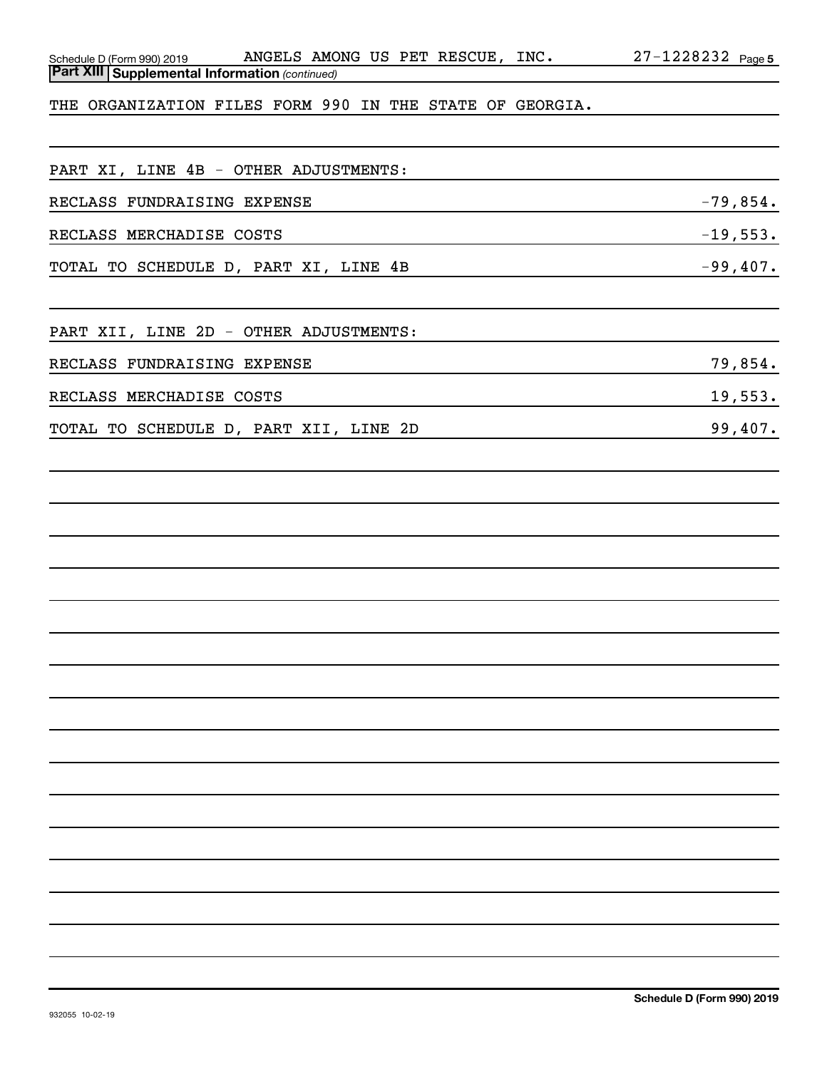| Schedule D (Form 990) 2019                               | ANGELS AMONG US PET RESCUE, INC. | $27 - 1228232$ Page 5 |
|----------------------------------------------------------|----------------------------------|-----------------------|
| <b>Part XIII Supplemental Information (continued)</b>    |                                  |                       |
| THE ORGANIZATION FILES FORM 990 IN THE STATE OF GEORGIA. |                                  |                       |
|                                                          |                                  |                       |

PART XI, LINE 4B - OTHER ADJUSTMENTS:

| RECLASS FUNDRAISING EXPENSE            | $-79,854.$ |
|----------------------------------------|------------|
| RECLASS MERCHADISE COSTS               | $-19,553.$ |
| TOTAL TO SCHEDULE D, PART XI, LINE 4B  | $-99,407.$ |
|                                        |            |
| PART XII, LINE 2D - OTHER ADJUSTMENTS: |            |
| RECLASS FUNDRAISING EXPENSE            | 79,854.    |
| RECLASS MERCHADISE COSTS               | 19,553.    |
| TOTAL TO SCHEDULE D, PART XII, LINE 2D | 99,407.    |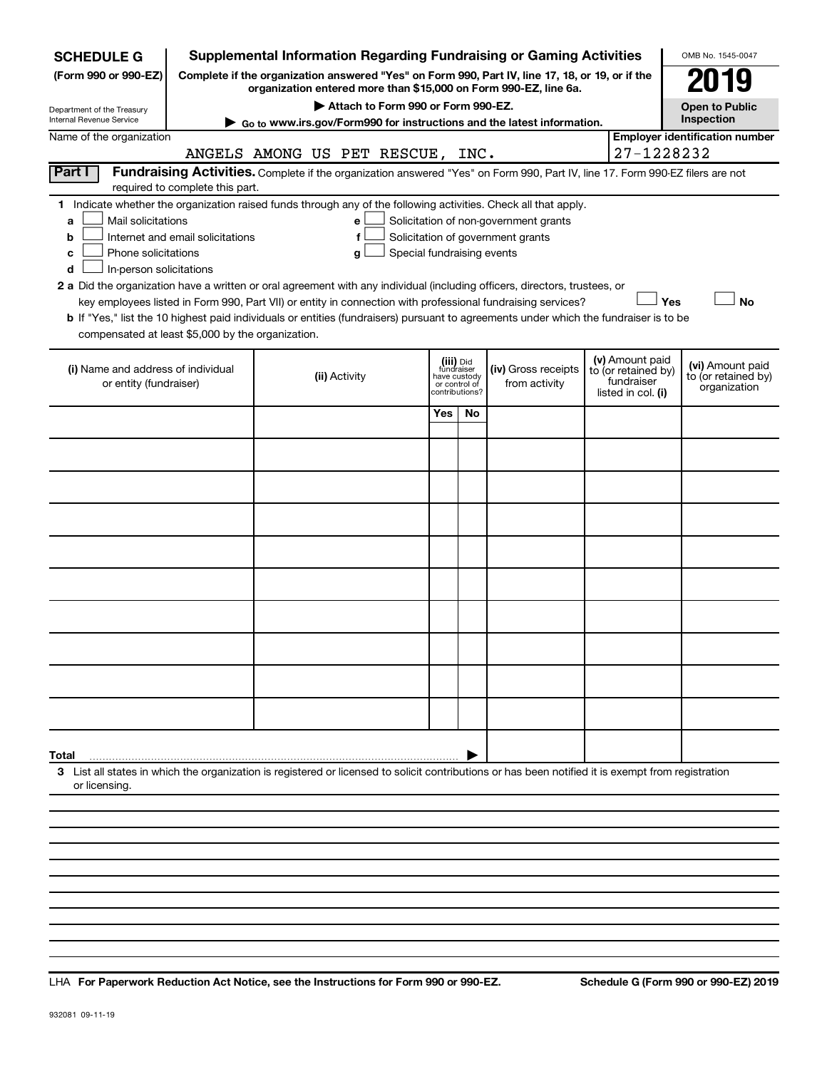| <b>SCHEDULE G</b>                                                                                                                                  |                                  |                                  |                                    |                            |                                         | <b>Supplemental Information Regarding Fundraising or Gaming Activities</b>                                                                                          |                                   | OMB No. 1545-0047                       |
|----------------------------------------------------------------------------------------------------------------------------------------------------|----------------------------------|----------------------------------|------------------------------------|----------------------------|-----------------------------------------|---------------------------------------------------------------------------------------------------------------------------------------------------------------------|-----------------------------------|-----------------------------------------|
| (Form 990 or 990-EZ)                                                                                                                               |                                  |                                  |                                    |                            |                                         | Complete if the organization answered "Yes" on Form 990, Part IV, line 17, 18, or 19, or if the<br>organization entered more than \$15,000 on Form 990-EZ, line 6a. |                                   | 019                                     |
| Department of the Treasury                                                                                                                         |                                  |                                  | Attach to Form 990 or Form 990-EZ. |                            |                                         |                                                                                                                                                                     |                                   | <b>Open to Public</b>                   |
| Internal Revenue Service                                                                                                                           |                                  |                                  |                                    |                            |                                         | ► Go to www.irs.gov/Form990 for instructions and the latest information.                                                                                            |                                   | Inspection                              |
| Name of the organization                                                                                                                           |                                  | ANGELS AMONG US PET RESCUE, INC. |                                    |                            |                                         |                                                                                                                                                                     | 27-1228232                        | <b>Employer identification number</b>   |
| Part I                                                                                                                                             |                                  |                                  |                                    |                            |                                         | Fundraising Activities. Complete if the organization answered "Yes" on Form 990, Part IV, line 17. Form 990-EZ filers are not                                       |                                   |                                         |
|                                                                                                                                                    | required to complete this part.  |                                  |                                    |                            |                                         |                                                                                                                                                                     |                                   |                                         |
| 1 Indicate whether the organization raised funds through any of the following activities. Check all that apply.                                    |                                  |                                  |                                    |                            |                                         |                                                                                                                                                                     |                                   |                                         |
| Mail solicitations<br>a<br>b                                                                                                                       | Internet and email solicitations |                                  | е<br>f                             |                            |                                         | Solicitation of non-government grants<br>Solicitation of government grants                                                                                          |                                   |                                         |
| Phone solicitations<br>c                                                                                                                           |                                  |                                  | g                                  | Special fundraising events |                                         |                                                                                                                                                                     |                                   |                                         |
| In-person solicitations<br>d                                                                                                                       |                                  |                                  |                                    |                            |                                         |                                                                                                                                                                     |                                   |                                         |
| 2 a Did the organization have a written or oral agreement with any individual (including officers, directors, trustees, or                         |                                  |                                  |                                    |                            |                                         |                                                                                                                                                                     | Yes                               | <b>No</b>                               |
| <b>b</b> If "Yes," list the 10 highest paid individuals or entities (fundraisers) pursuant to agreements under which the fundraiser is to be       |                                  |                                  |                                    |                            |                                         | key employees listed in Form 990, Part VII) or entity in connection with professional fundraising services?                                                         |                                   |                                         |
| compensated at least \$5,000 by the organization.                                                                                                  |                                  |                                  |                                    |                            |                                         |                                                                                                                                                                     |                                   |                                         |
|                                                                                                                                                    |                                  |                                  |                                    |                            |                                         |                                                                                                                                                                     | (v) Amount paid                   |                                         |
| (i) Name and address of individual<br>or entity (fundraiser)                                                                                       |                                  |                                  | (ii) Activity                      |                            | (iii) Did<br>fundraiser<br>have custody | (iv) Gross receipts<br>from activity                                                                                                                                | to (or retained by)<br>fundraiser | (vi) Amount paid<br>to (or retained by) |
|                                                                                                                                                    |                                  |                                  |                                    | or control of              | contributions?                          |                                                                                                                                                                     | listed in col. (i)                | organization                            |
|                                                                                                                                                    |                                  |                                  |                                    | Yes                        | No                                      |                                                                                                                                                                     |                                   |                                         |
|                                                                                                                                                    |                                  |                                  |                                    |                            |                                         |                                                                                                                                                                     |                                   |                                         |
|                                                                                                                                                    |                                  |                                  |                                    |                            |                                         |                                                                                                                                                                     |                                   |                                         |
|                                                                                                                                                    |                                  |                                  |                                    |                            |                                         |                                                                                                                                                                     |                                   |                                         |
|                                                                                                                                                    |                                  |                                  |                                    |                            |                                         |                                                                                                                                                                     |                                   |                                         |
|                                                                                                                                                    |                                  |                                  |                                    |                            |                                         |                                                                                                                                                                     |                                   |                                         |
|                                                                                                                                                    |                                  |                                  |                                    |                            |                                         |                                                                                                                                                                     |                                   |                                         |
|                                                                                                                                                    |                                  |                                  |                                    |                            |                                         |                                                                                                                                                                     |                                   |                                         |
|                                                                                                                                                    |                                  |                                  |                                    |                            |                                         |                                                                                                                                                                     |                                   |                                         |
|                                                                                                                                                    |                                  |                                  |                                    |                            |                                         |                                                                                                                                                                     |                                   |                                         |
|                                                                                                                                                    |                                  |                                  |                                    |                            |                                         |                                                                                                                                                                     |                                   |                                         |
|                                                                                                                                                    |                                  |                                  |                                    |                            |                                         |                                                                                                                                                                     |                                   |                                         |
|                                                                                                                                                    |                                  |                                  |                                    |                            |                                         |                                                                                                                                                                     |                                   |                                         |
|                                                                                                                                                    |                                  |                                  |                                    |                            |                                         |                                                                                                                                                                     |                                   |                                         |
|                                                                                                                                                    |                                  |                                  |                                    |                            |                                         |                                                                                                                                                                     |                                   |                                         |
|                                                                                                                                                    |                                  |                                  |                                    |                            |                                         |                                                                                                                                                                     |                                   |                                         |
| Total                                                                                                                                              |                                  |                                  |                                    |                            |                                         |                                                                                                                                                                     |                                   |                                         |
| 3 List all states in which the organization is registered or licensed to solicit contributions or has been notified it is exempt from registration |                                  |                                  |                                    |                            |                                         |                                                                                                                                                                     |                                   |                                         |
| or licensing                                                                                                                                       |                                  |                                  |                                    |                            |                                         |                                                                                                                                                                     |                                   |                                         |
|                                                                                                                                                    |                                  |                                  |                                    |                            |                                         |                                                                                                                                                                     |                                   |                                         |
|                                                                                                                                                    |                                  |                                  |                                    |                            |                                         |                                                                                                                                                                     |                                   |                                         |

**For Paperwork Reduction Act Notice, see the Instructions for Form 990 or 990-EZ. Schedule G (Form 990 or 990-EZ) 2019** LHA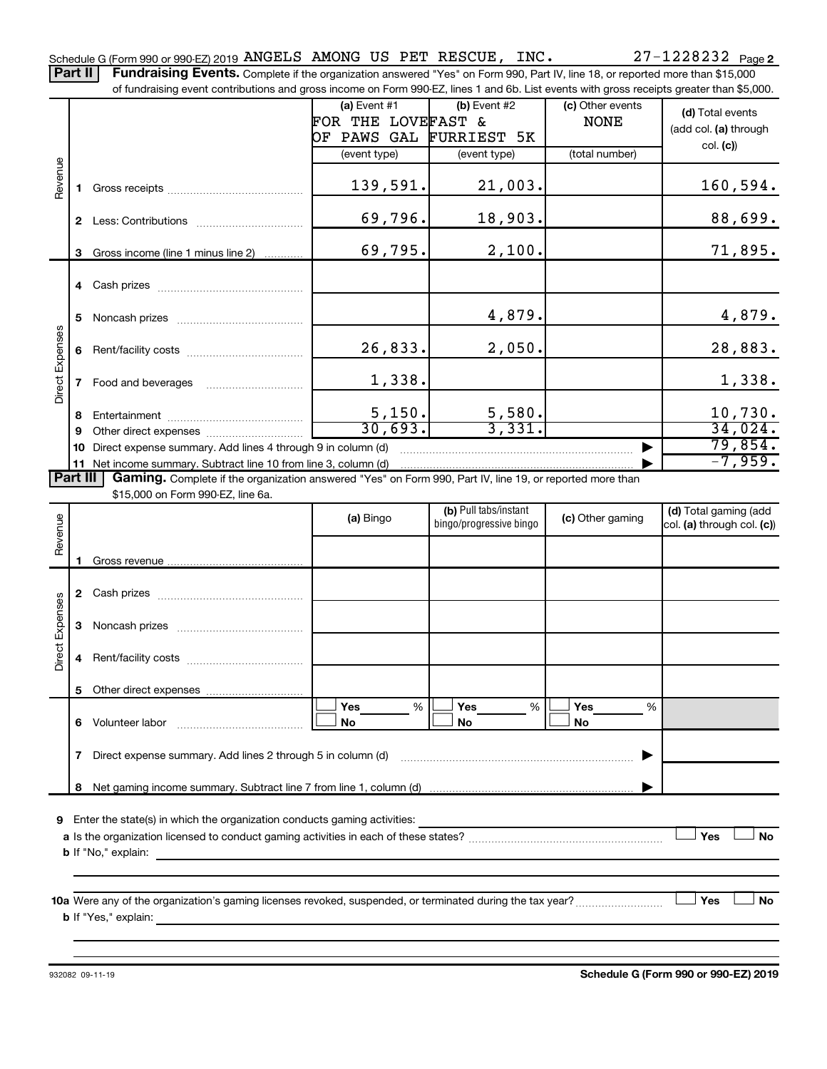Part II | Fundraising Events. Complete if the organization answered "Yes" on Form 990, Part IV, line 18, or reported more than \$15,000

|                        |                                                                  | of fundraising event contributions and gross income on Form 990-EZ, lines 1 and 6b. List events with gross receipts greater than \$5,000.                                   |                         |                         |                  |                            |  |
|------------------------|------------------------------------------------------------------|-----------------------------------------------------------------------------------------------------------------------------------------------------------------------------|-------------------------|-------------------------|------------------|----------------------------|--|
|                        |                                                                  |                                                                                                                                                                             | $(a)$ Event #1          | (b) Event #2            | (c) Other events | (d) Total events           |  |
|                        |                                                                  |                                                                                                                                                                             | FOR THE LOVEFAST &      |                         | <b>NONE</b>      | (add col. (a) through      |  |
|                        |                                                                  |                                                                                                                                                                             | OF PAWS GAL FURRIEST 5K |                         |                  | col. (c)                   |  |
|                        |                                                                  |                                                                                                                                                                             | (event type)            | (event type)            | (total number)   |                            |  |
|                        |                                                                  |                                                                                                                                                                             |                         |                         |                  |                            |  |
| Revenue                | 1.                                                               |                                                                                                                                                                             | 139,591.                | 21,003.                 |                  | 160, 594.                  |  |
|                        |                                                                  |                                                                                                                                                                             | 69,796.                 | 18,903.                 |                  | 88,699.                    |  |
|                        | 3                                                                | Gross income (line 1 minus line 2)                                                                                                                                          | 69,795.                 | 2,100.                  |                  | 71,895.                    |  |
|                        |                                                                  |                                                                                                                                                                             |                         |                         |                  |                            |  |
|                        | 5                                                                |                                                                                                                                                                             |                         | 4,879.                  |                  | 4,879.                     |  |
|                        | 6                                                                |                                                                                                                                                                             | 26,833.                 | 2,050.                  |                  | 28,883.                    |  |
| <b>Direct Expenses</b> | 7                                                                |                                                                                                                                                                             | 1,338.                  |                         |                  | 1,338.                     |  |
|                        |                                                                  |                                                                                                                                                                             | 5,150.                  |                         |                  | 10,730.                    |  |
|                        | 8                                                                |                                                                                                                                                                             | 30.693.                 | $\frac{5,580}{3,331}$   |                  | 34,024.                    |  |
|                        | 9                                                                |                                                                                                                                                                             |                         |                         |                  | 79,854.                    |  |
|                        | 10                                                               | Direct expense summary. Add lines 4 through 9 in column (d)                                                                                                                 |                         |                         |                  | $-7,959.$                  |  |
| Part III               |                                                                  | 11 Net income summary. Subtract line 10 from line 3, column (d)<br>Gaming. Complete if the organization answered "Yes" on Form 990, Part IV, line 19, or reported more than |                         |                         |                  |                            |  |
|                        |                                                                  | \$15,000 on Form 990-EZ, line 6a.                                                                                                                                           |                         |                         |                  |                            |  |
|                        |                                                                  |                                                                                                                                                                             |                         | (b) Pull tabs/instant   |                  | (d) Total gaming (add      |  |
| Revenue                |                                                                  |                                                                                                                                                                             | (a) Bingo               | bingo/progressive bingo | (c) Other gaming | col. (a) through col. (c)) |  |
|                        |                                                                  |                                                                                                                                                                             |                         |                         |                  |                            |  |
|                        | 1.                                                               |                                                                                                                                                                             |                         |                         |                  |                            |  |
|                        |                                                                  |                                                                                                                                                                             |                         |                         |                  |                            |  |
|                        |                                                                  |                                                                                                                                                                             |                         |                         |                  |                            |  |
| Direct Expenses        | 3                                                                |                                                                                                                                                                             |                         |                         |                  |                            |  |
|                        | 4                                                                |                                                                                                                                                                             |                         |                         |                  |                            |  |
|                        |                                                                  |                                                                                                                                                                             |                         |                         |                  |                            |  |
|                        |                                                                  | 6 Volunteer labor                                                                                                                                                           | %<br><b>Yes</b><br>No   | Yes<br>%<br>No          | Yes<br>%<br>No   |                            |  |
|                        | Direct expense summary. Add lines 2 through 5 in column (d)<br>7 |                                                                                                                                                                             |                         |                         |                  |                            |  |
|                        | 8                                                                |                                                                                                                                                                             |                         |                         |                  |                            |  |
|                        |                                                                  |                                                                                                                                                                             |                         |                         |                  |                            |  |
| 9                      |                                                                  | Enter the state(s) in which the organization conducts gaming activities:                                                                                                    |                         |                         |                  |                            |  |
|                        |                                                                  |                                                                                                                                                                             |                         |                         |                  | Yes<br><b>No</b>           |  |
|                        |                                                                  | <b>b</b> If "No," explain:<br><u> 1989 - Johann Stoff, deutscher Stoff, der Stoff, der Stoff, der Stoff, der Stoff, der Stoff, der Stoff, der S</u>                         |                         |                         |                  |                            |  |
|                        |                                                                  |                                                                                                                                                                             |                         |                         |                  |                            |  |
|                        |                                                                  |                                                                                                                                                                             |                         |                         |                  |                            |  |
|                        |                                                                  |                                                                                                                                                                             |                         |                         |                  | Yes<br>No                  |  |
|                        |                                                                  |                                                                                                                                                                             |                         |                         |                  |                            |  |
|                        |                                                                  |                                                                                                                                                                             |                         |                         |                  |                            |  |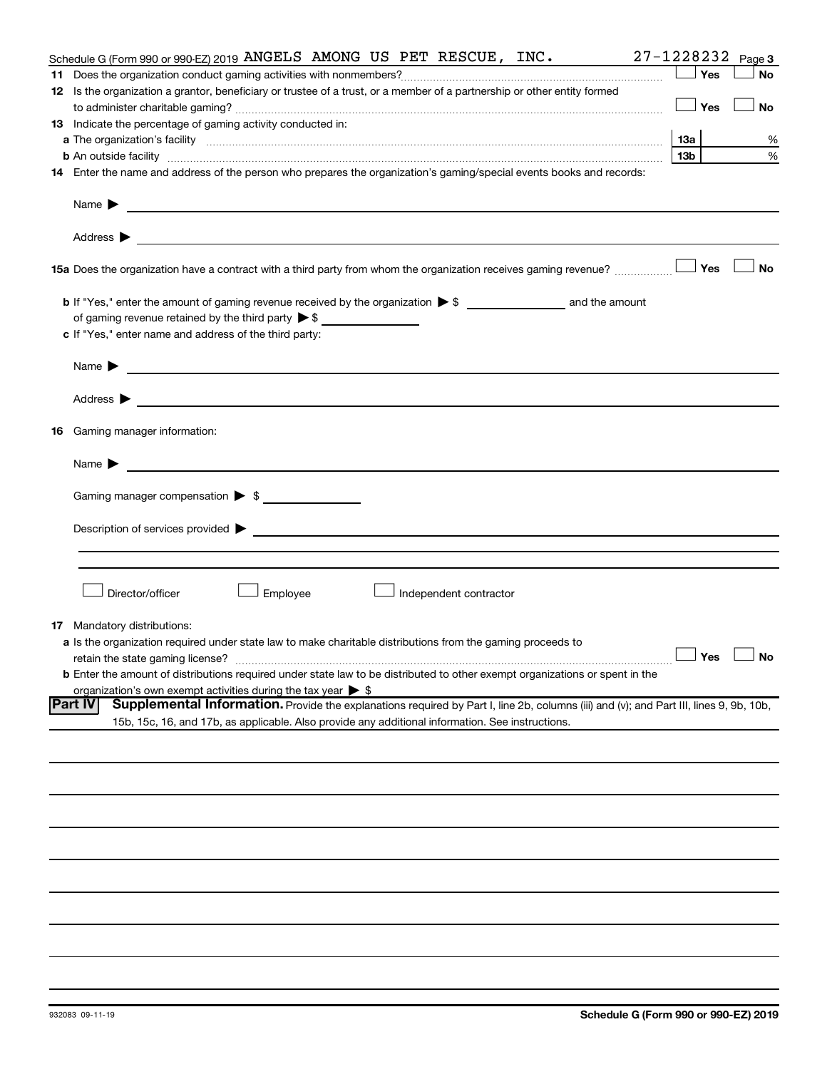|    | Schedule G (Form 990 or 990-EZ) 2019 ANGELS AMONG US PET RESCUE, INC.                                                                                                                                                                                                                                                                                                                                                             | 27-1228232          | Page 3    |
|----|-----------------------------------------------------------------------------------------------------------------------------------------------------------------------------------------------------------------------------------------------------------------------------------------------------------------------------------------------------------------------------------------------------------------------------------|---------------------|-----------|
|    |                                                                                                                                                                                                                                                                                                                                                                                                                                   | Yes                 | <b>No</b> |
|    | 12 Is the organization a grantor, beneficiary or trustee of a trust, or a member of a partnership or other entity formed                                                                                                                                                                                                                                                                                                          |                     |           |
|    |                                                                                                                                                                                                                                                                                                                                                                                                                                   | Yes                 | <b>No</b> |
|    | 13 Indicate the percentage of gaming activity conducted in:                                                                                                                                                                                                                                                                                                                                                                       |                     |           |
|    |                                                                                                                                                                                                                                                                                                                                                                                                                                   | 1За                 | %         |
|    | <b>b</b> An outside facility <i>www.communicality www.communicality.communicality www.communicality www.communicality.communicality www.communicality.com</i>                                                                                                                                                                                                                                                                     | 13 <sub>b</sub>     | %         |
|    | 14 Enter the name and address of the person who prepares the organization's gaming/special events books and records:                                                                                                                                                                                                                                                                                                              |                     |           |
|    | Name $\blacktriangleright$<br><u>and the contract of the contract of the contract of the contract of the contract of the contract of the contract of</u><br>Address $\blacktriangleright$<br><u>and the state of the state of the state of the state of the state of the state of the state of the state of the state of the state of the state of the state of the state of the state of the state of the state of the state</u> |                     |           |
|    | <b>15a</b> Does the organization have a contract with a third party from whom the organization receives gaming revenue? $\ldots$                                                                                                                                                                                                                                                                                                  |                     | <b>No</b> |
|    | of gaming revenue retained by the third party $\triangleright$ \$<br>c If "Yes," enter name and address of the third party:                                                                                                                                                                                                                                                                                                       |                     |           |
|    | <u>and the contract of the contract of the contract of the contract of the contract of the contract of</u><br>Name $\blacktriangleright$                                                                                                                                                                                                                                                                                          |                     |           |
|    | Address $\blacktriangleright$<br><u>and the contract of the contract of the contract of the contract of the contract of the contract of the contract of</u>                                                                                                                                                                                                                                                                       |                     |           |
| 16 | Gaming manager information:                                                                                                                                                                                                                                                                                                                                                                                                       |                     |           |
|    | <u> 1990 - Johann Barbara, martin amerikan basal dan berasal dan berasal dalam basal dan berasal dan berasal dan</u><br>Name $\blacktriangleright$                                                                                                                                                                                                                                                                                |                     |           |
|    | Gaming manager compensation > \$                                                                                                                                                                                                                                                                                                                                                                                                  |                     |           |
|    |                                                                                                                                                                                                                                                                                                                                                                                                                                   |                     |           |
|    | Director/officer<br>Employee<br>Independent contractor                                                                                                                                                                                                                                                                                                                                                                            |                     |           |
| 17 | Mandatory distributions:<br>a Is the organization required under state law to make charitable distributions from the gaming proceeds to<br>retain the state gaming license?<br>b Enter the amount of distributions required under state law to be distributed to other exempt organizations or spent in the<br>organization's own exempt activities during the tax year $\triangleright$ \$                                       | $\Box$ Yes $\ \bot$ |           |
|    | Part IV<br>Supplemental Information. Provide the explanations required by Part I, line 2b, columns (iii) and (v); and Part III, lines 9, 9b, 10b,                                                                                                                                                                                                                                                                                 |                     |           |
|    | 15b, 15c, 16, and 17b, as applicable. Also provide any additional information. See instructions.                                                                                                                                                                                                                                                                                                                                  |                     |           |
|    |                                                                                                                                                                                                                                                                                                                                                                                                                                   |                     |           |
|    |                                                                                                                                                                                                                                                                                                                                                                                                                                   |                     |           |
|    |                                                                                                                                                                                                                                                                                                                                                                                                                                   |                     |           |
|    |                                                                                                                                                                                                                                                                                                                                                                                                                                   |                     |           |
|    |                                                                                                                                                                                                                                                                                                                                                                                                                                   |                     |           |
|    |                                                                                                                                                                                                                                                                                                                                                                                                                                   |                     |           |
|    |                                                                                                                                                                                                                                                                                                                                                                                                                                   |                     |           |
|    |                                                                                                                                                                                                                                                                                                                                                                                                                                   |                     |           |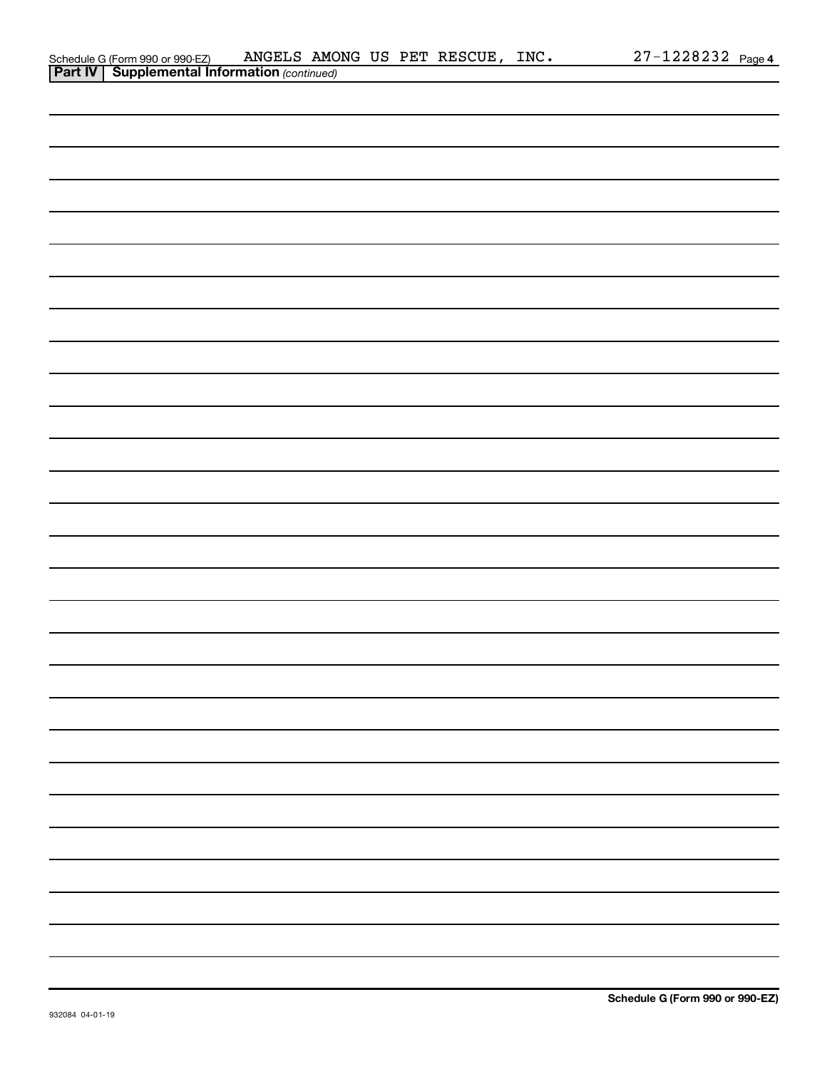| <b>Part IV   Supplemental Information (continued)</b> |
|-------------------------------------------------------|
|                                                       |
|                                                       |
|                                                       |
|                                                       |
|                                                       |
|                                                       |
|                                                       |
|                                                       |
|                                                       |
|                                                       |
|                                                       |
|                                                       |
|                                                       |
|                                                       |
|                                                       |
|                                                       |
|                                                       |
|                                                       |
|                                                       |
|                                                       |
|                                                       |
|                                                       |
|                                                       |
|                                                       |
|                                                       |
|                                                       |
|                                                       |
|                                                       |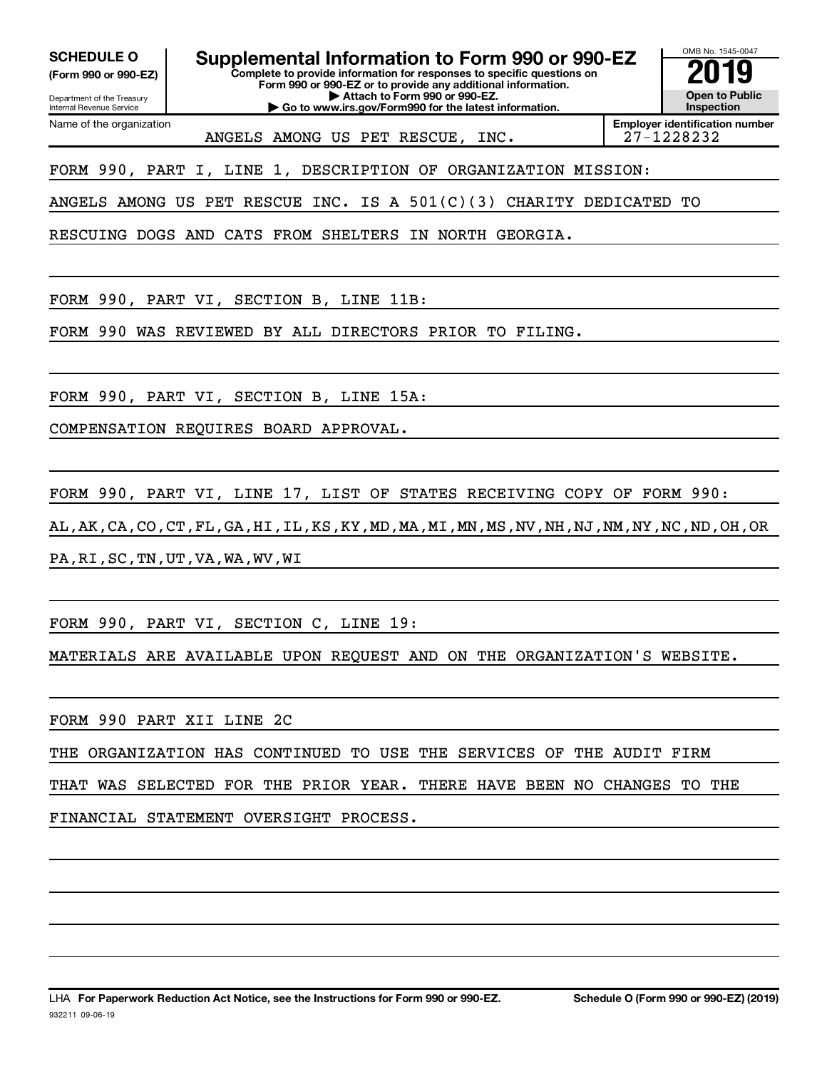Department of the Treasury **(Form 990 or 990-EZ)**

Name of the organization

Internal Revenue Service

**SCHEDULE O Supplemental Information to Form 990 or 990-EZ 2019**

**Complete to provide information for responses to specific questions on Form 990 or 990-EZ or to provide any additional information.**

**| Attach to Form 990 or 990-EZ. | Go to www.irs.gov/Form990 for the latest information.** OMB No. 1545-0047 **Open to Public Inspection**

ANGELS AMONG US PET RESCUE, INC. | 27-1228232

**Employer identification number**

FORM 990, PART I, LINE 1, DESCRIPTION OF ORGANIZATION MISSION:

ANGELS AMONG US PET RESCUE INC. IS A 501(C)(3) CHARITY DEDICATED TO

RESCUING DOGS AND CATS FROM SHELTERS IN NORTH GEORGIA.

FORM 990, PART VI, SECTION B, LINE 11B:

FORM 990 WAS REVIEWED BY ALL DIRECTORS PRIOR TO FILING.

FORM 990, PART VI, SECTION B, LINE 15A:

COMPENSATION REQUIRES BOARD APPROVAL.

FORM 990, PART VI, LINE 17, LIST OF STATES RECEIVING COPY OF FORM 990:

AL,AK,CA,CO,CT,FL,GA,HI,IL,KS,KY,MD,MA,MI,MN,MS,NV,NH,NJ,NM,NY,NC,ND,OH,OR

PA,RI,SC,TN,UT,VA,WA,WV,WI

FORM 990, PART VI, SECTION C, LINE 19:

MATERIALS ARE AVAILABLE UPON REQUEST AND ON THE ORGANIZATION'S WEBSITE.

FORM 990 PART XII LINE 2C

THE ORGANIZATION HAS CONTINUED TO USE THE SERVICES OF THE AUDIT FIRM

THAT WAS SELECTED FOR THE PRIOR YEAR. THERE HAVE BEEN NO CHANGES TO THE

FINANCIAL STATEMENT OVERSIGHT PROCESS.